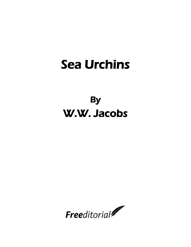# Sea Urchins

# **By** W.W. Jacobs

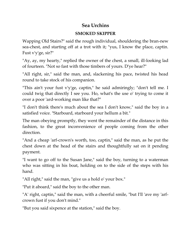## **Sea Urchins**

### **SMOKED SKIPPER**

Wapping Old Stairs?" said the rough individual, shouldering the bran-new sea-chest, and starting off at a trot with it; "yus, I know the place, captin. Fust v'y'ge, sir?"

"Ay, ay, my hearty," replied the owner of the chest, a small, ill-looking lad of fourteen. "Not so fast with those timbers of yours. D'ye hear?"

"All right, sir," said the man, and, slackening his pace, twisted his head round to take stock of his companion.

"This ain't your fust v'y'ge, captin," he said admiringly; "don't tell me. I could twig that directly I see you. Ho, what's the use o' trying to come it over a poor 'ard-working man like that?"

"I don't think there's much about the sea I don't know," said the boy in a satisfied voice. "Starboard, starboard your hellum a bit."

The man obeying promptly, they went the remainder of the distance in this fashion, to the great inconvenience of people coming from the other direction.

"And a cheap 'arf-crown's worth, too, captin," said the man, as he put the chest down at the head of the stairs and thoughtfully sat on it pending payment.

"I want to go off to the Susan Jane," said the boy, turning to a waterman who was sitting in his boat, holding on to the side of the steps with his hand.

"All right," said the man, "give us a hold o' your box."

"Put it aboard," said the boy to the other man.

"A' right, captin," said the man, with a cheerful smile, "but I'll 'ave my 'arfcrown fust if you don't mind."

"But you said sixpence at the station," said the boy.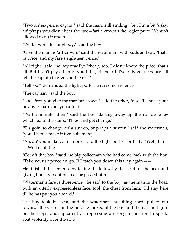"Two an' sixpence, captin," said the man, still smiling, "but I'm a bit 'usky, an' p'raps you didn't hear the two—'arf a crown's the regler price. We ain't allowed to do it under."

"Well, I won't tell anybody," said the boy.

"Give the man 'is 'arf-crown," said the waterman, with sudden heat; "that's 'is price, and my fare's eigh-teen pence."

"All right," said the boy readily; "cheap, too. I didn't know the price, that's all. But I can't pay either of you till I get aboard. I've only got sixpence. I'll tell the captain to give you the rest."

"Tell 'oo?" demanded the light-porter, with some violence.

"The captain," said the boy.

"Look 'ere, you give me that 'arf-crown," said the other, "else I'll chuck your box overboard, an' you after it."

"Wait a minute, then," said the boy, darting away up the narrow alley which led to the stairs; "I'll go and get change."

"E's goin' to change 'arf a suvren, or p'raps a suvren," said the waterman; "you'd better make it five bob, matey."

"Ah, an' you make yours more," said the light-porter cordially. "Well, I'm—  $-$  Well of all the  $- -$ "

"Get off that box," said the big policeman who had come back with the boy. "Take your sixpence an' go. If I catch you down this way again  $-$  "

He finished the sentence by taking the fellow by the scruff of the neck and giving him a violent push as he passed him.

"Waterman's fare is threepence," he said to the boy, as the man in the boat, with an utterly expressionless face, took the chest from him, "I'll stay here till he has put you aboard."

The boy took his seat, and the waterman, breathing hard, pulled out towards the vessels in the tier. He looked at the boy and then at the figure on the steps, and, apparently suppressing a strong inclination to speak, spat violently over the side.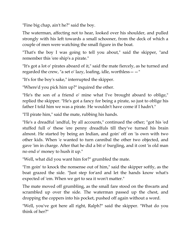"Fine big chap, ain't he?" said the boy.

The waterman, affecting not to hear, looked over his shoulder, and pulled strongly with his left towards a small schooner, from the deck of which a couple of men were watching the small figure in the boat.

"That's the boy I was going to tell you about," said the skipper, "and remember this 'ere ship's a pirate."

"It's got a lot o' pirates aboard of it," said the mate fiercely, as he turned and regarded the crew, "a set o' lazy, loafing, idle, worthless  $-$  "

"It's for the boy's sake," interrupted the skipper.

"Where'd you pick him up?" inquired the other.

"He's the son of a friend o' mine what I've brought aboard to oblige," replied the skipper. "He's got a fancy for being a pirate, so just to oblige his father I told him we was a pirate. He wouldn't have come if I hadn't."

"I'll pirate him," said the mate, rubbing his hands.

"He's a dreadful 'andful, by all accounts," continued the other; "got his 'ed stuffed full o' these 'ere penny dreadfuls till they've turned his brain almost. He started by being an Indian, and goin' off on 'is own with two other kids. When 'e wanted to turn cannibal the other two objected, and gave 'im in charge. After that he did a bit o' burgling, and it cost 'is old man no end o' money to hush it up."

"Well, what did you want him for?" grumbled the mate.

"I'm goin' to knock the nonsense out of him," said the skipper softly, as the boat grazed the side. "Just step for'ard and let the hands know what's expected of 'em. When we get to sea it won't matter."

The mate moved off grumbling, as the small fare stood on the thwarts and scrambled up over the side. The waterman passed up the chest, and dropping the coppers into his pocket, pushed off again without a word.

"Well, you've got here all right, Ralph?" said the skipper. "What do you think of her?"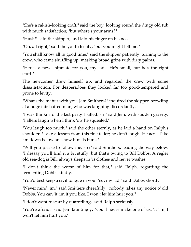"She's a rakish-looking craft," said the boy, looking round the dingy old tub with much satisfaction; "but where's your arms?"

"Hush!" said the skipper, and laid his finger on his nose.

"Oh, all right," said the youth testily, "but you might tell me."

"You shall know all in good time," said the skipper patiently, turning to the crew, who came shuffling up, masking broad grins with dirty palms.

"Here's a new shipmate for you, my lads. He's small, but he's the right stuff."

The newcomer drew himself up, and regarded the crew with some dissatisfaction. For desperadoes they looked far too good-tempered and prone to levity.

"What's the matter with you, Jem Smithers?" inquired the skipper, scowling at a huge fair-haired man, who was laughing discordantly.

"I was thinkin' o' the last party I killed, sir," said Jem, with sudden gravity. "I allers laugh when I think 'ow he squealed."

"You laugh too much," said the other sternly, as he laid a hand on Ralph's shoulder. "Take a lesson from this fine feller; he don't laugh. He acts. Take 'im down below an' show him 'is bunk."

"Will you please to follow me, sir?" said Smithers, leading the way below. "I dessay you'll find it a bit stuffy, but that's owing to Bill Dobbs. A regler old sea-dog is Bill, always sleeps in 'is clothes and never washes."

"I don't think the worse of him for that," said Ralph, regarding the fermenting Dobbs kindly.

"You'd best keep a civil tongue in your 'ed, my lad," said Dobbs shortly.

"Never mind 'im," said Smithers cheerfully; "nobody takes any notice o' old Dobbs. You can 'it 'im if you like. I won't let him hurt you."

"I don't want to start by quarrelling," said Ralph seriously.

"You're afraid," said Jem tauntingly; "you'll never make one of us. 'It 'im; I won't let him hurt you."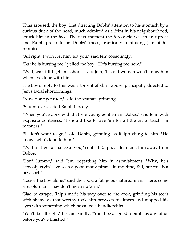Thus aroused, the boy, first directing Dobbs' attention to his stomach by a curious duck of the head, much admired as a feint in his neighbourhood, struck him in the face. The next moment the forecastle was in an uproar and Ralph prostrate on Dobbs' knees, frantically reminding Jem of his promise.

"All right, I won't let him 'urt you," said Jem consolingly.

"But he is hurting me," yelled the boy. "He's hurting me now."

"Well, wait till I get 'im ashore," said Jem, "his old woman won't know him when I've done with him."

The boy's reply to this was a torrent of shrill abuse, principally directed to Jem's facial shortcomings.

"Now don't get rude," said the seaman, grinning.

"Squint-eyes," cried Ralph fiercely.

"When you've done with that 'ere young gentleman, Dobbs," said Jem, with exquisite politeness, "I should like to 'ave 'im for a little bit to teach 'im manners."

"'E don't want to go," said Dobbs, grinning, as Ralph clung to him. "He knows who's kind to him."

"Wait till I get a chance at you," sobbed Ralph, as Jem took him away from Dobbs.

"Lord lumme," said Jem, regarding him in astonishment. "Why, he's actooaly cryin'. I've seen a good many pirates in my time, Bill, but this is a new sort."

"Leave the boy alone," said the cook, a fat, good-natured man. "Here, come 'ere, old man. They don't mean no 'arm."

Glad to escape, Ralph made his way over to the cook, grinding his teeth with shame as that worthy took him between his knees and mopped his eyes with something which he called a handkerchief.

"You'll be all right," he said kindly. "You'll be as good a pirate as any of us before you've finished."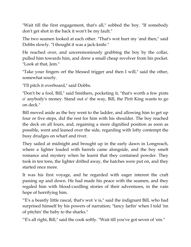"Wait till the first engagement, that's all," sobbed the boy. "If somebody don't get shot in the back it won't be my fault."

The two seamen looked at each other. "That's wot hurt my 'and then," said Dobbs slowly. "I thought it was a jack-knife."

He reached over, and unceremoniously grabbing the boy by the collar, pulled him towards him, and drew a small cheap revolver from his pocket. "Look at that, Jem."

"Take your fingers orf the blessed trigger and then I will," said the other, somewhat sourly.

"I'll pitch it overboard," said Dobbs.

"Don't be a fool, Bill," said Smithers, pocketing it, "that's worth a few pints o' anybody's money. Stand out o' the way, Bill, the Pirit King wants to go on deck."

Bill moved aside as the boy went to the ladder, and allowing him to get up four or five steps, did the rest for him with his shoulder. The boy reached the deck on all fours, and, regaining a more dignified position as soon as possible, went and leaned over the side, regarding with lofty contempt the busy drudges on wharf and river.

They sailed at midnight and brought up in the early dawn in Longreach, where a lighter loaded with barrels came alongside, and the boy smelt romance and mystery when he learnt that they contained powder. They took in ten tons, the lighter drifted away, the hatches were put on, and they started once more.

It was his first voyage, and he regarded with eager interest the craft passing up and down. He had made his peace with the seamen, and they regaled him with blood-curdling stories of their adventures, in the vain hope of horrifying him.

"'E's a beastly little rascal, that's wot 'e is," said the indignant Bill, who had surprised himself by his powers of narration; "fancy larfin' when I told 'im of pitchin' the baby to the sharks."

"E's all right, Bill," said the cook softly. "Wait till you've got seven of 'em."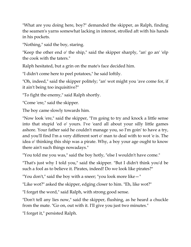"What are you doing here, boy?" demanded the skipper, as Ralph, finding the seamen's yarns somewhat lacking in interest, strolled aft with his hands in his pockets.

"Nothing," said the boy, staring.

"Keep the other end o' the ship," said the skipper sharply, "an' go an' 'elp the cook with the taters."

Ralph hesitated, but a grin on the mate's face decided him.

"I didn't come here to peel potatoes," he said loftily.

"Oh, indeed," said the skipper politely; "an' wot might you 'ave come for, if it ain't being too inquisitive?"

"To fight the enemy," said Ralph shortly.

"Come 'ere," said the skipper.

The boy came slowly towards him.

"Now look 'ere," said the skipper, "I'm going to try and knock a little sense into that stupid 'ed o' yours. I've 'eard all about your silly little games ashore. Your father said he couldn't manage you, so I'm goin' to have a try, and you'll find I'm a very different sort o' man to deal with to wot 'e is. The idea o' thinking this ship was a pirate. Why, a boy your age ought to know there ain't such things nowadays."

"You told me you was," said the boy hotly, "else I wouldn't have come."

"That's just why I told you," said the skipper. "But I didn't think you'd be such a fool as to believe it. Pirates, indeed! Do we look like pirates?"

"You don't," said the boy with a sneer; "you look more like—"

"Like wot?" asked the skipper, edging closer to him. "Eh, like wot?"

"I forget the word," said Ralph, with strong good sense.

"Don't tell any lies now," said the skipper, flushing, as he heard a chuckle from the mate. "Go on, out with it. I'll give you just two minutes."

"I forget it," persisted Ralph.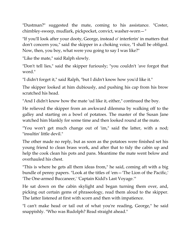"Dustman?" suggested the mate, coming to his assistance. "Coster, chimbley-sweep, mudlark, pickpocket, convict, washer-worn—"

"If you'll look after your dooty, George, instead o' interferin' in matters that don't concern you," said the skipper in a choking voice, "I shall be obliged. Now, then, you boy, what were you going to say I was like?"

"Like the mate," said Ralph slowly.

"Don't tell lies," said the skipper furiously; "you couldn't 'ave forgot that word."

"I didn't forget it," said Ralph, "but I didn't know how you'd like it."

The skipper looked at him dubiously, and pushing his cap from his brow scratched his head.

"And I didn't know how the mate 'ud like it, either," continued the boy.

He relieved the skipper from an awkward dilemma by walking off to the galley and starting on a bowl of potatoes. The master of the Susan Jane watched him blankly for some time and then looked round at the mate.

"You won't get much change out of 'im," said the latter, with a nod; "insultin' little devil."

The other made no reply, but as soon as the potatoes were finished set his young friend to clean brass work, and after that to tidy the cabin up and help the cook clean his pots and pans. Meantime the mate went below and overhauled his chest.

"This is where he gets all them ideas from," he said, coming aft with a big bundle of penny papers. "Look at the titles of 'em—'The Lion of the Pacific,' 'The One-armed Buccaneer,' 'Captain Kidd's Last Voyage.'"

He sat down on the cabin skylight and began turning them over, and, picking out certain gems of phraseology, read them aloud to the skipper. The latter listened at first with scorn and then with impatience.

"I can't make head or tail out of what you're reading, George," he said snappishly. "Who was Rudolph? Read straight ahead."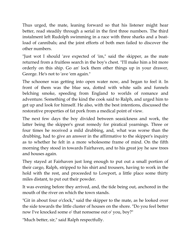Thus urged, the mate, leaning forward so that his listener might hear better, read steadily through a serial in the first three numbers. The third instalment left Rudolph swimming in a race with three sharks and a boatload of cannibals; and the joint efforts of both men failed to discover the other numbers.

"Just wot I should 'ave expected of 'im," said the skipper, as the mate returned from a fruitless search in the boy's chest. "I'll make him a bit more orderly on this ship. Go an' lock them other things up in your drawer, George. He's not to 'ave 'em again."

The schooner was getting into open water now, and began to feel it. In front of them was the blue sea, dotted with white sails and funnels belching smoke, speeding from England to worlds of romance and adventure. Something of the kind the cook said to Ralph, and urged him to get up and look for himself. He also, with the best intentions, discussed the restorative properties of fat pork from a medical point of view.

The next few days the boy divided between seasickness and work, the latter being the skipper's great remedy for piratical yearnings. Three or four times he received a mild drubbing, and, what was worse than the drubbing, had to give an answer in the affirmative to the skipper's inquiry as to whether he felt in a more wholesome frame of mind. On the fifth morning they stood in towards Fairhaven, and to his great joy he saw trees and houses again.

They stayed at Fairhaven just long enough to put out a small portion of their cargo, Ralph, stripped to his shirt and trousers, having to work in the hold with the rest, and proceeded to Lowport, a little place some thirty miles distant, to put out their powder.

It was evening before they arrived, and, the tide being out, anchored in the mouth of the river on which the town stands.

"Git in about four o'clock," said the skipper to the mate, as he looked over the side towards the little cluster of houses on the shore. "Do you feel better now I've knocked some o' that nonsense out o' you, boy?"

"Much better, sir," said Ralph respectfully.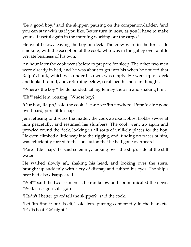"Be a good boy," said the skipper, pausing on the companion-ladder, "and you can stay with us if you like. Better turn in now, as you'll have to make yourself useful again in the morning working out the cargo."

He went below, leaving the boy on deck. The crew were in the forecastle smoking, with the exception of the cook, who was in the galley over a little private business of his own.

An hour later the cook went below to prepare for sleep. The other two men were already in bed, and he was about to get into his when he noticed that Ralph's bunk, which was under his own, was empty. He went up on deck and looked round, and, returning below, scratched his nose in thought.

"Where's the boy?" he demanded, taking Jem by the arm and shaking him.

"Eh?" said Jem, rousing. "Whose boy?"

"Our boy, Ralph," said the cook. "I can't see 'im nowhere. I 'ope 'e ain't gone overboard, pore little chap."

Jem refusing to discuss the matter, the cook awoke Dobbs. Dobbs swore at him peacefully, and resumed his slumbers. The cook went up again and prowled round the deck, looking in all sorts of unlikely places for the boy. He even climbed a little way into the rigging, and, finding no traces of him, was reluctantly forced to the conclusion that he had gone overboard.

"Pore little chap," he said solemnly, looking over the ship's side at the still water.

He walked slowly aft, shaking his head, and looking over the stern, brought up suddenly with a cry of dismay and rubbed his eyes. The ship's boat had also disappeared.

"Wot?" said the two seamen as he ran below and communicated the news. "Well, if it's gorn, it's gorn."

"Hadn't I better go an' tell the skipper?" said the cook.

"Let 'im find it out 'isself," said Jem, purring contentedly in the blankets. "It's 'is boat. Go' night."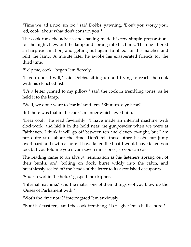"Time we 'ad a noo 'un too," said Dobbs, yawning. "Don't you worry your 'ed, cook, about what don't consarn you."

The cook took the advice, and, having made his few simple preparations for the night, blew out the lamp and sprang into his bunk. Then he uttered a sharp exclamation, and getting out again fumbled for the matches and relit the lamp. A minute later he awoke his exasperated friends for the third time.

"S'elp me, cook," began Jem fiercely.

"If you don't I will," said Dobbs, sitting up and trying to reach the cook with his clenched fist.

"It's a letter pinned to my pillow," said the cook in trembling tones, as he held it to the lamp.

"Well, we don't want to 'ear it," said Jem. "Shut up, d'ye hear?"

But there was that in the cook's manner which awed him.

"Dear cook," he read feverishly, "I have made an infernal machine with clockwork, and hid it in the hold near the gunpowder when we were at Fairhaven. I think it will go off between ten and eleven to-night, but I am not quite sure about the time. Don't tell those other beasts, but jump overboard and swim ashore. I have taken the boat I would have taken you too, but you told me you swam seven miles once, so you can eas—"

The reading came to an abrupt termination as his listeners sprang out of their bunks, and, bolting on dock, burst wildly into the cabin, and breathlessly reeled off the heads of the letter to its astonished occupants.

"Stuck a wot in the hold?" gasped the skipper.

"Infernal machine," said the mate; "one of them things wot you blow up the 'Ouses of Parliament with."

"Wot's the time now?" interrogated Jem anxiously.

"'Bout ha'-past ten," said the cook trembling. "Let's give 'em a hail ashore."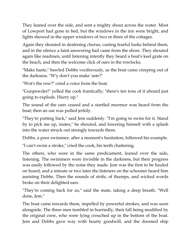They leaned over the side, and sent a mighty shout across the water. Most of Lowport had gone to bed, but the windows in the inn were bright, and lights showed in the upper windows of two or three of the cottages.

Again they shouted in deafening chorus, casting fearful looks behind them, and in the silence a faint answering hail came from the shore. They shouted again like madmen, until listening intently they heard a boat's keel grate on the beach, and then the welcome click of oars in the rowlocks.

"Make haste," bawled Dobbs vociferously, as the boat came creeping out of the darkness. "W'y don't you make 'aste?"

"Wot's the row?" cried a voice from the boat.

"Gunpowder!" yelled the cook frantically; "there's ten tons of it aboard just going to explode. Hurry up."

The sound of the oars ceased and a startled murmur was heard from the boat; then an oar was pulled jerkily.

"They're putting back," said Jem suddenly. "I'm going to swim for it. Stand by to pick me up, mates," he shouted, and lowering himself with a splash into the water struck out strongly towards them.

Dobbs, a poor swimmer, after a moment's hesitation, followed his example.

"I can't swim a stroke," cried the cook, his teeth chattering.

The others, who were in the same predicament, leaned over the side, listening. The swimmers were invisible in the darkness, but their progress was easily followed by the noise they made. Jem was the first to be hauled on board, and a minute or two later the listeners on the schooner heard him assisting Dobbs. Then the sounds of strife, of thumps, and wicked words broke on their delighted ears.

"They're coming back for us," said the mate, taking a deep breath. "Well done, Jem."

The boat came towards them, impelled by powerful strokes, and was soon alongside. The three men tumbled in hurriedly, their fall being modified by the original crew, who were lying crouched up in the bottom of the boat. Jem and Dobbs gave way with hearty goodwill, and the doomed ship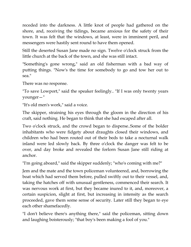receded into the darkness. A little knot of people had gathered on the shore, and, receiving the tidings, became anxious for the safety of their town. It was felt that the windows, at least, were in imminent peril, and messengers were hastily sent round to have them opened.

Still the deserted Susan Jane made no sign. Twelve o'clock struck from the little church at the back of the town, and she was still intact.

"Something's gone wrong," said an old fisherman with a bad way of putting things. "Now's the time for somebody to go and tow her out to sea."

There was no response.

"To save Lowport," said the speaker feelingly.. "If I was only twenty years younger—"

"It's old men's work," said a voice.

The skipper, straining his eyes through the gloom in the direction of his craft, said nothing. He began to think that she had escaped after all.

Two o'clock struck, and the crowd began to disperse..Some of the bolder inhabitants who were fidgety about draughts closed their windows, and children who had been routed out of their beds to take a nocturnal walk inland were led slowly back. By three o'clock the danger was felt to be over, and day broke and revealed the forlorn Susan Jane still riding at anchor.

"I'm going aboard," said the skipper suddenly; "who's coming with me?"

Jem and the mate and the town policeman volunteered, and, borrowing the boat which had served them before, pulled swiftly out to their vessel, and, taking the hatches off with unusual gentleness, commenced their search. It was nervous work at first, but they became inured to it, and, moreover, a certain suspicion, slight at first, but increasing in intensity as the search proceeded, gave them some sense of security. Later still they began to eye each other shamefacedly.

"I don't believe there's anything there," said the policeman, sitting down and laughing boisterously; "that boy's been making a fool of you."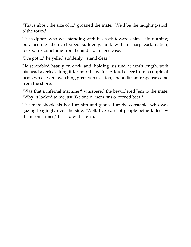"That's about the size of it," groaned the mate. "We'll be the laughing-stock o' the town."

The skipper, who was standing with his back towards him, said nothing; but, peering about, stooped suddenly, and, with a sharp exclamation, picked up something from behind a damaged case.

"I've got it," he yelled suddenly; "stand clear!"

He scrambled hastily on deck, and, holding his find at arm's length, with his head averted, flung it far into the water. A loud cheer from a couple of boats which were watching greeted his action, and a distant response came from the shore.

"Was that a infernal machine?" whispered the bewildered Jem to the mate. "Why, it looked to me just like one o' them tins o' corned beef."

The mate shook his head at him and glanced at the constable, who was gazing longingly over the side. "Well, I've 'eard of people being killed by them sometimes," he said with a grin.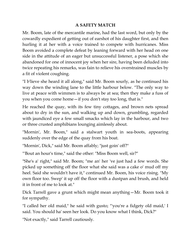#### **A SAFETY MATCH**

Mr. Boom, late of the mercantile marine, had the last word, but only by the cowardly expedient of getting out of earshot of his daughter first, and then hurling it at her with a voice trained to compete with hurricanes. Miss Boom avoided a complete defeat by leaning forward with her head on one side in the attitude of an eager but unsuccessful listener, a pose which she abandoned for one of innocent joy when her sire, having been deluded into twice repeating his remarks, was fain to relieve his overstrained muscles by a fit of violent coughing.

"I b'lieve she heard it all along," said Mr. Boom sourly, as he continued his way down the winding lane to the little harbour below. "The only way to live at peace with wimmen is to always be at sea; then they make a fuss of you when you come home—if you don't stay too long, that is."

He reached the quay, with its few tiny cottages, and brown nets spread about to dry in the sun, and walking up and down, grumbling, regarded with jaundiced eye a few small smacks which lay in the harbour, and two or three crusted amphibians lounging aimlessly about.

"Mornin', Mr. Boom," said a stalwart youth in sea-boots, appearing suddenly over the edge of the quay from his boat.

"Mornin', Dick," said Mr. Boom affably; "just goin' off?"

"'Bout an hour's time," said the other: "Miss Boom well, sir?"

"She's a' right," said Mr. Boom; "me an' her 've just had a few words. She picked up something off the floor what she said was a cake o' mud off my heel. Said she wouldn't have it," continued Mr. Boom, his voice rising. "My own floor too. Swep' it up off the floor with a dustpan and brush, and held it in front of me to look at."

Dick Tarrell gave a grunt which might mean anything—Mr. Boom took it for sympathy.

"I called her old maid," he said with gusto; "'you're a fidgety old maid,' I said. You should ha' seen her look. Do you know what I think, Dick?"

"Not exactly," said Tarrell cautiously.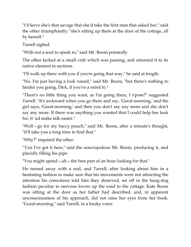"I b'leeve she's that savage that she'd take the first man that asked her," said the other triumphantly; "she's sitting up there at the door of the cottage, all by herself."

Tarrell sighed.

"With not a soul to speak to," said Mr. Boom pointedly.

The other kicked at a small crab which was passing, and returned it to its native element in sections.

"I'll walk up there with you if you're going that way," he said at length.

"No, I'm just having a look round," said Mr. Boom, "but there's nothing to hinder you going, Dick, if you've a mind to."

"There's no little thing you want, as I'm going there, I s'pose?" suggested Tarrell. "It's awkward when you go there and say, 'Good-morning,' and the girl says, 'Good-morning,' and then you don't say any more and she don't say any more. If there was anything you wanted that I could help her look for, it 'ud make talk easier."

"Well—go for my baccy pouch," said Mr. Boom, after a minute's thought, "it'll take you a long time to find that."

"Why?" inquired the other.

"'Cos I've got it here," said the unscrupulous Mr. Boom, producing it, and placidly filling his pipe.

"You might spend—ah—the best part of an hour looking for that."

He turned away with a nod, and Tarrell, after looking about him in a hesitating fashion to make sure that his movements were not attracting the attention his conscience told him they deserved, set off in the hang-dog fashion peculiar to nervous lovers up the road to the cottage. Kate Boom was sitting at the door as her father had described, and, in apparent unconsciousness of his approach, did not raise her eyes from her book. "Good-morning," said Tarrell, in a husky voice.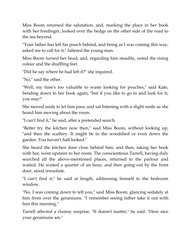Miss Boom returned the salutation, and, marking the place in her book with her forefinger, looked over the hedge on the other side of the road to the sea beyond.

"Your father has left his pouch behind, and being as I was coming this way, asked me to call for it," faltered the young man.

Miss Boom turned her head, and, regarding him steadily, noted the rising colour and the shuffling feet.

"Did he say where he had left it?" she inquired.

"No," said the other.

"Well, my time's too valuable to waste looking for pouches," said Kate, bending down to her book again, "but if you like to go in and look for it, you may!"

She moved aside to let him pass, and sat listening with a slight smile as she heard him moving about the room.

"I can't find it," he said, after a pretended search.

"Better try the kitchen now then," said Miss Boom, without looking up, "and then the scullery. It might be in the woodshed or even down the garden. You haven't half looked."

She heard the kitchen door close behind him, and then, taking her book with her, went upstairs to her room. The conscientious Tarrell, having duly searched all the above-mentioned places, returned to the parlour and waited. He waited a quarter of an hour, and then going out by the front door, stood irresolute.

"I can't find it," he said at length, addressing himself to the bedroom window.

"No. I was coming down to tell you," said Miss Boom, glancing sedately at him from over the geraniums. "I remember seeing father take it out with him this morning."

Tarrell affected a clumsy surprise. "It doesn't matter," he said. "How nice your geraniums are."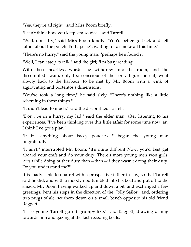"Yes, they're all right," said Miss Boom briefly.

"I can't think how you keep 'em so nice," said Tarrell.

"Well, don't try," said Miss Boom kindly. "You'd better go back and tell father about the pouch. Perhaps he's waiting for a smoke all this time."

"There's no hurry," said the young man; "perhaps he's found it."

"Well, I can't stop to talk," said the girl; "I'm busy reading."

With these heartless words she withdrew into the room, and the discomfited swain, only too conscious of the sorry figure he cut, went slowly back to the harbour, to be met by Mr. Boom with a wink of aggravating and portentous dimensions.

"You've took a long time," he said slyly. "There's nothing like a little scheming in these things."

"It didn't lead to much," said the discomfited Tarrell.

"Don't be in a hurry, my lad," said the elder man, after listening to his experiences. "I've been thinking over this little affair for some time now, an' I think I've got a plan."

"If it's anything about baccy pouches—" began the young man ungratefully.

"It ain't," interrupted Mr. Boom, "it's quite diff'rent Now, you'd best get aboard your craft and do your duty. There's more young men won girls' 'arts while doing of ther duty than—than—if they wasn't doing their duty. Do you understand me?"

It is inadvisable to quarrel with a prospective father-in-law, so that Tarrell said he did, and with a moody nod tumbled into his boat and put off to the smack. Mr. Boom having walked up and down a bit, and exchanged a few greetings, bent his steps in the direction of the "Jolly Sailor," and, ordering two mugs of ale, set them down on a small bench opposite his old friend Raggett.

"I see young Tarrell go off grumpy-like," said Raggett, drawing a mug towards him and gazing at the fast-receding boats.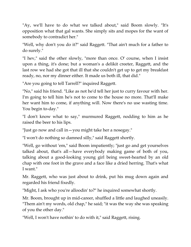"Ay, we'll have to do what we talked about," said Boom slowly. "It's opposition what that gal wants. She simply sits and mopes for the want of somebody to contradict her."

"Well, why don't you do it?" said Raggett. "That ain't much for a father to do surely."

"I hev," said the other slowly, "more than once. O' course, when I insist upon a thing, it's done; but a woman's a delikit creeter, Raggett, and the last row we had she got that ill that she couldn't get up to get my breakfast ready, no, nor my dinner either. It made us both ill, that did."

"Are you going to tell Tarrell?" inquired Raggett.

"No," said his friend. "Like as not he'd tell her just to curry favour with her. I'm going to tell him he's not to come to the house no more. That'll make her want him to come, if anything will. Now there's no use wasting time. You begin to-day."

"I don't know what to say," murmured Raggett, nodding to him as he raised the beer to his lips.

"Just go now and call in—you might take her a nosegay."

"I won't do nothing so damned silly," said Raggett shortly.

"Well, go without 'em," said Boom impatiently; "just go and get yourselves talked about, that's all—have everybody making game of both of you, talking about a good-looking young girl being sweet-hearted by an old chap with one foot in the grave and a face like a dried herring. That's what I want."

Mr. Raggett, who was just about to drink, put his mug down again and regarded his friend fixedly.

"Might, I ask who you're alloodin' to?" he inquired somewhat shortly.

Mr. Boom, brought up in mid-career, shuffled a little and laughed uneasily. "Them ain't my words, old chap," he said; "it was the way she was speaking of you the other day."

"Well, I won't have nothin' to do with it," said Raggett, rising.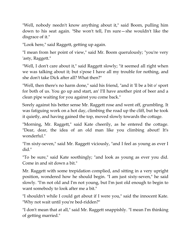"Well, nobody needn't know anything about it," said Boom, pulling him down to his seat again. "She won't tell, I'm sure—she wouldn't like the disgrace of it."

"Look here," said Raggett, getting up again.

"I mean from her point of view," said Mr. Boom querulously; "you're very 'asty, Raggett."

"Well, I don't care about it," said Raggett slowly; "it seemed all right when we was talking about it; but s'pose I have all my trouble for nothing, and she don't take Dick after all? What then?"

"Well, then there's no harm done," said his friend, "and it 'll be a bit o' sport for both of us. You go up and start, an' I'll have another pint of beer and a clean pipe waiting for you against you come back."

Sorely against his better sense Mr. Raggett rose and went off, grumbling. It was fatiguing work on a hot day, climbing the road up the cliff, but he took it quietly, and having gained the top, moved slowly towards the cottage.

"Morning, Mr. Raggett," said Kate cheerily, as he entered the cottage. "Dear, dear, the idea of an old man like you climbing about! It's wonderful."

"I'm sixty-seven," said Mr. Raggett viciously, "and I feel as young as ever I did."

"To be sure," said Kate soothingly; "and look as young as ever you did. Come in and sit down a bit."

Mr. Raggett with some trepidation complied, and sitting in a very upright position, wondered how he should begin. "I am just sixty-seven," he said slowly. "I'm not old and I'm not young, but I'm just old enough to begin to want somebody to look after me a bit."

"I shouldn't while I could get about if I were you," said the innocent Kate. "Why not wait until you're bed-ridden?"

"I don't mean that at all," said Mr. Raggett snappishly. "I mean I'm thinking of getting married."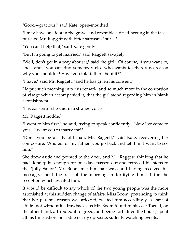"Good—gracious!" said Kate, open-mouthed.

"I may have one foot in the grave, and resemble a dried herring in the face," pursued Mr. Raggett with bitter sarcasm, "but—"

"You can't help that," said Kate gently.

"But I'm going to get married," said Raggett savagely.

"Well, don't get in a way about it," said the girl. "Of course, if you want to, and—and—you can find somebody else who wants to, there's no reason why you shouldn't! Have you told father about it?"

"I have," said Mr. Raggett, "and he has given his consent."

He put such meaning into this remark, and so much more in the contortion of visage which accompanied it, that the girl stood regarding him in blank astonishment.

"His consent?" she said in a strange voice.

Mr. Raggett nodded.

"I went to him first," he said, trying to speak confidently. "Now I've come to you—I want you to marry me!"

"Don't you be a silly old man, Mr. Raggett," said Kate, recovering her composure. "And as for my father, you go back and tell him I want to see him."

She drew aside and pointed to the door, and Mr. Raggett, thinking that he had done quite enough for one day, passed out and retraced his steps to the "Jolly Sailor." Mr. Boom met him half-way, and having received his message, spent the rest of the morning in fortifying himself for the reception which awaited him.

It would be difficult to say which of the two young people was the more astonished at this sudden change of affairs. Miss Boom, pretending to think that her parent's reason was affected, treated him accordingly, a state of affairs not without its drawbacks, as Mr. Boom found to his cost Tarrell, on the other hand, attributed it to greed, and being forbidden the house, spent all his time ashore on a stile nearly opposite, sullenly watching events.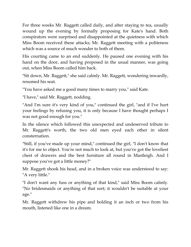For three weeks Mr. Raggett called daily, and after staying to tea, usually wound up the evening by formally proposing for Kate's hand. Both conspirators were surprised and disappointed at the quietness with which Miss Boom received these attacks; Mr. Raggett meeting with a politeness which was a source of much wonder to both of them.

His courting came to an end suddenly. He paused one evening with his hand on the door, and having proposed in the usual manner, was going out, when Miss Boom called him back.

"Sit down, Mr. Raggett," she said calmly. Mr. Raggett, wondering inwardly, resumed his seat.

"You have asked me a good many times to marry you," said Kate.

"I have," said Mr. Raggett, nodding.

"And I'm sure it's very kind of you," continued the girl, "and if I've hurt your feelings by refusing you, it is only because I have thought perhaps I was not good enough for you."

In the silence which followed this unexpected and undeserved tribute to Mr. Raggett's worth, the two old men eyed each other in silent consternation.

"Still, if you've made up your mind," continued the girl, "I don't know that it's for me to object. You're not much to look at, but you've got the loveliest chest of drawers and the best furniture all round in Mastleigh. And I suppose you've got a little money?"

Mr. Raggett shook his head, and in a broken voice was understood to say: "A very little."

"I don't want any fuss or anything of that kind," said Miss Boom calmly. "No bridesmaids or anything of that sort; it wouldn't be suitable at your age."

Mr. Raggett withdrew his pipe and holding it an inch or two from his mouth, listened like one in a dream.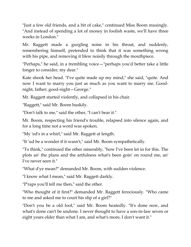"Just a few old friends, and a bit of cake," continued Miss Boom musingly. "And instead of spending a lot of money in foolish waste, we'll have three weeks in London."

Mr. Raggett made a gurgling noise in his throat, and suddenly, remembering himself, pretended to think that it was something wrong with his pipe, and removing it blew noisily through the mouthpiece.

"Perhaps," he said, in a trembling voice—"perhaps you'd better take a little longer to consider, my dear."

Kate shook her head. "I've quite made up my mind," she said, "quite. And now I want to marry you just as much as you want to marry me. Goodnight, father; good-night—George."

Mr. Raggett started violently, and collapsed in his chair.

"Raggett," said Mr. Boom huskily.

"Don't talk to me," said the other, "I can't bear it."

Mr. Boom, respecting his friend's trouble, relapsed into silence again, and for a long time not a word was spoken.

"My 'ed's in a whirl," said Mr. Raggett at length.

"It 'ud be a wonder if it wasn't," said Mr. Boom sympathetically.

"To think," continued the other miserably, "how I've been let in for this. The plots an' the plans and the artfulness what's been goin' on round me, an' I've never seen it."

"What d'ye mean?" demanded Mr. Boom, with sudden violence.

"I know what I mean," said Mr. Raggett darkly.

"P'raps you'll tell me then," said the other.

"Who thought of it first?" demanded Mr. Raggett ferociously. "Who came to me and asked me to court his slip of a girl?"

"Don't you be a old fool," said Mr. Boom heatedly. "It's done now, and what's done can't be undone. I never thought to have a son-in-law seven or eight years older than what I am, and what's more, I don't want it."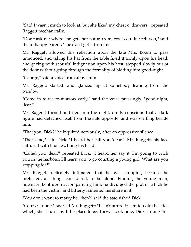"Said I wasn't much to look at, but she liked my chest o' drawers," repeated Raggett mechanically.

"Don't ask me where she gets her natur' from, cos I couldn't tell you," said the unhappy parent; "she don't get it from me."

Mr. Raggett allowed this reflection upon the late Mrs. Boom to pass unnoticed, and taking his hat from the table fixed it firmly upon his head, and gazing with scornful indignation upon his host, stepped slowly out of the door without going through the formality of bidding him good-night.

"George," said a voice from above him.

Mr. Raggett started, and glanced up at somebody leaning from the window.

"Come in to tea to-morrow early," said the voice pressingly; "good-night, dear."

Mr. Raggett turned and fled into the night, dimly conscious that a dark figure had detached itself from the stile opposite, and was walking beside him.

"That you, Dick?" he inquired nervously, after an oppressive silence.

"That's me," said Dick. "I heard her call you 'dear.'" Mr. Raggett, his face suffused with blushes, hung his head.

"Called you 'dear,'" repeated Dick; "I heard her say it. I'm going to pitch you in the harbour. I'll learn you to go courting a young girl. What are you stopping for?"

Mr. Raggett delicately intimated that he was stopping because he preferred, all things considered, to be alone. Finding the young man, however, bent upon accompanying him, he divulged the plot of which he had been the victim, and bitterly lamented his share in it.

"You don't want to marry her then?" said the astonished Dick.

"Course I don't," snarled Mr. Raggett; "I can't afford it. I'm too old; besides which, she'll turn my little place topsy-turvy. Look here, Dick, I done this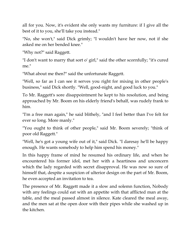all for you. Now, it's evident she only wants my furniture: if I give all the best of it to you, she'll take you instead."

"No, she won't," said Dick grimly; "I wouldn't have her now, not if she asked me on her bended knee."

"Why not?" said Raggett.

"I don't want to marry that sort o' girl," said the other scornfully; "it's cured me."

"What about me then?" said the unfortunate Raggett.

"Well, so far as I can see it serves you right for mixing in other people's business," said Dick shortly. "Well, good-night, and good luck to you."

To Mr. Raggett's sore disappointment he kept to his resolution, and being approached by Mr. Boom on his elderly friend's behalf, was rudely frank to him.

"I'm a free man again," he said blithely, "and I feel better than I've felt for ever so long. More manly."

"You ought to think of other people," said Mr. Boom severely; "think of poor old Raggett."

"Well, he's got a young wife out of it," said Dick. "I daresay he'll be happy enough. He wants somebody to help him spend his money."

In this happy frame of mind he resumed his ordinary life, and when he encountered his former idol, met her with a heartiness and unconcern which the lady regarded with secret disapproval. He was now so sure of himself that, despite a suspicion of ulterior design on the part of Mr. Boom, he even accepted an invitation to tea.

The presence of Mr. Raggett made it a slow and solemn function, Nobody with any feelings could eat with an appetite with that afflicted man at the table, and the meal passed almost in silence. Kate cleared the meal away, and the men sat at the open door with their pipes while she washed up in the kitchen.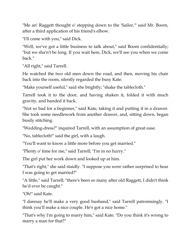"Me an' Raggett thought o' stepping down to the 'Sailor,'" said Mr. Boom, after a third application of his friend's elbow.

"I'll come with you," said Dick.

"Well, we've got a little business to talk about," said Boom confidentially; "but we sha'n't be long. If you wait here, Dick, we'll see you when we come back."

"All right," said Tarrell.

He watched the two old men down the road, and then, moving his chair back into the room, silently regarded the busy Kate.

"Make yourself useful," said she brightly; "shake the tablecloth."

Tarrell took it to the door, and having shaken it, folded it with much gravity, and handed it back.

"Not so bad for a beginner," said Kate, taking it and putting it in a drawer. She took some needlework from another drawer, and, sitting down, began busily stitching.

"Wedding-dress?" inquired Tarrell, with an assumption of great ease.

"No, tablecloth!" said the girl, with a laugh.

"You'll want to know a little more before you get married."

"Plenty o' time for me," said Tarrell; "I'm in no hurry."

The girl put her work down and looked up at him.

"That's right," she said staidly. "I suppose you were rather surprised to hear I was going to get married?"

"A little," said Tarrell; "there's been so many after old Raggett, I didn't think he'd ever be caught."

"Oh!" said Kate.

"I daresay he'll make a very good husband," said Tarrell patronisingly. "I think you'll make a nice couple. He's got a nice home."

"That's why I'm going to marry him," said Kate. "Do you think it's wrong to marry a man for that?"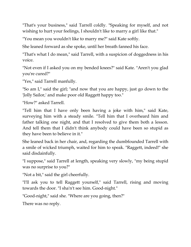"That's your business," said Tarrell coldly. "Speaking for myself, and not wishing to hurt your feelings, I shouldn't like to marry a girl like that."

"You mean you wouldn't like to marry me?" said Kate softly.

She leaned forward as she spoke, until her breath fanned his face.

"That's what I do mean," said Tarrell, with a suspicion of doggedness in his voice.

"Not even if I asked you on my bended knees?" said Kate. "Aren't you glad you're cured?"

"Yes," said Tarrell manfully.

"So am I," said the girl; "and now that you are happy, just go down to the 'Jolly Sailor,' and make poor old Raggett happy too."

"How?" asked Tarrell.

"Tell him that I have only been having a joke with him," said Kate, surveying him with a steady smile. "Tell him that I overheard him and father talking one night, and that I resolved to give them both a lesson. And tell them that I didn't think anybody could have been so stupid as they have been to believe in it."

She leaned back in her chair, and, regarding the dumbfounded Tarrell with a smile of wicked triumph, waited for him to speak. "Raggett, indeed!" she said disdainfully.

"I suppose," said Tarrell at length, speaking very slowly, "my being stupid was no surprise to you?"

"Not a bit," said the girl cheerfully.

"I'll ask you to tell Raggett yourself," said Tarrell, rising and moving towards the door. "I sha'n't see him. Good-night."

"Good-night," said she. "Where are you going, then?"

There was no reply.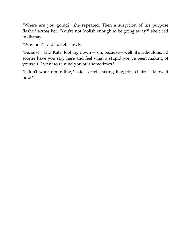"Where are you going?" she repeated. Then a suspicion of his purpose flashed across her. "You're not foolish enough to be going away?" she cried in dismay.

"Why not?" said Tarrell slowly.

"Because," said Kate, looking down—"oh, because—well, it's ridiculous. I'd sooner have you stay here and feel what a stupid you've been making of yourself. I want to remind you of it sometimes."

"I don't want reminding," said Tarrell, taking Raggett's chair; "I know it now."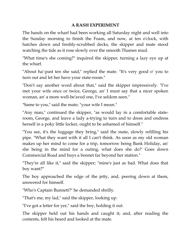#### **A RASH EXPERIMENT**

The hands on the wharf had been working all Saturday night and well into the Sunday morning to finish the Foam, and now, at ten o'clock, with hatches down and freshly-scrubbed decks, the skipper and mate stood watching the tide as it rose slowly over the smooth Thames mud.

"What time's she coming?" inquired the skipper, turning a lazy eye up at the wharf.

"About ha'-past ten she said," replied the mate. "It's very good o' you to turn out and let her have your state-room."

"Don't say another word about that," said the skipper impressively. "I've met your wife once or twice, George, an' I must say that a nicer spoken woman, an' a more well-be'aved one, I've seldom seen."

"Same to you," said the mate; "your wife I mean."

"Any man," continued the skipper, "as would lay in a comfortable stateroom, George, and leave a lady a-trying to turn and to dress and ondress herself in a poky little locker, ought to be ashamed of himself."

"You see, it's the luggage they bring," said the mate, slowly refilling his pipe. "What they want with it all I can't think. As soon as my old woman makes up her mind to come for a trip, tomorrow being Bank Holiday, an' she being in the mind for a outing, what does she do?' Goes down Commercial Road and buys a bonnet far beyond her station."

"They're all like it," said the skipper; "mine's just as bad. What does that boy want?"

The boy approached the edge of the jetty, and, peering down at them, answered for himself.

"Who's Captain Bunnett?" he demanded shrilly.

"That's me, my lad," said the skipper, looking up.

"I've got a letter for yer," said the boy, holding it out.

The skipper held out his hands and caught it; and, after reading the contents, felt his beard and looked at the mate.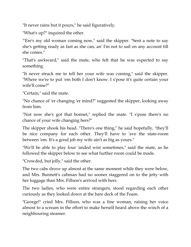"It never rains but it pours," he said figuratively.

"What's up?" inquired the other.

"'Ere's my old woman coming now," said the skipper. "Sent a note to say she's getting ready as fast as she can, an' I'm not to sail on any account till she comes."

"That's awkward," said the mate, who felt that he was expected to say something.

"It never struck me to tell her your wife was coming," said the skipper. "Where we're to put 'em both I don't know. I s'pose it's quite certain your wife'll come?"

"Certain," said the mate.

"No chance of 'er changing 'er mind?" suggested the skipper, looking away from him.

"Not now she's got that bonnet," replied the mate. "I s'pose there's no chance of your wife changing hers?"

The skipper shook his head. "There's one thing," he said hopefully, "they'll be nice company for each other. They'll have to 'ave the state-room between 'em. It's a good job my wife ain't as big as yours."

"We'll be able to play four 'anded wist sometimes," said the mate, as he followed the skipper below to see what further room could be made.

"Crowded, but jolly," said the other.

The two cabs drove up almost at the same moment while they were below, and Mrs. Bunnett's cabman had no sooner staggered on to the jetty with her luggage than Mrs. Fillson's arrived with hers.

The two ladies, who were entire strangers, stood regarding each other curiously as they looked down at the bare deck of the Foam.

"George!" cried Mrs. Fillson, who was a fine woman, raising her voice almost to a scream in the effort to make herself heard above the winch of a neighbouring steamer.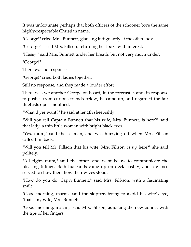It was unfortunate perhaps that both officers of the schooner bore the same highly-respectable Christian name.

"George!" cried Mrs. Bunnett, glancing indignantly at the other lady.

"Ge-orge!" cried Mrs. Fillson, returning her looks with interest.

"Hussy," said Mrs. Bunnett under her breath, but not very much under.

"George!"

There was no response.

"George!" cried both ladies together.

Still no response, and they made a louder effort

There was yet another George on board, in the forecastle, and, in response to pushes from curious friends below, he came up, and regarded the fair duettists open-mouthed.

"What d'yer want?" he said at length sheepishly.

"Will you tell Captain Bunnett that his wife, Mrs. Bunnett, is here?" said that lady, a thin little woman with bright black eyes.

"Yes, mum," said the seaman, and was hurrying off when Mrs. Fillson called him back.

"Will you tell Mr. Fillson that his wife, Mrs. Fillson, is up here?" she said politely.

"All right, mum," said the other, and went below to communicate the pleasing tidings. Both husbands came up on deck hastily, and a glance served to show them how their wives stood.

"How do you do, Cap'n Bunnett," said Mrs. Fill-son, with a fascinating smile.

"Good-morning, marm," said the skipper, trying to avoid his wife's eye; "that's my wife, Mrs. Bunnett."

"Good-morning, ma'am," said Mrs. Fillson, adjusting the new bonnet with the tips of her fingers.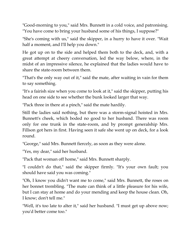"Good-morning to you," said Mrs. Bunnett in a cold voice, and patronising. "You have come to bring your husband some of his things, I suppose?"

"She's coming with us," said the skipper, in a hurry to have it over. "Wait half a moment, and I'll help you down."

He got up on to the side and helped them both to the deck, and, with a great attempt at cheery conversation, led the way below, where, in the midst of an impressive silence, he explained that the ladies would have to share the state-room between them.

"That's the only way out of it," said the mate, after waiting in vain for them to say something.

"It's a fairish size when you come to look at it," said the skipper, putting his head on one side to see whether the bunk looked larger that way.

"Pack three in there at a pinch," said the mate hardily.

Still the ladies said nothing, but there was a storm-signal hoisted in Mrs. Bunnett's cheek, which boded no good to her husband. There was room only for one trunk in the state-room, and by prompt generalship Mrs. Fillson got hers in first. Having seen it safe she went up on deck, for a look round.

"George," said Mrs. Bunnett fiercely, as soon as they were alone.

"Yes, my dear," said her husband.

"Pack that woman off home," said Mrs. Bunnett sharply.

"I couldn't do that," said the skipper firmly. "It's your own fault; you should have said you was coming."

"Oh, I know you didn't want me to come," said Mrs. Bunnett, the roses on her bonnet trembling. "The mate can think of a little pleasure for his wife, but I can stay at home and do your mending and keep the house clean. Oh, I know; don't tell me."

"Well, it's too late to alter it," said her husband. "I must get up above now; you'd better come too."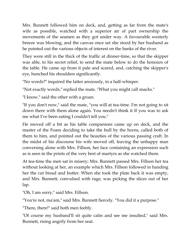Mrs. Bunnett followed him on deck, and, getting as far from the mate's wife as possible, watched with a superior air of part ownership the movements of the seamen as they got under way. A favourable westerly breeze was blowing, and the canvas once set she stood by her husband as he pointed out the various objects of interest on the banks of the river.

They were still in the thick of the traffic at dinner-time, so that the skipper was able, to his secret relief, to send the mate below to do the honours of the table. He came up from it pale and scared, and, catching the skipper's eye, hunched his shoulders significantly.

"No words?" inquired the latter anxiously, in a half-whisper.

"Not exactly words," replied the mate. "What you might call snacks."

"I know," said the other with a groan.

"If you don't now," said the mate, "you will at tea-time. I'm not going to sit down there with them alone again. You needn't think it If you was to ask me what I've been eating I couldn't tell you."

He moved off a bit as his table companions came up on deck, and the master of the Foam deciding to take the bull by the horns, called both of them to him, and pointed out the beauties of the various passing craft. In the midst of his discourse his wife moved off, leaving the unhappy man conversing alone with Mrs. Fillson, her face containing an expression such as is seen in the prints of the very best of martyrs as she watched them.

At tea-time the men sat in misery; Mrs. Bunnett passed Mrs. Fillson her tea without looking at her, an example which Mrs. Fillson followed in handing her the cut bread and butter. When she took the plate back it was empty, and Mrs. Bunnett, convulsed with rage, was picking the slices out of her lap.

"Oh, I am sorry," said Mrs. Fillson.

"You're not, ma'am," said Mrs. Bunnett fiercely. "You did it a purpose."

"There, there!" said both men feebly.

"Of course my husband'll sit quite calm and see me insulted," said Mrs. Bunnett, rising angrily from her seat.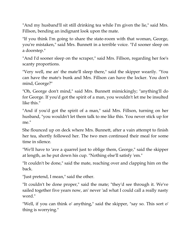"And my husband'll sit still drinking tea while I'm given the lie," said Mrs. Fillson, bending an indignant look upon the mate.

"If you think I'm going to share the state-room with that woman, George, you're mistaken," said Mrs. Bunnett in a terrible voice. "I'd sooner sleep on a doorstep."

"And I'd sooner sleep on the scraper," said Mrs. Fillson, regarding her foe's scanty proportions.

"Very well, me an' the mate'll sleep there," said the skipper wearily. "You can have the mate's bunk and Mrs. Fillson can have the locker. You don't mind, George?"

"Oh, George don't mind," said Mrs. Bunnett mimickingly; "anything'll do for George. If you'd got the spirit of a man, you wouldn't let me be insulted like this."

"And if you'd got the spirit of a man," said Mrs. Fillson, turning on her husband, "you wouldn't let them talk to me like this. You never stick up for me."

She flounced up on deck where Mrs. Bunnett, after a vain attempt to finish her tea, shortly followed her. The two men continued their meal for some time in silence.

"We'll have to 'ave a quarrel just to oblige them, George," said the skipper at length, as he put down his cup. "Nothing else'll satisfy 'em."

"It couldn't be done," said the mate, reaching over and clapping him on the back.

"Just pretend, I mean," said the other.

"It couldn't be done proper," said the mate; "they'd see through it. We've sailed together five years now, an' never 'ad what I could call a really nasty word."

"Well, if you can think o' anything," said the skipper, "say so. This sort o' thing is worrying."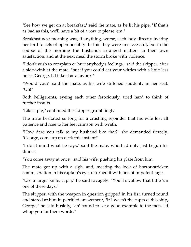"See how we get on at breakfast," said the mate, as he lit his pipe. "If that's as bad as this, we'll have a bit of a row to please 'em."

Breakfast next morning was, if anything, worse, each lady directly inciting her lord to acts of open hostility. In this they were unsuccessful, but in the course of the morning the husbands arranged matters to their own satisfaction, and at the next meal the storm broke with violence.

"I don't wish to complain or hurt anybody's feelings," said the skipper, after a side-wink at the mate, "but if you could eat your wittles with a little less noise, George, I'd take it as a favour."

"Would you?" said the mate, as his wife stiffened suddenly in her seat. "Oh!"

Both belligerents, eyeing each other ferociously, tried hard to think of further insults.

"Like a pig," continued the skipper grumblingly.

The mate hesitated so long for a crushing rejoinder that his wife lost all patience and rose to her feet crimson with wrath.

"How dare you talk to my husband like that?" she demanded fiercely. "George, come up on deck this instant!"

"I don't mind what he says," said the mate, who had only just begun his dinner.

"You come away at once," said his wife, pushing his plate from him.

The mate got up with a sigh, and, meeting the look of horror-stricken commiseration in his captain's eye, returned it with one of impotent rage.

"Use a larger knife, cap'n," he said savagely. "You'll swallow that little 'un one of these days."

The skipper, with the weapon in question gripped in his fist, turned round and stared at him in petrified amazement, "If I wasn't the cap'n o' this ship, George," he said huskily, "an' bound to set a good example to the men, I'd whop you for them words."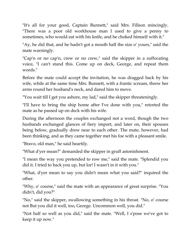"It's all for your good, Captain Bunnett," said Mrs. Fillson mincingly. "There was a poor old workhouse man I used to give a penny to sometimes, who would eat with his knife, and he choked himself with it."

"Ay, he did that, and he hadn't got a mouth half the size o' yours," said the mate warningly.

"Cap'n or no cap'n, crew or no crew," said the skipper in a suffocating voice, "I can't stand this. Come up on deck, George, and repeat them words."

Before the mate could accept the invitation, he was dragged back by his wife, while at the same time Mrs. Bunnett, with a frantic scream, threw her arms round her husband's neck, and dared him to move.

"You wait till I get you ashore, my lad," said the skipper threateningly.

"I'll have to bring the ship home after I've done with you," retorted the mate as he passed up on deck with his wife.

During the afternoon the couples exchanged not a word, though the two husbands exchanged glances of fiery import, and later on, their spouses being below, gradually drew near to each other. The mate, however, had been thinking, and as they came together met his foe with a pleasant smile.

"Bravo, old man," he said heartily.

"What d'yer mean?" demanded the skipper in gruff astonishment.

"I mean the way you pretended to row me," said the mate. "Splendid you did it. I tried to back you up, but lor! I wasn't in it with you."

"What, d'yer mean to say you didn't mean what you said?" inquired the other.

"Why, o' course," said the mate with an appearance of great surprise. "You didn't, did you?"

"No," said the skipper, swallowing something in his throat. "No, o' course not But you did it well, too, George. Uncommon well, you did."

"Not half so well as you did," said the mate. "Well, I s'pose we've got to keep it up now."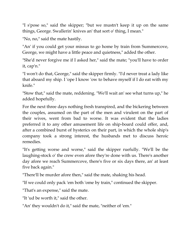"I s'pose so," said the skipper; "but we mustn't keep it up on the same things, George. Swallerin' knives an' that sort o' thing, I mean."

"No, no," said the mate hastily.

"An' if you could get your missus to go home by train from Summercove, George, we might have a little peace and quietness," added the other.

"She'd never forgive me if I asked her," said the mate; "you'll have to order it, cap'n."

"I won't do that, George," said the skipper firmly. "I'd never treat a lady like that aboard my ship. I 'ope I know 'ow to behave myself if I do eat with my knife."

"Stow that," said the mate, reddening. "We'll wait an' see what turns up," he added hopefully.

For the next three days nothing fresh transpired, and the bickering between the couples, assumed on the part of the men and virulent on the part of their wives, went from bad to worse. It was evident that the ladies preferred it to any other amusement life on ship-board could offer, and, after a combined burst of hysterics on their part, in which the whole ship's company took a strong interest, the husbands met to discuss heroic remedies.

"It's getting worse and worse," said the skipper ruefully. "We'll be the laughing-stock o' the crew even afore they're done with us. There's another day afore we reach Summercove, there's five or six days there, an' at least five back again."

"There'll be murder afore then," said the mate, shaking his head.

"If we could only pack 'em both 'ome by train," continued the skipper.

"That's an expense," said the mate.

"It 'ud be worth it," said the other.

"An' they wouldn't do it," said the mate, "neither of 'em."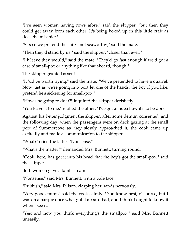"I've seen women having rows afore," said the skipper, "but then they could get away from each other. It's being boxed up in this little craft as does the mischief."

"S'pose we pretend the ship's not seaworthy," said the mate.

"Then they'd stand by us," said the skipper, "closer than ever."

"I b'leeve they would," said the mate. "They'd go fast enough if we'd got a case o' small-pox or anything like that aboard, though."

The skipper grunted assent.

"It 'ud be worth trying," said the mate. "We've pretended to have a quarrel. Now just as we're going into port let one of the hands, the boy if you like, pretend he's sickening for small-pox."

"How's he going to do it?" inquired the skipper derisively.

"You leave it to me," replied the other. "I've got an idea how it's to be done."

Against his better judgment the skipper, after some demur, consented, and the following day, when the passengers were on deck gazing at the small port of Summercove as they slowly approached it, the cook came up excitedly and made a communication to the skipper.

"What?" cried the latter. "Nonsense."

"What's the matter?" demanded Mrs. Bunnett, turning round.

"Cook, here, has got it into his head that the boy's got the small-pox," said the skipper.

Both women gave a faint scream.

"Nonsense," said Mrs. Bunnett, with a pale face.

"Rubbish," said Mrs. Fillson, clasping her hands nervously.

"Very good, mum," said the cook calmly. "You know best, o' course, but I was on a barque once what got it aboard bad, and I think I ought to know it when I see it."

"Yes; and now you think everything's the smallpox," said Mrs. Bunnett uneasily.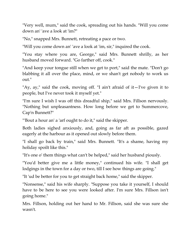"Very well, mum," said the cook, spreading out his hands. "Will you come down an' 'ave a look at 'im?"

"No," snapped Mrs. Bunnett, retreating a pace or two.

"Will you come down an' 'ave a look at 'im, sir," inquired the cook.

"You stay where you are, George," said Mrs. Bunnett shrilly, as her husband moved forward. "Go farther off, cook."

"And keep your tongue still when we get to port," said the mate. "Don't go blabbing it all over the place, mind, or we shan't get nobody to work us out."

"Ay, ay," said the cook, moving off. "I ain't afraid of it $-I'$ ve given it to people, but I've never took it myself yet."

"I'm sure I wish I was off this dreadful ship," said Mrs. Fillson nervously. "Nothing but unpleasantness. How long before we get to Summercove, Cap'n Bunnett?"

"'Bout a hour an' a 'arf ought to do it," said the skipper.

Both ladies sighed anxiously, and, going as far aft as possible, gazed eagerly at the harbour as it opened out slowly before them.

"I shall go back by train," said Mrs. Bunnett. "It's a shame, having my holiday spoilt like this."

"It's one o' them things what can't be helped," said her husband piously.

"You'd better give me a little money," continued his wife. "I shall get lodgings in the town for a day or two, till I see how things are going."

"It 'ud be better for you to get straight back home," said the skipper.

"Nonsense," said his wife sharply. "Suppose you take it yourself, I should have to be here to see you were looked after. I'm sure Mrs. Fillson isn't going home."

Mrs. Fillson, holding out her hand to Mr. Fillson, said she was sure she wasn't.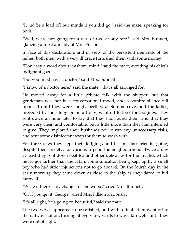"It 'ud be a load off our minds if you did go," said the mate, speaking for both.

"Well, we're not going for a day or two at any-rate," said Mrs. Bunnett, glancing almost amiably at Mrs. Fillson.

In face of this declaration, and in view of the persistent demands of the ladies, both men, with a very ill grace furnished them with some money.

"Don't say a word about it ashore, mind," said the mate, avoiding his chief's indignant gaze.

"But you must have a doctor," said Mrs. Bunnett.

"I know of a doctor here," said the mate; "that's all arranged for."

He moved away for a little private talk with the skipper, but that gentleman was not in a conversational mood, and a sombre silence fell upon all until they were snugly berthed at Summercove, and the ladies, preceded by their luggage on a trolly, went off to look for lodgings. They sent down an hour later to say that they had found them, and that they were very clean and comfortable, but a little more than they had intended to give. They implored their husbands not to run any unnecessary risks, and sent some disinfectant soap for them to wash with.

For three days they kept their lodgings and became fast friends, going, despite their anxiety, for various trips in the neighbourhood. Twice a day at least they sent down beef-tea and other delicacies for the invalid, which never got farther than the cabin, communication being kept up by a small boy who had strict injunctions not to go aboard. On the fourth day in the early morning they came down as close to the ship as they dared to bid farewell.

"Write if there's any change for the worse," cried Mrs. Bunnett.

"Or if you get it, George," cried Mrs. Fillson anxiously.

"It's all right, he's going on beautiful," said the mate.

The two wives appeared to be satisfied, and with a final adieu went off to the railway station, turning at every few yards to wave farewells until they were out of sight.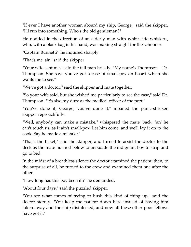"If ever I have another woman aboard my ship, George," said the skipper, "I'll run into something. Who's the old gentleman?"

He nodded in the direction of an elderly man with white side-whiskers, who, with a black bag in his hand, was making straight for the schooner.

"Captain Bunnett?" he inquired sharply.

"That's me, sir," said the skipper.

"Your wife sent me," said the tall man briskly. "My name's Thompson—Dr. Thompson. She says you've got a case of small-pox on board which she wants me to see."

"We've got a doctor," said the skipper and mate together.

"So your wife said, but she wished me particularly to see the case," said Dr. Thompson. "It's also my duty as the medical officer of the port."

"You've done it, George, you've done it," moaned the panic-stricken skipper reproachfully.

"Well, anybody can make a mistake," whispered the mate' back; "an' he can't touch us, as it ain't small-pox. Let him come, and we'll lay it on to the cook. Say he made a mistake."

"That's the ticket," said the skipper, and turned to assist the doctor to the deck as the mate hurried below to persuade the indignant boy to strip and go to bed.

In the midst of a breathless silence the doctor examined the patient; then, to the surprise of all, he turned to the crew and examined them one after the other.

"How long has this boy been ill?" he demanded.

"About four days," said the puzzled skipper.

"You see what comes of trying to hush this kind of thing up," said the doctor sternly. "You keep the patient down here instead of having him taken away and the ship disinfected, and now all these other poor fellows have got it."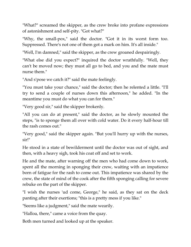"What?" screamed the skipper, as the crew broke into profane expressions of astonishment and self-pity. "Got what?"

"Why, the small-pox," said the doctor. "Got it in its worst form too. Suppressed. There's not one of them got a mark on him. It's all inside."

"Well, I'm damned," said the skipper, as the crew groaned despairingly.

"What else did you expect?" inquired the doctor wrathfully. "Well, they can't be moved now; they must all go to bed, and you and the mate must nurse them."

"And s'pose we catch it?" said the mate feelingly.

"You must take your chance," said the doctor; then he relented a little. "I'll try to send a couple of nurses down this afternoon," he added. "In the meantime you must do what you can for them."

"Very good sir," said the skipper brokenly.

"All you can do at present," said the doctor, as he slowly mounted the steps, "is to sponge them all over with cold water. Do it every half-hour till the rash comes out."

"Very good," said the skipper again. "But you'll hurry up with the nurses, sir!"

He stood in a state of bewilderment until the doctor was out of sight, and then, with a heavy sigh, took his coat off and set to work.

He and the mate, after warning off the men who had come down to work, spent all the morning in sponging their crew, waiting with an impatience born of fatigue for the rash to come out. This impatience was shared by the crew, the state of mind of the cook after the fifth sponging calling for severe rebuke on the part of the skipper.

"I wish the nurses 'ud come, George," he said, as they sat on the deck panting after their exertions; "this is a pretty mess if you like."

"Seems like a judgment," said the mate wearily.

"Halloa, there," came a voice from the quay.

Both men turned and looked up at the speaker.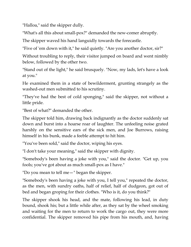"Halloa," said the skipper dully.

"What's all this about small-pox?" demanded the new-comer abruptly.

The skipper waved his hand languidly towards the forecastle.

"Five of 'em down with it," he said quietly. "Are you another doctor, sir?"

Without troubling to reply, their visitor jumped on board and went nimbly below, followed by the other two.

"Stand out of the light," he said brusquely. "Now, my lads, let's have a look at you."

He examined them in a state of bewilderment, grunting strangely as the washed-out men submitted to his scrutiny.

"They've had the best of cold sponging," said the skipper, not without a little pride.

"Best of what?" demanded the other.

The skipper told him, drawing back indignantly as the doctor suddenly sat down and burst into a hoarse roar of laughter. The unfeeling noise grated harshly on the sensitive ears of the sick men, and Joe Burrows, raising himself in his bunk, made a feeble attempt to hit him.

"You've been sold," said the doctor, wiping his eyes.

"I don't take your meaning," said the skipper with dignity.

"Somebody's been having a joke with you," said the doctor. "Get up, you fools; you've got about as much small-pox as I have."

"Do you mean to tell me—" began the skipper.

"Somebody's been having a joke with you, I tell you," repeated the doctor, as the men, with sundry oaths, half of relief, half of dudgeon, got out of bed and began groping for their clothes. "Who is it, do you think?"

The skipper shook his head, and the mate, following his lead, in duty bound, shook his; but a little while after, as they sat by the wheel smoking and waiting for the men to return to work the cargo out, they were more confidential. The skipper removed his pipe from his mouth, and, having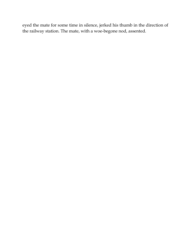eyed the mate for some time in silence, jerked his thumb in the direction of the railway station. The mate, with a woe-begone nod, assented.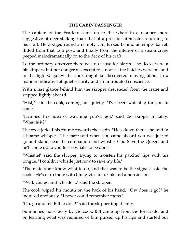## **THE CABIN PASSENGER**

The captain of the Fearless came on to the wharf in a manner more suggestive of deer-stalking than that of a prosaic shipmaster returning to his craft. He dodged round an empty van, lurked behind an empty barrel, flitted from that to a post, and finally from the interior of a steam crane peeped melodramatically on to the deck of his craft.

To the ordinary observer there was no cause for alarm. The decks were a bit slippery but not dangerous except to a novice; the hatches were on, and in the lighted galley the cook might be discovered moving about in a manner indicative of quiet security and an untroubled conscience.

With a last glance behind him the skipper descended from the crane and stepped lightly aboard.

"Hist," said the cook, coming out quietly. "I've been watching for you to come."

"Damned fine idea of watching you've got," said the skipper irritably. "What is it?"

The cook jerked his thumb towards the cabin. "He's down there," he said in a hoarse whisper. "The mate said when you came aboard you was just to go and stand near the companion and whistle 'God Save the Queen' and he'll come up to you to see what's to be done."

"Whistle!" said the skipper, trying to moisten his parched lips with his tongue. "I couldn't whistle just now to save my life."

"The mate don't know what to do, and that was to be the signal," said the cook. "He's darn there with him givin' 'im drink and amoosin' 'im."

"Well, you go and whistle it," said the skipper.

The cook wiped his mouth on the back of his hand. "'Ow does it go?" he inquired anxiously. "I never could remember toons."

"Oh, go and tell Bill to do it!" said the skipper impatiently.

Summoned noiselessly by the cook, Bill came up from the forecastle, and on learning what was required of him pursed up his lips and started our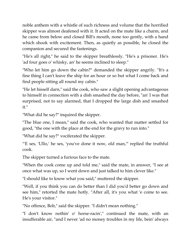noble anthem with a whistle of such richness and volume that the horrified skipper was almost deafened with it. It acted on the mate like a charm, and he came from below and closed Bill's mouth, none too gently, with a hand which shook with excitement. Then, as quietly as possible, he closed the companion and secured the fastenings.

"He's all right," he said to the skipper breathlessly. "He's a prisoner. He's 'ad four goes o' whisky, an' he seems inclined to sleep."

"Who let him go down the cabin?" demanded the skipper angrily. "It's a fine thing I can't leave the ship for an hour or so but what I come back and find people sitting all round my cabin."

"He let hisself darn," said the cook, who saw a slight opening advantageous to himself in connection with a dish smashed the day before, "an' I was that surprised, not to say alarmed, that I dropped the large dish and smashed it."

"What did he say?" inquired the skipper.

"The blue one, I mean," said the cook, who wanted that matter settled for good, "the one with the place at the end for the gravy to run into."

"What did he say?" vociferated the skipper.

"'E ses, 'Ullo,' he ses, 'you've done it now, old man,'" replied the truthful cook.

The skipper turned a furious face to the mate.

"When the cook come up and told me," said the mate, in answer, "I see at once what was up, so I went down and just talked to him clever like."

"I should like to know what you said," muttered the skipper.

"Well, if you think you can do better than I did you'd better go down and see him," retorted the mate hotly. "After all, it's you what 'e come to see. He's your visitor."

"No offence, Bob," said the skipper. "I didn't mean nothing."

"I don't know nothin' o' horse-racin'," continued the mate, with an insufferable air, "and I never 'ad no money troubles in my life, bein' always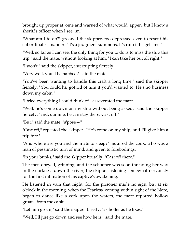brought up proper at 'ome and warned of what would 'appen, but I know a sheriff's officer when I see 'im."

"What am I to do?" groaned the skipper, too depressed even to resent his subordinate's manner. "It's a judgment summons. It's ruin if he gets me."

"Well, so far as I can see, the only thing for you to do is to miss the ship this trip," said the mate, without looking at him. "I can take her out all right."

"I won't," said the skipper, interrupting fiercely.

"Very well, you'll be nabbed," said the mate.

"You've been wanting to handle this craft a long time," said the skipper fiercely. "You could ha' got rid of him if you'd wanted to. He's no business down my cabin."

"I tried everything I could think of," asseverated the mate.

"Well, he's come down on my ship without being asked," said the skipper fiercely, "and, damme, he can stay there. Cast off."

"But," said the mate, "s'pose—"

"Cast off," repeated the skipper. "He's come on my ship, and I'll give him a trip free."

"And where are you and the mate to sleep?" inquired the cook, who was a man of pessimistic turn of mind, and given to forebodings.

"In your bunks," said the skipper brutally. "Cast off there."

The men obeyed, grinning, and the schooner was soon threading her way in the darkness down the river, the skipper listening somewhat nervously for the first intimation of his captive's awakening.

He listened in vain that night, for the prisoner made no sign, but at six o'clock in the morning, when the Fearless, coming within sight of the Nore, began to dance like a cork upon the waters, the mate reported hollow groans from the cabin.

"Let him groan," said the skipper briefly, "as holler as he likes."

"Well, I'll just go down and see how he is," said the mate.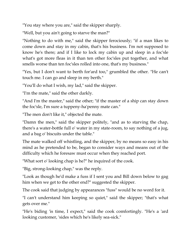"You stay where you are," said the skipper sharply.

"Well, but you ain't going to starve the man?"

"Nothing to do with me," said the skipper ferociously; "if a man likes to come down and stay in my cabin, that's his business. I'm not supposed to know he's there; and if I like to lock my cabin up and sleep in a foc'sle what's got more fleas in it than ten other foc'sles put together, and what smells worse than ten foc'sles rolled into one, that's my business."

"Yes, but I don't want to berth for'ard too," grumbled the other. "He can't touch me. I can go and sleep in my berth."

"You'll do what I wish, my lad," said the skipper.

"I'm the mate," said the other darkly.

"And I'm the master," said the other; "if the master of a ship can stay down the foc'sle, I'm sure a tuppeny-ha'penny mate can."

"The men don't like it," objected the mate.

"Damn the men," said the skipper politely, "and as to starving the chap, there's a water-bottle full o' water in my state-room, to say nothing of a jug, and a bag o' biscuits under the table."

The mate walked off whistling, and the skipper, by no means so easy in his mind as he pretended to be, began to consider ways and means out of the difficulty which he foresaw must occur when they reached port.

"What sort o' looking chap is he?" he inquired of the cook.

"Big, strong-looking chap," was the reply.

"Look as though he'd make a fuss if I sent you and Bill down below to gag him when we get to the other end?" suggested the skipper.

The cook said that judging by appearances "fuss" would be no word for it.

"I can't understand him keeping so quiet," said the skipper; "that's what gets over me."

"He's biding 'is time, I expect," said the cook comfortingly. "He's a 'ard looking customer, 'sides which he's likely sea-sick."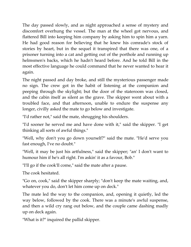The day passed slowly, and as night approached a sense of mystery and discomfort overhung the vessel. The man at the wheel got nervous, and flattered Bill into keeping him company by asking him to spin him a yarn. He had good reason for believing that he knew his comrade's stock of stories by heart, but in the sequel it transpired that there was one, of a prisoner turning into a cat and getting out of the porthole and running up helmsmen's backs, which he hadn't heard before. And he told Bill in the most effective language he could command that he never wanted to hear it again.

The night passed and day broke, and still the mysterious passenger made no sign. The crew got in the habit of listening at the companion and peeping through the skylight; but the door of the stateroom was closed, and the cabin itself as silent as the grave. The skipper went about with a troubled face, and that afternoon, unable to endure the suspense any longer, civilly asked the mate to go below and investigate.

"I'd rather not," said the mate, shrugging his shoulders.

"I'd sooner he served me and have done with it," said the skipper. "I get thinking all sorts of awful things."

"Well, why don't you go down yourself?" said the mate. "He'd serve you fast enough, I've no doubt."

"Well, it may be just his artfulness," said the skipper; "an' I don't want to humour him if he's all right. I'm askin' it as a favour, Bob."

"I'll go if the cook'll come," said the mate after a pause.

The cook hesitated.

"Go on, cook," said the skipper sharply; "don't keep the mate waiting, and, whatever you do, don't let him come up on deck."

The mate led the way to the companion, and, opening it quietly, led the way below, followed by the cook. There was a minute's awful suspense, and then a wild cry rang out below, and the couple came dashing madly up on deck again.

"What is it?" inquired the pallid skipper.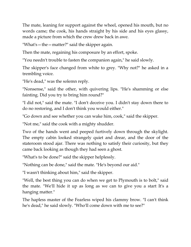The mate, leaning for support against the wheel, opened his mouth, but no words came; the cook, his hands straight by his side and his eyes glassy, made a picture from which the crew drew back in awe.

"What's—the—matter?" said the skipper again.

Then the mate, regaining his composure by an effort, spoke.

"You needn't trouble to fasten the companion again," he said slowly.

The skipper's face changed from white to grey. "Why not?" he asked in a trembling voice.

"He's dead," was the solemn reply.

"Nonsense," said the other, with quivering lips. "He's shamming or else fainting. Did you try to bring him round?"

"I did not," said the mate. "I don't deceive you. I didn't stay down there to do no restoring, and I don't think you would either."

"Go down and see whether you can wake him, cook," said the skipper.

"Not me," said the cook with a mighty shudder.

Two of the hands went and peeped furtively down through the skylight. The empty cabin looked strangely quiet and drear, and the door of the stateroom stood ajar. There was nothing to satisfy their curiosity, but they came back looking as though they had seen a ghost.

"What's to be done?" said the skipper helplessly.

"Nothing can be done," said the mate. "He's beyond our aid."

"I wasn't thinking about him," said the skipper.

"Well, the best thing you can do when we get to Plymouth is to bolt," said the mate. "We'll hide it up as long as we can to give you a start It's a hanging matter."

The hapless master of the Fearless wiped his clammy brow. "I can't think he's dead," he said slowly. "Who'll come down with me to see?"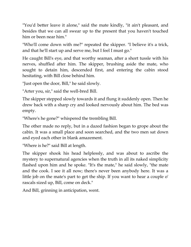"You'd better leave it alone," said the mate kindly, "it ain't pleasant, and besides that we can all swear up to the present that you haven't touched him or been near him."

"Who'll come down with me?" repeated the skipper. "I believe it's a trick, and that he'll start up and serve me, but I feel I must go."

He caught Bill's eye, and that worthy seaman, after a short tussle with his nerves, shuffled after him. The skipper, brushing aside the mate, who sought to detain him, descended first, and entering the cabin stood hesitating, with Bill close behind him.

"Just open the door, Bill," he said slowly.

"Arter you, sir," said the well-bred Bill.

The skipper stepped slowly towards it and flung it suddenly open. Then he drew back with a sharp cry and looked nervously about him. The bed was empty.

"Where's he gone?" whispered the trembling Bill.

The other made no reply, but in a dazed fashion began to grope about the cabin. It was a small place and soon searched, and the two men sat down and eyed each other in blank amazement.

"Where is he?" said Bill at length.

The skipper shook his head helplessly, and was about to ascribe the mystery to supernatural agencies when the truth in all its naked simplicity flashed upon him and he spoke. "It's the mate," he said slowly, "the mate and the cook. I see it all now; there's never been anybody here. It was a little job on the mate's part to get the ship. If you want to hear a couple o' rascals sized up, Bill, come on deck."

And Bill, grinning in anticipation, went.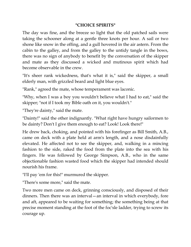## **"CHOICE SPIRITS"**

The day was fine, and the breeze so light that the old patched sails were taking the schooner along at a gentle three knots per hour. A sail or two shone like snow in the offing, and a gull hovered in the air astern. From the cabin to the galley, and from the galley to the untidy tangle in the bows, there was no sign of anybody to benefit by the conversation of the skipper and mate as they discussed a wicked and mutinous spirit which had become observable in the crew.

"It's sheer rank wickedness, that's what it is," said the skipper, a small elderly man, with grizzled beard and light blue eyes.

"Rank," agreed the mate, whose temperament was laconic.

"Why, when I was a boy you wouldn't believe what I had to eat," said the skipper; "not if I took my Bible oath on it, you wouldn't."

"They're dainty," said the mate.

"Dainty!" said the other indignantly. "What right have hungry sailormen to be dainty? Don't I give them enough to eat? Look! Look there!"

He drew back, choking, and pointed with his forefinger as Bill Smith, A.B., came on deck with a plate held at arm's length, and a nose disdainfully elevated. He affected not to see the skipper, and, walking in a mincing fashion to the side, raked the food from the plate into the sea with his fingers. He was followed by George Simpson, A.B., who in the same objectionable fashion wasted food which the skipper had intended should nourish his frame.

"I'll pay 'em for this!" murmured the skipper.

"There's some more," said the mate.

Two more men came on deck, grinning consciously, and disposed of their dinners. Then there was an interval—an interval in which everybody, fore and aft, appeared to be waiting for something; the something being at that precise moment standing at the foot of the foc'sle ladder, trying to screw its courage up.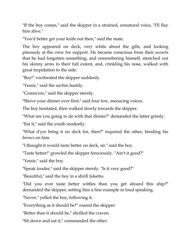"If the boy comes," said the skipper in a strained, unnatural voice, "I'll flay him alive."

"You'd better get your knife out then," said the mate.

The boy appeared on deck, very white about the gills, and looking piteously at the crew for support. He became conscious from their scowls that he had forgotten something, and remembering himself, stretched out his skinny arms to their full extent, and, crinkling his nose, walked with great trepidation to the side.

"Boy!" vociferated the skipper suddenly.

"Yessir," said the urchin hastily.

"Comm'ere," said the skipper sternly.

"Shove your dinner over first," said four low, menacing voices.

The boy hesitated, then walked slowly towards the skipper.

"What are you going to do with that dinner?" demanded the latter grimly.

"Eat it," said the youth modestly.

"What d'yer bring it on deck for, then?" inquired the other, bending his brows on him.

"I thought it would taste better on deck, sir," said the boy.

"Taste better!" growled the skipper ferociously. "Ain't it good?"

"Yessir," said the boy.

"Speak louder," said the skipper sternly. "Is it very good?"

"Beautiful," said the boy in a shrill falsetto.

"Did you ever taste better wittles than you get aboard this ship?" demanded the skipper, setting him a fine example in loud speaking.

"Never," yelled the boy, following it.

"Everything as it should be?" roared the skipper.

"Better than it should be," shrilled the craven.

"Sit down and eat it," commanded the other.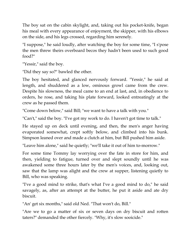The boy sat on the cabin skylight, and, taking out his pocket-knife, began his meal with every appearance of enjoyment, the skipper, with his elbows on the side, and his legs crossed, regarding him serenely.

"I suppose," he said loudly, after watching the boy for some time, "I s'pose the men threw theirs overboard becos they hadn't been used to such good food?"

"Yessir," said the boy.

"Did they say so?" bawled the other.

The boy hesitated, and glanced nervously forward. "Yessir," he said at length, and shuddered as a low, ominous growl came from the crew. Despite his slowness, the meal came to an end at last, and, in obedience to orders, he rose, and taking his plate forward, looked entreatingly at the crew as he passed them.

"Come down below," said Bill; "we want to have a talk with you."

"Can't," said the boy. "I've got my work to do. I haven't got time to talk."

He stayed up on deck until evening, and then, the men's anger having evaporated somewhat, crept softly below, and climbed into his bunk. Simpson leaned over and made a clutch at him, but Bill pushed him aside.

"Leave him alone," said he quietly; "we'll take it out of him to-morrow."

For some time Tommy lay worrying over the fate in store for him, and then, yielding to fatigue, turned over and slept soundly until he was awakened some three hours later by the men's voices, and, looking out, saw that the lamp was alight and the crew at supper, listening quietly to Bill, who was speaking.

"I've a good mind to strike, that's what I've a good mind to do," he said savagely, as, after an attempt at the butter, he put it aside and ate dry biscuit.

"An' get six months," said old Ned. "That won't do, Bill."

"Are we to go a matter of six or seven days on dry biscuit and rotten taters?" demanded the other fiercely. "Why, it's slow sooicide."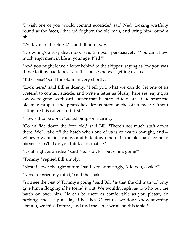"I wish one of you would commit sooicide," said Ned, looking wistfully round at the faces, "that 'ud frighten the old man, and bring him round a bit."

"Well, you're the eldest," said Bill pointedly.

"Drowning's a easy death too," said Simpson persuasively. "You can't have much enjoyment in life at your age, Ned?"

"And you might leave a letter behind to the skipper, saying as 'ow you was drove to it by bad food," said the cook, who was getting excited.

"Talk sense!" said the old man very shortly.

"Look here," said Bill suddenly. "I tell you what we can do: let one of us pretend to commit suicide, and write a letter as Slushy here ses, saying as 'ow we're gone overboard sooner than be starved to death. It 'ud scare the old man proper; and p'raps he'd let us start on the other meat without eating up this rotten stuff first."

"How's it to be done?" asked Simpson, staring.

"Go an' 'ide down the fore 'old," said Bill. "There's not much stuff down there. We'll take off the hatch when one of us is on watch to-night, and whoever wants to—can go and hide down there till the old man's come to his senses. What do you think of it, mates?"

"It's all right as an idea," said Ned slowly, "but who's going?"

"Tommy," replied Bill simply.

"Blest if I ever thought of him," said Ned admiringly; "did you, cookie?"

"Never crossed my mind," said the cook.

"You see the best o' Tommy's going," said Bill, "is that the old man 'ud only give him a flogging if he found it out. We wouldn't split as to who put the hatch on over him. He can be there as comfortable as you please, do nothing, and sleep all day if he likes. O' course we don't know anything about it, we miss Tommy, and find the letter wrote on this table."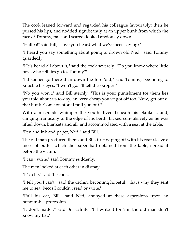The cook leaned forward and regarded his colleague favourably; then he pursed his lips, and nodded significantly at an upper bunk from which the face of Tommy, pale and scared, looked anxiously down.

"Halloa!" said Bill, "have you heard what we've been saying?"

"I heard you say something about going to drown old Ned," said Tommy guardedly.

"He's heard all about it," said the cook severely. "Do you know where little boys who tell lies go to, Tommy?"

"I'd sooner go there than down the fore 'old," said Tommy, beginning to knuckle his eyes. "I won't go. I'll tell the skipper."

"No you won't," said Bill sternly. "This is your punishment for them lies you told about us to-day, an' very cheap you've got off too. Now, get out o' that bunk. Come on afore I pull you out."

With a miserable whimper the youth dived beneath his blankets, and, clinging frantically to the edge of his berth, kicked convulsively as he was lifted down, blankets and all, and accommodated with a seat at the table.

"Pen and ink and paper, Ned," said Bill.

The old man produced them, and Bill, first wiping off with his coat-sleeve a piece of butter which the paper had obtained from the table, spread it before the victim.

"I can't write," said Tommy suddenly.

The men looked at each other in dismay.

"It's a lie," said the cook.

"I tell you I can't," said the urchin, becoming hopeful; "that's why they sent me to sea, becos I couldn't read or write."

"Pull his ear, Bill," said Ned, annoyed at these aspersions upon an honourable profession.

"It don't matter," said Bill calmly. "I'll write it for 'im; the old man don't know my fist."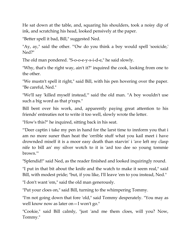He sat down at the table, and, squaring his shoulders, took a noisy dip of ink, and scratching his head, looked pensively at the paper.

"Better spell it bad, Bill," suggested Ned.

"Ay, ay," said the other. "'Ow do you think a boy would spell 'sooicide,' Ned?"

The old man pondered. "S-o-o-e-y-s-i-d-e," he said slowly.

"Why, that's the right way, ain't it?" inquired the cook, looking from one to the other.

"We mustn't spell it right," said Bill, with his pen hovering over the paper. "Be careful, Ned."

"We'll say 'killed myself instead,'" said the old man. "A boy wouldn't use such a big word as that p'raps."

Bill bent over his work, and, apparently paying great attention to his friends' entreaties not to write it too well, slowly wrote the letter.

"How's this?" he inquired, sitting back in his seat.

"'Deer captin i take my pen in hand for the larst time to innform you that i am no more suner than heat the 'orrible stuff what you kail meet i have drownded miself it is a moor easy death than starvin' i 'ave left my clasp nife to bill an' my silver wotch to it is 'ard too dee so young tommie brown.'"

"Splendid!" said Ned, as the reader finished and looked inquiringly round.

"I put in that bit about the knife and the watch to make it seem real," said Bill, with modest pride; "but, if you like, I'll leave 'em to you instead, Ned."

"I don't want 'em," said the old man generously.

"Put your cloes on," said Bill, turning to the whimpering Tommy.

"I'm not going down that fore 'old," said Tommy desperately. "You may as well know now as later on—I won't go."

"Cookie," said Bill calmly, "just 'and me them cloes, will you? Now, Tommy."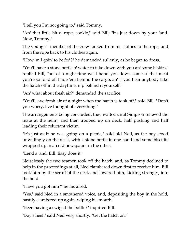"I tell you I'm not going to," said Tommy.

"An' that little bit o' rope, cookie," said Bill; "it's just down by your 'and. Now, Tommy."

The youngest member of the crew looked from his clothes to the rope, and from the rope back to his clothes again.

"How 'm I goin' to be fed?" he demanded sullenly, as he began to dress.

"You'll have a stone bottle o' water to take down with you an' some biskits," replied Bill, "an' of a night-time we'll hand you down some o' that meat you're so fond of. Hide 'em behind the cargo, an' if you hear anybody take the hatch off in the daytime, nip behind it yourself."

"An' what about fresh air?" demanded the sacrifice.

"You'll 'ave fresh air of a night when the hatch is took off," said Bill. "Don't you worry, I've thought of everything."

The arrangements being concluded, they waited until Simpson relieved the mate at the helm, and then trooped up on deck, half pushing and half leading their reluctant victim.

"It's just as if he was going on a picnic," said old Ned, as the boy stood unwillingly on the deck, with a stone bottle in one hand and some biscuits wrapped up in an old newspaper in the other.

"Lend a 'and, Bill. Easy does it."

Noiselessly the two seamen took off the hatch, and, as Tommy declined to help in the proceedings at all, Ned clambered down first to receive him. Bill took him by the scruff of the neck and lowered him, kicking strongly, into the hold.

"Have you got him?" he inquired.

"Yes," said Ned in a smothered voice, and, depositing the boy in the hold, hastily clambered up again, wiping his mouth.

"Been having a swig at the bottle?" inquired Bill.

"Boy's heel," said Ned very shortly. "Get the hatch on."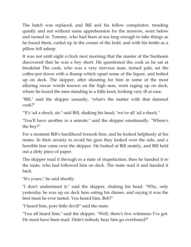The hatch was replaced, and Bill and his fellow conspirator, treading quietly and not without some apprehension for the morrow, went below and turned in. Tommy, who had been at sea long enough to take things as he found them, curled up in the corner of the hold, and with his bottle as a pillow fell asleep.

It was not until eight o'clock next morning that the master of the Sunbeam discovered that he was a boy short. He questioned the cook as he sat at breakfast The cook, who was a very nervous man, turned pale, set the coffee-pot down with a thump which upset some of the liquor, and bolted up on deck. The skipper, after shouting for him in some of the most alluring swear words known on the high seas, went raging up on deck, where he found the men standing in a little knot, looking very ill at ease.

"Bill," said the skipper uneasily, "what's the matter with that damned cook?"

"'E's 'ad a shock, sir," said Bill, shaking his head; "we've all 'ad a shock."

"You'll have another in a minute," said the skipper emotionally. "Where's the boy?"

For a moment Bill's hardihood forsook him, and he looked helplessly at his mates. In their anxiety to avoid his gaze they looked over the side, and a horrible fear came over the skipper. He looked at Bill mutely, and Bill held out a dirty piece of paper.

The skipper read it through in a state of stupefaction, then he handed it to the mate, who had followed him on deck. The mate read it and handed it back.

"It's yours," he said shortly.

"I don't understand it," said the skipper, shaking his head. "Why, only yesterday he was up on deck here eating his dinner, and saying it was the best meat he ever tasted. You heard him, Bob?"

"I heard him, pore little devil!" said the mate.

"You all heard him," said the skipper. "Well, there's five witnesses I've got. He must have been mad. Didn't nobody hear him go overboard?"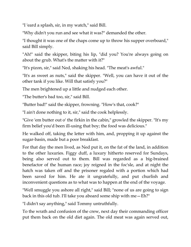"I 'eard a splash, sir, in my watch," said Bill.

"Why didn't you run and see what it was?" demanded the other.

"I thought it was one of the chaps come up to throw his supper overboard," said Bill simply.

"Ah!" said the skipper, biting his lip, "did you? You're always going on about the grub. What's the matter with it?"

"It's pizon, sir," said Ned, shaking his head. "The meat's awful."

"It's as sweet as nuts," said the skipper. "Well, you can have it out of the other tank if you like. Will that satisfy you?"

The men brightened up a little and nudged each other.

"The butter's bad too, sir," said Bill.

"Butter bad!" said the skipper, frowning. "How's that, cook?"

"I ain't done nothing to it, sir," said the cook helplessly.

"Give 'em butter out o' the firkin in the cabin," growled the skipper. "It's my firm belief you'd been ill-using that boy; the food was delicious."

He walked off, taking the letter with him, and, propping it up against the sugar-basin, made but a poor breakfast.

For that day the men lived, as Ned put it, on the fat of the land, in addition to the other luxuries. Figgy duff, a luxury hitherto reserved for Sundays, being also served out to them. Bill was regarded as a big-brained benefactor of the human race; joy reigned in the foc'sle, and at night the hatch was taken off and the prisoner regaled with a portion which had been saved for him. He ate it ungratefully, and put churlish and inconvenient questions as to what was to happen at the end of the voyage.

"Well smuggle you ashore all right," said Bill; "none of us are going to sign back in this old tub. I'll take you aboard some ship with me—Eh?"

"I didn't say anything," said Tommy untruthfully.

To the wrath and confusion of the crew, next day their commanding officer put them back on the old diet again. The old meat was again served out,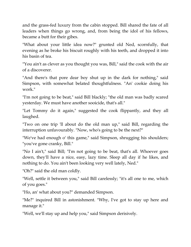and the grass-fed luxury from the cabin stopped. Bill shared the fate of all leaders when things go wrong, and, from being the idol of his fellows, became a butt for their gibes.

"What about your little idea now?" grunted old Ned, scornfully, that evening as he broke his biscuit roughly with his teeth, and dropped it into his basin of tea.

"You ain't as clever as you thought you was, Bill," said the cook with the air of a discoverer.

"And there's that pore dear boy shut up in the dark for nothing," said Simpson, with somewhat belated thoughtfulness. "An' cookie doing his work."

"I'm not going to be beat," said Bill blackly; "the old man was badly scared yesterday. We must have another sooicide, that's all."

"Let Tommy do it again," suggested the cook flippantly, and they all laughed.

"Two on one trip 'll about do the old man up," said Bill, regarding the interruption unfavourably. "Now, who's going to be the next?"

"We've had enough o' this game," said Simpson, shrugging his shoulders; "you've gone cranky, Bill."

"No I ain't," said Bill; "I'm not going to be beat, that's all. Whoever goes down, they'll have a nice, easy, lazy time. Sleep all day if he likes, and nothing to do. You ain't been looking very well lately, Ned."

"Oh?" said the old man coldly.

"Well, settle it between you," said Bill carelessly; "it's all one to me, which of you goes."

"Ho, an' what about you?" demanded Simpson.

"Me?" inquired Bill in astonishment. "Why, I've got to stay up here and manage it."

"Well, we'll stay up and help you," said Simpson derisively.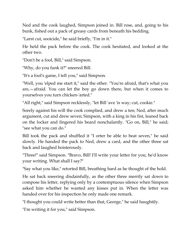Ned and the cook laughed, Simpson joined in. Bill rose, and, going to his bunk, fished out a pack of greasy cards from beneath his bedding.

"Larst cut, sooicide," he said briefly, "I'm in it."

He held the pack before the cook. The cook hesitated, and looked at the other two.

"Don't be a fool, Bill," said Simpson.

"Why, do you funk it?" sneered Bill.

"It's a fool's game, I tell you," said Simpson.

"Well, you 'elped me start it," said the other. "You're afraid, that's what you are,—afraid. You can let the boy go down there, but when it comes to yourselves you turn chicken-'arted."

"All right," said Simpson recklessly, "let Bill 'ave 'is way; cut, cookie."

Sorely against his will the cook complied, and drew a ten; Ned, after much argument, cut and drew seven; Simpson, with a king in his fist, leaned back on the locker and fingered his beard nonchalantly. "Go on, Bill," he said; "see what you can do."

Bill took the pack and shuffled it "I orter be able to beat seven," he said slowly. He handed the pack to Ned, drew a card, and the other three sat back and laughed boisterously.

"Three!" said Simpson. "Bravo, Bill! I'll write your letter for you; he'd know your writing. What shall I say?"

"Say what you like," retorted Bill, breathing hard as he thought of the hold.

He sat back sneering disdainfully, as the other three merrily sat down to compose his letter, replying only by a contemptuous silence when Simpson asked him whether he wanted any kisses put in. When the letter was handed over for his inspection he only made one remark.

"I thought you could write better than that, George," he said haughtily.

"I'm writing it for you," said Simpson.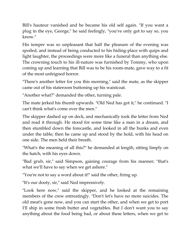Bill's hauteur vanished and he became his old self again. "If you want a plug in the eye, George," he said feelingly, "you've only got to say so, you know."

His temper was so unpleasant that half the pleasure of the evening was spoiled, and instead of being conducted to his hiding-place with quips and light laughter, the proceedings were more like a funeral than anything else. The crowning touch to his ill-nature was furnished by Tommy, who upon coming up and learning that Bill was to be his room-mate, gave way to a fit of the most unfeigned horror.

"There's another letter for you this morning," said the mate, as the skipper came out of his stateroom buttoning up his waistcoat.

"Another what?" demanded the other, turning pale.

The mate jerked his thumb upwards. "Old Ned has got it," he continued. "I can't think what's come over the men."

The skipper dashed up on deck, and mechanically took the letter from Ned and read it through. He stood for some time like a man in a dream, and then stumbled down the forecastle, and looked in all the bunks and even under the table; then he came up and stood by the hold, with his head on one side. The men held their breath.

"What's the meaning of all this?" he demanded at length, sitting limply on the hatch, with his eyes down.

"Bad grub, sir," said Simpson, gaining courage from his manner; "that's what we'll have to say when we get ashore."

"You're not to say a word about it!" said the other, firing up.

"It's our dooty, sir," said Ned impressively.

"Look here now," said the skipper, and he looked at the remaining members of the crew entreatingly. "Don't let's have no more suicides. The old meat's gone now, and you can start the other, and when we get to port I'll ship in some fresh butter and vegetables. But I don't want you to say anything about the food being bad, or about these letters, when we get to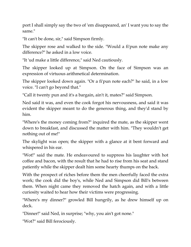port I shall simply say the two of 'em disappeared, an' I want you to say the same."

"It can't be done, sir," said Simpson firmly.

The skipper rose and walked to the side. "Would a fi'pun note make any difference?" he asked in a low voice.

"It 'ud make a little difference," said Ned cautiously.

The skipper looked up at Simpson. On the face of Simpson was an expression of virtuous arithmetical determination.

The skipper looked down again. "Or a fi'pun note each?" he said, in a low voice. "I can't go beyond that."

"Call it twenty pun and it's a bargain, ain't it, mates?" said Simpson.

Ned said it was, and even the cook forgot his nervousness, and said it was evident the skipper meant to do the generous thing, and they'd stand by him.

"Where's the money coming from?" inquired the mate, as the skipper went down to breakfast, and discussed the matter with him. "They wouldn't get nothing out of me!"

The skylight was open; the skipper with a glance at it bent forward and whispered in his ear.

"Wot!" said the mate. He endeavoured to suppress his laughter with hot coffee and bacon, with the result that he had to rise from his seat and stand patiently while the skipper dealt him some hearty thumps on the back.

With the prospect of riches before them the men cheerfully faced the extra work; the cook did the boy's, while Ned and Simpson did Bill's between them. When night came they removed the hatch again, and with a little curiosity waited to hear how their victims were progressing.

"Where's my dinner?" growled Bill hungrily, as he drew himself up on deck.

"Dinner!" said Ned, in surprise; "why, you ain't got none."

"Wot?" said Bill ferociously.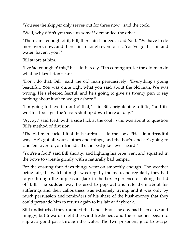"You see the skipper only serves out for three now," said the cook.

"Well, why didn't you save us some?" demanded the other.

"There ain't enough of it, Bill, there ain't indeed," said Ned. "We have to do more work now, and there ain't enough even for us. You've got biscuit and water, haven't you?"

Bill swore at him.

"I've 'ad enough o' this," he said fiercely. "I'm coming up, let the old man do what he likes. I don't care."

"Don't do that, Bill," said the old man persuasively. "Everything's going beautiful. You was quite right what you said about the old man. We was wrong. He's skeered fearful, and he's going to give us twenty pun to say nothing about it when we get ashore."

"I'm going to have ten out o' that," said Bill, brightening a little, "and it's worth it too. I get the 'orrors shut up down there all day."

"Ay, ay," said Ned, with a side kick at the cook, who was about to question Bill's method of division.

"The old man sucked it all in beautiful," said the cook. "He's in a dreadful way. He's got all your clothes and things, and the boy's, and he's going to 'and 'em over to your friends. It's the best joke I ever heard."

"You're a fool!" said Bill shortly, and lighting his pipe went and squatted in the bows to wrestle grimly with a naturally bad temper.

For the ensuing four days things went on smoothly enough. The weather being fair, the watch at night was kept by the men, and regularly they had to go through the unpleasant Jack-in-the-box experience of taking the lid off Bill. The sudden way he used to pop out and rate them about his sufferings and their callousness was extremely trying, and it was only by much persuasion and reminders of his share of the hush-money that they could persuade him to return again to his lair at daybreak.

Still undisturbed they rounded the Land's End. The day had been close and muggy, but towards night the wind freshened, and the schooner began to slip at a good pace through the water. The two prisoners, glad to escape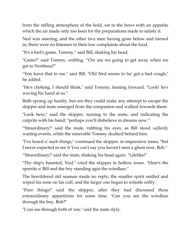from the stifling atmosphere of the hold, sat in the bows with an appetite which the air made only too keen for the preparations made to satisfy it.

Ned was steering, and the other two men having gone below and turned in, there were no listeners to their low complaints about the food.

"It's a fool's game, Tommy," said Bill, shaking his head.

"Game?" said Tommy, sniffing. "'Ow are we going to get away when we get to Northsea?"

"You leave that to me," said Bill. "Old Ned seems to ha' got a bad cough," he added.

"He's choking, I should think," said Tommy, leaning forward. "Look! he's waving his hand at us."

Both sprang up hastily, but ere they could make any attempt to escape the skipper and mate emerged from the companion and walked towards them.

"Look here," said the skipper, turning to the mate, and indicating the culprits with his hand; "perhaps you'll disbelieve in dreams now."

"'Straordinary!" said the mate, rubbing his eyes, as Bill stood sullenly waiting events, while the miserable Tommy skulked behind him.

"I've heard o' such things," continued the skipper, in impressive tones, "but I never expected to see it You can't say you haven't seen a ghost now, Bob."

"'Straordinary!" said the mate, shaking his head again. "Lifelike!"

"The ship's haunted, Ned," cried the skipper in hollow tones. "Here's the sperrits o' Bill and the boy standing agin the windlass."

The bewildered old seaman made no reply; the smaller spirit sniffed and wiped his nose on his cuff, and the larger one began to whistle softly.

"Poor things!" said the skipper, after they had discussed these extraordinary apparitions for some time. "Can you see the windlass through the boy, Bob?"

"I can see through both of 'em," said the mate slyly.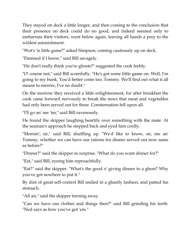They stayed on deck a little longer, and then coming to the conclusion that their presence on deck could do no good, and indeed seemed only to embarrass their visitors, went below again, leaving all hands a prey to the wildest astonishment.

"Wot's 'is little game?" asked Simpson, coming cautiously up on deck.

"Damned if I know," said Bill savagely.

"He don't really think you're ghosts?" suggested the cook feebly.

"O' course not," said Bill scornfully. "He's got some little game on. Well, I'm going to my bunk. You'd better come too, Tommy. We'll find out what it all means to-morrer, I've no doubt."

On the morrow they received a little enlightenment, for after breakfast the cook came forward nervously to break the news that meat and vegetables had only been served out for three. Consternation fell upon all.

"I'll go an' see 'im," said Bill ravenously.

He found the skipper laughing heartily over something with the mate. At the seaman's approach he stepped back and eyed him coolly.

"Mornin', sir," said Bill, shuffling up. "We'd like to know, sir, me an' Tommy, whether we can have our rations for dinner served out now same as before?"

"Dinner?" said the skipper in surprise. "What do you want dinner for?"

"Eat," said Bill, eyeing him reproachfully.

"Eat?" said the skipper. "What's the good o' giving dinner to a ghost? Why you've got nowhere to put it."

By dint of great self-control Bill smiled in a ghastly fashion, and patted his stomach.

"All air," said the skipper turning away.

"Can we have our clothes and things then?" said Bill grinding his teeth. "Ned says as how you've got 'em."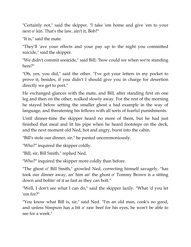"Certainly not," said the skipper. "I take 'em home and give 'em to your next o' kin. That's the law, ain't it, Bob?"

"It is," said the mate.

"They'll 'ave your effects and your pay up to the night you committed suicide," said the skipper.

"We didn't commit sooicide," said Bill; "how could we when we're standing here?"

"Oh, yes, you did," said the other. "I've got your letters in my pocket to prove it; besides, if you didn't I should give you in charge for desertion directly we get to port."

He exchanged glances with the mate, and Bill, after standing first on one leg and then on the other, walked slowly away. For the rest of the morning he stayed below setting the smaller ghost a bad example in the way of language, and threatening his fellows with all sorts of fearful punishments.

Until dinner-time the skipper heard no more of them, but he had just finished that meal and lit his pipe when he heard footsteps on the deck, and the next moment old Ned, hot and angry, burst into the cabin.

"Bill's stole our dinner, sir," he panted unceremoniously.

"Who?" inquired the skipper coldly.

"Bill, sir, Bill Smith," replied Ned.

"Who?" inquired the skipper more coldly than before.

"The ghost o' Bill Smith," growled Ned, correcting himself savagely, "has took our dinner away, an' him an' the ghost o' Tommy Brown is a sitting down and boltin' of it as fast as they can bolt."

"Well, I don't see what I can do," said the skipper lazily. "What 'd you let 'em for?"

"You know what Bill is, sir," said Ned. "I'm an old man, cook's no good, and unless Simpson has a bit o' raw beef for his eyes, he won't be able to see for a week."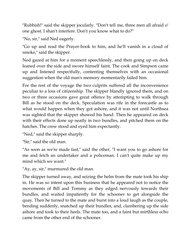"Rubbish!" said the skipper jocularly. "Don't tell me, three men all afraid o' one ghost. I shan't interfere. Don't you know what to do?"

"No, sir," said Ned eagerly.

"Go up and read the Prayer-book to him, and he'll vanish in a cloud of smoke," said the skipper.

Ned gazed at him for a moment speechlessly, and then going up on deck leaned over the side and swore himself faint. The cook and Simpson came up and listened respectfully, contenting themselves with an occasional suggestion when the old man's memory momentarily failed him.

For the rest of the voyage the two culprits suffered all the inconvenience peculiar to a loss of citizenship. The skipper blandly ignored them, and on two or three occasions gave great offence by attempting to walk through Bill as he stood on the deck. Speculation was rife in the forecastle as to what would happen when they got ashore, and it was not until Northsea was sighted that the skipper showed his hand. Then he appeared on deck with their effects done up neatly in two bundles, and pitched them on the hatches. The crew stood and eyed him expectantly.

"Ned," said the skipper sharply.

"Sir," said the old man.

"As soon as we're made fast," said the other, "I want you to go ashore for me and fetch an undertaker and a policeman. I can't quite make up my mind which we want."

"Ay, ay, sir," murmured the old man.

The skipper turned away, and seizing the helm from the mate took his ship in. He was so intent upon this business that he appeared not to notice the movements of Bill and Tommy as they edged nervously towards their bundles, and waited impatiently for the schooner to get alongside the quay. Then he turned to the mate and burst into a loud laugh as the couple, bending suddenly, snatched up their bundles, and, clambering up the side ashore and took to their heels. The mate too, and a faint but mirthless echo came from the other end of the schooner.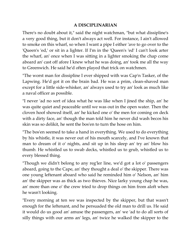## **A DISCIPLINARIAN**

There's no doubt about it," said the night watchman, "but what dissipline's a very good thing, but it don't always act well. For instance, I ain't allowed to smoke on this wharf, so when I want a pipe I either 'ave to go over to the 'Queen's 'ed,' or sit in a lighter. If I'm in the 'Queen's 'ed' I can't look arter the wharf, an' once when I was sitting in a lighter smoking the chap come aboard an' cast off afore I knew what he was doing, an' took me all the way to Greenwich. He said he'd often played that trick on watchmen.

"The worst man for dissipline I ever shipped with was Cap'n Tasker, of the Lapwing. He'd got it on the brain bad. He was a prim, clean-shaved man except for a little side-whisker, an' always used to try an' look as much like a naval officer as possible.

"I never 'ad no sort of idea what he was like when I jined the ship, an' he was quite quiet and peaceable until we was out in the open water. Then the cloven hoof showed itself, an' he kicked one o' the men for coming on deck with a dirty face, an' though the man told him he never did wash becos his skin was so delikit, he sent the bos'en to turn the hose on him.

"The bos'en seemed to take a hand in everything. We used to do everything by his whistle, it was never out of his mouth scarcely, and I've known that man to dream of it o' nights, and sit up in his sleep an' try an' blow his thumb. He whistled us to swab decks, whistled us to grub, whistled us to every blessed thing.

"Though we didn't belong to any reg'ler line, we'd got a lot o' passengers aboard, going to the Cape, an' they thought a deal o' the skipper. There was one young leftenant aboard who said he reminded him o' Nelson, an' him an' the skipper was as thick as two thieves. Nice larky young chap he was, an' more than one o' the crew tried to drop things on him from aloft when he wasn't looking.

"Every morning at ten we was inspected by the skipper, but that wasn't enough for the leftenant, and he persuaded the old man to drill us. He said it would do us good an' amuse the passengers, an' we 'ad to do all sorts of silly things with our arms an' legs, an' twice he walked the skipper to the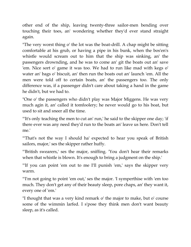other end of the ship, leaving twenty-three sailor-men bending over touching their toes, an' wondering whether they'd ever stand straight again.

"The very worst thing o' the lot was the boat-drill. A chap might be sitting comfortable at his grub, or having a pipe in his bunk, when the bos'en's whistle would scream out to him that the ship was sinking, an' the passengers drownding, and he was to come an' git the boats out an' save 'em. Nice sort o' game it was too. We had to run like mad with kegs o' water an' bags o' biscuit, an' then run the boats out an' launch 'em. All the men were told off to certain boats, an' the passengers too. The only difference was, if a passenger didn't care about taking a hand in the game he didn't, but we had to.

"One o' the passengers who didn't play was Major Miggens. He was very much agin it, an' called it tomfoolery; he never would go to his boat, but used to sit and sneer all the time.

"'It's only teaching the men to cut an' run,' he said to the skipper one day; 'if there ever was any need they'd run to the boats an' leave us here. Don't tell me.'

"'That's not the way I should ha' expected to hear you speak of British sailors, major,' ses the skipper rather huffy.

"'British swearers,' ses the major, sniffing. 'You don't hear their remarks when that whistle is blown. It's enough to bring a judgment on the ship.'

"'If you can point 'em out to me I'll punish 'em,' says the skipper very warm.

"'I'm not going to point 'em out,' ses the major. 'I symperthise with 'em too much. They don't get any of their beauty sleep, pore chaps, an' they want it, every one of 'em.'

"I thought that was a very kind remark o' the major to make, but o' course some of the wimmin larfed. I s'pose they think men don't want beauty sleep, as it's called.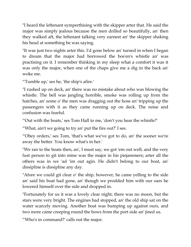"I heard the leftenant symperthising with the skipper arter that. He said the major was simply jealous because the men drilled so beautifully, an' then they walked aft, the leftenant talking very earnest an' the skipper shaking his head at something he was saying.

"It was just two nights arter this. I'd gone below an' turned in when I began to dream that the major had borrowed the bos'en's whistle an' was practising on it. I remember thinking in my sleep what a comfort it was it was only the major, when one of the chaps give me a dig in the back an' woke me.

"'Tumble up,' ses he, 'the ship's afire.'

"I rushed up on deck, an' there was no mistake about who was blowing the whistle. The bell was jangling horrible, smoke was rolling up from the hatches, an' some o' the men was dragging out the hose an' tripping up the passengers with it as they came running up on deck. The noise and confusion was fearful.

"'Out with the boats,' ses Tom Hall to me, 'don't you hear the whistle?'

"'What, ain't we going to try an' put the fire out?' I ses.

"'Obey orders,' ses Tom, 'that's what we've got to do, an' the sooner we're away the better. You know what's in her.'

"We ran to the boats then, an', I must say, we got 'em out well, and the very fust person to git into mine was the major in his piejammers; arter all the others was in we 'ad 'im out agin. He didn't belong to our boat, an' dissipline is dissipline any day.

"Afore we could git clear o' the ship, however, he came yelling to the side an' said his boat had gone, an' though we prodded him with our oars he lowered himself over the side and dropped in.

"Fortunately for us it was a lovely clear night; there was no moon, but the stars were very bright. The engines had stopped, an' the old ship sat on the water scarcely moving. Another boat was bumping up against ours, and two more came creeping round the bows from the port side an' jined us.

"'Who's in command?' calls out the major.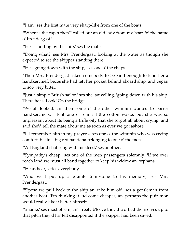"'I am,' ses the first mate very sharp-like from one of the boats.

"'Where's the cap'n then?' called out an old lady from my boat, 'o' the name o' Prendergast.'

"'He's standing by the ship,' ses the mate.

"'Doing what?' ses Mrs. Prendergast, looking at the water as though she expected to see the skipper standing there.

"'He's going down with the ship,' ses one o' the chaps.

"Then Mrs. Prendergast asked somebody to be kind enough to lend her a handkerchief, becos she had left her pocket behind aboard ship, and began to sob very bitter.

"'Just a simple British sailor,' ses she, snivelling, 'going down with his ship. There he is. Look! On the bridge.'

"We all looked, an' then some o' the other wimmin wanted to borrer handkerchiefs. I lent one of 'em a little cotton waste, but she was so unpleasant about its being a trifle oily that she forgot all about crying, and said she'd tell the mate about me as soon as ever we got ashore.

"'I'll remember him in my prayers,' ses one o' the wimmin who was crying comfortable in a big red bandana belonging to one o' the men.

"'All England shall ring with his deed,' ses another.

"'Sympathy's cheap,' ses one of the men passengers solemnly. 'If we ever reach land we must all band together to keep his widow an' orphans.'

"'Hear, hear,' cries everybody.

""And we'll put up a granite tombstone to his memory,' ses Mrs. Prendergast.

"'S'pose we pull back to the ship an' take him off,' ses a gentleman from another boat. 'I'm thinking it 'ud come cheaper, an' perhaps the puir mon would really like it better himself.'

"'Shame,' ses most of 'em; an' I reely b'leeve they'd worked theirselves up to that pitch they'd ha' felt disapponted if the skipper had been saved.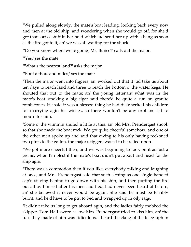"We pulled along slowly, the mate's boat leading, looking back every now and then at the old ship, and wondering when she would go off, for she'd got that sort o' stuff in her hold which 'ud send her up with a bang as soon as the fire got to it; an' we was all waiting for the shock.

"'Do you know where we're going, Mr. Bunce?' calls out the major.

"'Yes,' ses the mate.

"'What's the nearest land?' asks the major.

"'Bout a thousand miles,' ses the mate.

"Then the major went into figgers, an' worked out that it 'ud take us about ten days to reach land and three to reach the bottom o' the water kegs. He shouted that out to the mate; an' the young leftenant what was in the mate's boat smoking a big cigar said there'd be quite a run on granite tombstones. He said it was a blessed thing he had disinherited his children for marrying agin his wishes, so there wouldn't be any orphans left to mourn for him.

"Some o' the wimmin smiled a little at this, an' old Mrs. Prendergast shook so that she made the boat rock. We got quite cheerful somehow, and one of the other men spoke up and said that owing to his only having reckoned two pints to the gallon, the major's figgers wasn't to be relied upon.

"We got more cheerful then, and we was beginning to look on it as just a picnic, when I'm blest if the mate's boat didn't put about and head for the ship agin.

"There was a commotion then if you like, everybody talking and laughing at once; and Mrs. Prendergast said that such a thing as one single-handed cap'n staying behind to go down with his ship, and then putting the fire out all by himself after his men had fled, had never been heard of before, an' she believed it never would be again. She said he must be terribly burnt, and he'd have to be put to bed and wrapped up in oily rags.

"It didn't take us long to get aboard agin, and the ladies fairly mobbed the skipper. Tom Hall swore as 'ow Mrs. Prendergast tried to kiss him, an' the fuss they made of him was ridiculous. I heard the clang of the telegraph in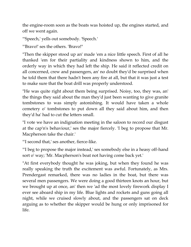the engine-room soon as the boats was hoisted up, the engines started, and off we went again.

"'Speech,' yells out somebody. 'Speech.'

"'Bravo!' ses the others. 'Bravo!"

"Then the skipper stood up an' made 'em a nice little speech. First of all he thanked 'em for their partiality and kindness shown to him, and the orderly way in which they had left the ship. He said it reflected credit on all concerned, crew and passengers, an' no doubt they'd be surprised when he told them that there hadn't been any fire at all, but that it was just a test to make sure that the boat drill was properly understood.

"He was quite right about them being surprised. Noisy, too, they was, an' the things they said about the man they'd just been wanting to give granite tombstones to was simply astonishing. It would have taken a whole cemetery o' tombstones to put down all they said about him, and then they'd ha' had to cut the letters small.

"I vote we have an indignation meeting in the saloon to record our disgust at the cap'n's behaviour,' ses the major fiercely. 'I beg to propose that Mr. Macpherson take the chair.'

"'I second that,' ses another, fierce-like.

"'I beg to propose the major instead,' ses somebody else in a heasy off-hand sort o' way; 'Mr. Macpherson's boat not having come back yet.'

"At first everybody thought he was joking, but when they found he was really speaking the truth the excitement was awful. Fortunately, as Mrs. Prendergast remarked, there was no ladies in the boat, but there was several men passengers. We were doing a good thirteen knots an hour, but we brought up at once, an' then we 'ad the most lovely firework display I ever see aboard ship in my life. Blue lights and rockets and guns going all night, while we cruised slowly about, and the passengers sat on deck arguing as to whether the skipper would be hung or only imprisoned for life.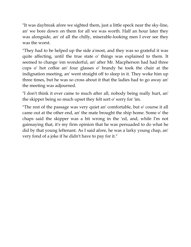"It was daybreak afore we sighted them, just a little speck near the sky-line, an' we bore down on them for all we was worth. Half an hour later they was alongside, an' of all the chilly, miserable-looking men I ever see they was the worst.

"They had to be helped up the side a'most, and they was so grateful it was quite affecting, until the true state o' things was explained to them. It seemed to change 'em wonderful, an' after Mr. Macpherson had had three cups o' hot coffee an' four glasses o' brandy he took the chair at the indignation meeting, an' went straight off to sleep in it. They woke him up three times, but he was so cross about it that the ladies had to go away an' the meeting was adjourned.

"I don't think it ever came to much after all, nobody being really hurt, an' the skipper being so much upset they felt sort o' sorry for 'im.

"The rest of the passage was very quiet an' comfortable, but o' course it all came out at the other end, an' the mate brought the ship home. Some o' the chaps said the skipper was a bit wrong in the 'ed, and, while I'm not gainsaying that, it's my firm opinion that he was persuaded to do what he did by that young leftenant. As I said afore, he was a larky young chap, an' very fond of a joke if he didn't have to pay for it."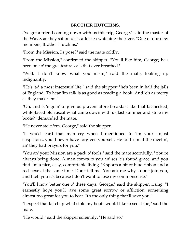## **BROTHER HUTCHINS.**

I've got a friend coming down with us this trip, George," said the master of the Wave, as they sat on deck after tea watching the river. "One of our new members, Brother Hutchins."

"From the Mission, I s'pose?" said the mate coldly.

"From the Mission," confirmed the skipper. "You'll like him, George; he's been one o' the greatest rascals that ever breathed."

"Well, I don't know what you mean," said the mate, looking up indignantly.

"He's 'ad a most interestin' life," said the skipper; "he's been in half the jails of England. To hear 'im talk is as good as reading a book. And 'e's as merry as they make 'em."

"Oh, and is 'e goin' to give us prayers afore breakfast like that fat-necked, white-faced old rascal what came down with us last summer and stole my boots?" demanded the mate.

"He never stole 'em, George," said the skipper.

"If you'd 'eard that man cry when I mentioned to 'im your unjust suspicions, you'd never have forgiven yourself. He told 'em at the meetin', an' they had prayers for you."

"You an' your Mission are a pack o' fools," said the mate scornfully. "You're always being done. A man comes to you an' ses 'e's found grace, and you find 'im a nice, easy, comfortable living. 'E sports a bit of blue ribbon and a red nose at the same time. Don't tell me. You ask me why I don't join you, and I tell you it's because I don't want to lose my commonsense."

"You'll know better one o' these days, George," said the skipper, rising. "I earnestly hope you'll 'ave some great sorrow or affliction, something almost too great for you to bear. It's the only thing that'll save you."

"I expect that fat chap what stole my boots would like to see it too," said the mate.

"He would," said the skipper solemnly. "He said so."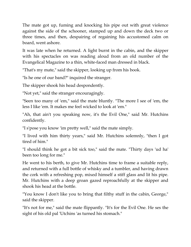The mate got up, fuming and knocking his pipe out with great violence against the side of the schooner, stamped up and down the deck two or three times, and then, despairing of regaining his accustomed calm on board, went ashore.

It was late when he returned. A light burnt in the cabin, and the skipper with his spectacles on was reading aloud from an old number of the Evangelical Magazine to a thin, white-faced man dressed in black.

"That's my mate," said the skipper, looking up from his book.

"Is he one of our band?" inquired the stranger.

The skipper shook his head despondently.

"Not yet," said the stranger encouragingly.

"Seen too many of 'em," said the mate bluntly. "The more I see of 'em, the less I like 'em. It makes me feel wicked to look at 'em."

"Ah, that ain't you speaking now, it's the Evil One," said Mr. Hutchins confidently.

"I s'pose you know 'im pretty well," said the mate simply.

"I lived with him thirty years," said Mr. Hutchins solemnly, "then I got tired of him."

"I should think he got a bit sick too," said the mate. "Thirty days 'ud ha' been too long for me."

He went to his berth, to give Mr. Hutchins time to frame a suitable reply, and returned with a full bottle of whisky and a tumbler, and having drawn the cork with a refreshing pop, mixed himself a stiff glass and lit his pipe. Mr. Hutchins with a deep groan gazed reproachfully at the skipper and shook his head at the bottle.

"You know I don't like you to bring that filthy stuff in the cabin, George," said the skipper.

"It's not for me," said the mate flippantly. "It's for the Evil One. He ses the sight of his old pal 'Utchins 'as turned his stomach."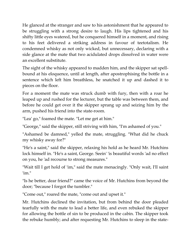He glanced at the stranger and saw to his astonishment that he appeared to be struggling with a strong desire to laugh. His lips tightened and his shifty little eyes watered, but he conquered himself in a moment, and rising to his feet delivered a striking address in favour of teetotalism. He condemned whisky as not only wicked, but unnecessary, declaring with a side glance at the mate that two acidulated drops dissolved in water were an excellent substitute.

The sight of the whisky appeared to madden him, and the skipper sat spellbound at his eloquence, until at length, after apostrophising the bottle in a sentence which left him breathless, he snatched it up and dashed it to pieces on the floor.

For a moment the mate was struck dumb with fury, then with a roar he leaped up and rushed for the lecturer, but the table was between them, and before he could get over it the skipper sprang up and seizing him by the arm, pushed his friend into the state-room.

"Lea' go," foamed the mate. "Let me get at him."

"George," said the skipper, still striving with him, "I'm ashamed of you."

"Ashamed be damned," yelled the mate, struggling. "What did he chuck my whisky away for?"

"He's a saint," said the skipper, relaxing his hold as he heard Mr. Hutchins lock himself in. "He's a saint, George. Seein' 'is beautiful words 'ad no effect on you, he 'ad recourse to strong measures."

"Wait till I get hold of 'im," said the mate menacingly. "Only wait, I'll saint 'im."

"Is he better, dear friend?" came the voice of Mr. Hutchins from beyond the door; "because I forgot the tumbler."

"Come out," roared the mate, "come out and upset it."

Mr. Hutchins declined the invitation, but from behind the door pleaded tearfully with the mate to lead a better life, and even rebuked the skipper for allowing the bottle of sin to be produced in the cabin. The skipper took the rebuke humbly; and after requesting Mr. Hutchins to sleep in the state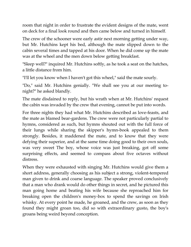room that night in order to frustrate the evident designs of the mate, went on deck for a final look round and then came below and turned in himself.

The crew of the schooner were early astir next morning getting under way, but Mr. Hutchins kept his bed, although the mate slipped down to the cabin several times and tapped at his door. When he did come up the mate was at the wheel and the men down below getting breakfast.

"Sleep well?" inquired Mr. Hutchins softly, as he took a seat on the hatches, a little distance from him.

"I'll let you know when I haven't got this wheel," said the mate sourly.

"Do," said Mr. Hutchins genially. "We shall see you at our meeting tonight?" he asked blandly.

The mate disdained to reply, but his wrath when at Mr. Hutchins' request the cabin was invaded by the crew that evening, cannot be put into words.

For three nights they had what Mr. Hutchins described as love-feasts, and the mate as blamed bear-gardens. The crew were not particularly partial to hymns, considered as such, but hymns shouted out with the full force of their lungs while sharing the skipper's hymn-book appealed to them strongly. Besides, it maddened the mate, and to know that they were defying their superior, and at the same time doing good to their own souls, was very sweet The boy, whose voice was just breaking, got off some surprising effects, and seemed to compass about five octaves without distress.

When they were exhausted with singing Mr. Hutchins would give them a short address, generally choosing as his subject a strong, violent-tempered man given to drink and coarse language. The speaker proved conclusively that a man who drank would do other things in secret, and he pictured this man going home and beating his wife because she reproached him for breaking open the children's money-box to spend the savings on Irish whisky. At every point he made, he groaned, and the crew, as soon as they found they might groan too, did so with extraordinary gusto, the boy's groans being weird beyond conception.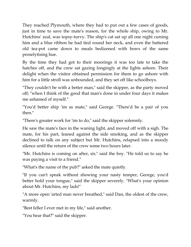They reached Plymouth, where they had to put out a few cases of goods, just in time to save the mate's reason, for the whole ship, owing to Mr. Hutchins' zeal, was topsy-turvy. The ship's cat sat up all one night cursing him and a blue ribbon he had tied round her neck, and even the battered old tea-pot came down to meals bedizened with bows of the same proselytising hue.

By the time they had got to their moorings it was too late to take the hatches off, and the crew sat gazing longingly at the lights ashore. Their delight when the visitor obtained permission for them to go ashore with him for a little stroll was unbounded, and they set off like schoolboys.

"They couldn't be with a better man," said the skipper, as the party moved off; "when I think of the good that man's done in under four days it makes me ashamed of myself."

"You'd better ship 'im as mate," said George. "There'd be a pair of you then."

"There's greater work for 'im to do," said the skipper solemnly.

He saw the mate's face in the waning light, and moved off with a sigh. The mate, for his part, leaned against the side smoking, and as the skipper declined to talk on any subject but Mr. Hutchins, relapsed into a moody silence until the return of the crew some two hours later.

"Mr. Hutchins is coming on after, sir," said the boy. "He told us to say he was paying a visit to a friend."

"What's the name of the pub?" asked the mate quietly.

"If you can't speak without showing your nasty temper, George, you'd better hold your tongue," said the skipper severely. "What's your opinion about Mr. Hutchins, my lads!"

"A more open 'arted man never breathed," said Dan, the oldest of the crew, warmly.

"Best feller I ever met in my life," said another.

"You hear that?" said the skipper.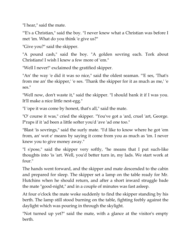"I hear," said the mate.

"E's a Christian," said the boy. "I never knew what a Christian was before I met 'im. What do you think 'e give us?"

"Give you?" said the skipper.

"A pound cash," said the boy. "A golden sovring each. Tork about Christians! I wish I knew a few more of 'em."

"Well I never!" exclaimed the gratified skipper.

"An' the way 'e did it was so nice," said the oldest seaman. "'E ses, 'That's from me an' the skipper,' 'e ses. 'Thank the skipper for it as much as me,' 'e ses."

"Well now, don't waste it," said the skipper. "I should bank it if I was you. It'll make a nice little nest-egg."

"I 'ope it was come by honest, that's all," said the mate.

"O' course it was," cried the skipper. "You've got a 'ard, cruel 'art, George. P'raps if it 'ad been a little softer you'd 'ave 'ad one too."

"Blast 'is sovrings," said the surly mate. "I'd like to know where he got 'em from, an' wot e' means by saying it come from you as much as 'im. I never knew you to give money away."

"I s'pose," said the skipper very softly, "he means that I put such-like thoughts into 'is 'art. Well, you'd better turn in, my lads. We start work at four."

The hands went forward, and the skipper and mate descended to the cabin and prepared for sleep. The skipper set a lamp on the table ready for Mr. Hutchins when he should return, and after a short inward struggle bade the mate "good-night," and in a couple of minutes was fast asleep.

At four o'clock the mate woke suddenly to find the skipper standing by his berth. The lamp still stood burning on the table, fighting feebly against the daylight which was pouring in through the skylight.

"Not turned up yet?" said the mate, with a glance at the visitor's empty berth.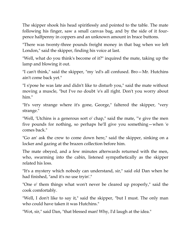The skipper shook his head spiritlessly and pointed to the table. The mate following his finger, saw a small canvas bag, and by the side of it fourpence halfpenny in coppers and an unknown amount in brace buttons.

"There was twenty-three pounds freight money in that bag when we left London," said the skipper, finding his voice at last.

"Well, what do you think's become of it?" inquired the mate, taking up the lamp and blowing it out.

"I can't think," said the skipper, "my 'ed's all confused. Bro—Mr. Hutchins ain't come back yet."

"I s'pose he was late and didn't like to disturb you," said the mate without moving a muscle, "but I've no doubt 'e's all right. Don't you worry about him."

"It's very strange where it's gone, George," faltered the skipper, "very strange."

"Well, 'Utchins is a generous sort o' chap," said the mate, "'e give the men five pounds for nothing, so perhaps he'll give you something—when 'e comes back."

"Go an' ask the crew to come down here," said the skipper, sinking on a locker and gazing at the brazen collection before him.

The mate obeyed, and a few minutes afterwards returned with the men, who, swarming into the cabin, listened sympathetically as the skipper related his loss.

"It's a mystery which nobody can understand, sir," said old Dan when he had finished, "and it's no use tryin'."

"One o' them things what won't never be cleared up properly," said the cook comfortably.

"Well, I don't like to say it," said the skipper, "but I must. The only man who could have taken it was Hutchins."

"Wot, sir," said Dan, "that blessed man! Why, I'd laugh at the idea."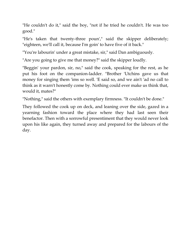"He couldn't do it," said the boy, "not if he tried he couldn't. He was too good."

"He's taken that twenty-three poun'," said the skipper deliberately; "eighteen, we'll call it, because I'm goin' to have five of it back."

"You're labourin' under a great mistake, sir," said Dan ambiguously.

"Are you going to give me that money?" said the skipper loudly.

"Beggin' your pardon, sir, no," said the cook, speaking for the rest, as he put his foot on the companion-ladder. "Brother 'Utchins gave us that money for singing them 'ims so well. 'E said so, and we ain't 'ad no call to think as it warn't honestly come by. Nothing could ever make us think that, would it, mates?"

"Nothing," said the others with exemplary firmness. "It couldn't be done."

They followed the cook up on deck, and leaning over the side, gazed in a yearning fashion toward the place where they had last seen their benefactor. Then with a sorrowful presentiment that they would never look upon his like again, they turned away and prepared for the labours of the day.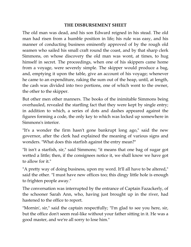## **THE DISBURSEMENT SHEET**

The old man was dead, and his son Edward reigned in his stead. The old man had risen from a humble position in life; his rule was easy, and his manner of conducting business eminently approved of by the rough old seamen who sailed his small craft round the coast, and by that sharp clerk Simmons, on whose discovery the old man was wont, at times, to hug himself in secret. The proceedings, when one of his skippers came home from a voyage, were severely simple. The skipper would produce a bag, and, emptying it upon the table, give an account of his voyage; whenever he came to an expenditure, raking the sum out of the heap, until, at length, the cash was divided into two portions, one of which went to the owner, the other to the skipper.

But other men other manners. The books of the inimitable Simmons being overhauled, revealed the startling fact that they were kept by single entry; in addition to which, a series of dots and dashes appeared against the figures forming a code, the only key to which was locked up somewhere in Simmons's interior.

"It's a wonder the firm hasn't gone bankrupt long ago," said the new governor, after the clerk had explained the meaning of various signs and wonders. "What does this starfish against the entry mean?"

"It isn't a starfish, sir," said Simmons; "it means that one bag of sugar got wetted a little; then, if the consignees notice it, we shall know we have got to allow for it."

"A pretty way of doing business, upon my word. It'll all have to be altered," said the other. "I must have new offices too; this dingy little hole is enough to frighten people away."

The conversation was interrupted by the entrance of Captain Fazackerly, of the schooner Sarah Ann, who, having just brought up in the river, had hastened to the office to report.

"Mornin', sir," said the captain respectfully; "I'm glad to see you here, sir, but the office don't seem real-like without your father sitting in it. He was a good master, and we're all sorry to lose him."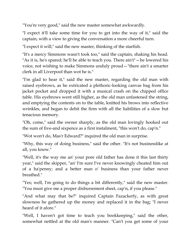"You're very good," said the new master somewhat awkwardly.

"I expect it'll take some time for you to get into the way of it," said the captain, with a view to giving the conversation a more cheerful turn.

"I expect it will," said the new master, thinking of the starfish.

"It's a mercy Simmons wasn't took too," said the captain, shaking his head. "As it is, he's spared; he'll be able to teach you. There ain't"—he lowered his voice, not wishing to make Simmons unduly proud—"there ain't a smarter clerk in all Liverpool than wot he is."

"I'm glad to hear it," said the new master, regarding the old man with raised eyebrows, as he extricated a plethoric-looking canvas bag from his jacket pocket and dropped it with a musical crash on the chipped office table. His eyebrows went still higher, as the old man unfastened the string, and emptying the contents on to the table, knitted his brows into reflective wrinkles, and began to debit the firm with all the liabilities of a slow but tenacious memory.

"Oh, come," said the owner sharply, as the old man lovingly hooked out the sum of five-and sixpence as a first instalment, "this won't do, cap'n."

"Wot won't do, Mas'r Edward?" inquired the old man in surprise.

"Why, this way of doing business," said the other. "It's not businesslike at all, you know."

"Well, it's the way me an' your pore old father has done it this last thirty year," said the skipper, "an' I'm sure I've never knowingly cheated him out of a ha'penny; and a better man o' business than your father never breathed."

"Yes; well, I'm going to do things a bit differently," said the new master. "You must give me a proper disbursement sheet, cap'n, if you please."

"And what may that be?" inquired Captain Fazackerly, as with great slowness he gathered up the money and replaced it in the bag; "I never heard of it afore."

"Well, I haven't got time to teach you bookkeeping," said the other, somewhat nettled at the old man's manner. "Can't you get some of your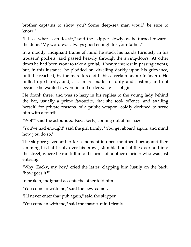brother captains to show you? Some deep-sea man would be sure to know."

"I'll see what I can do, sir," said the skipper slowly, as he turned towards the door. "My word was always good enough for your father."

In a moody, indignant frame of mind he stuck his hands furiously in his trousers' pockets, and passed heavily through the swing-doors. At other times he had been wont to take a genial, if heavy interest in passing events; but, in this instance, he plodded on, dwelling darkly upon his grievance, until he reached, by the mere force of habit, a certain favourite tavern. He pulled up sharply, and, as a mere matter of duty and custom, and not because he wanted it, went in and ordered a glass of gin.

He drank three, and was so hazy in his replies to the young lady behind the bar, usually a prime favourite, that she took offence, and availing herself, for private reasons, of a public weapon, coldly declined to serve him with a fourth.

"Wot?" said the astounded Fazackerly, coming out of his haze.

"You've had enough!" said the girl firmly. "You get aboard again, and mind how you do so."

The skipper gazed at her for a moment in open-mouthed horror, and then jamming his hat firmly over his brows, stumbled out of the door and into the street, where he ran full into the arms of another mariner who was just entering.

"Why, Zacky, my boy," cried the latter, clapping him lustily on the back, "how goes it?"

In broken, indignant accents the other told him.

"You come in with me," said the new-comer.

"I'll never enter that pub again," said the skipper.

"You come in with me," said the master-mind firmly.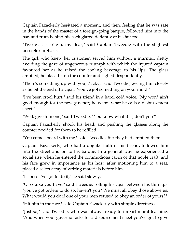Captain Fazackerly hesitated a moment, and then, feeling that he was safe in the hands of the master of a foreign-going barque, followed him into the bar, and from behind his back glared defiantly at his fair foe.

"Two glasses o' gin, my dear," said Captain Tweedie with the slightest possible emphasis.

The girl, who knew her customer, served him without a murmur, deftly avoiding the gaze of ungenerous triumph with which the injured captain favoured her as he raised the cooling beverage to his lips. The glass emptied, he placed it on the counter and sighed despondently.

"There's something up with you, Zacky," said Tweedie, eyeing him closely as he bit the end off a cigar; "you've got something on your mind."

"I've been crool hurt," said his friend in a hard, cold voice. "My word ain't good enough for the new guv'nor; he wants what he calls a disbursement sheet."

"Well, give him one," said Tweedie. "You know what it is, don't you?"

Captain Fazackerly shook his head, and pushing the glasses along the counter nodded for them to be refilled.

"You come aboard with me," said Tweedie after they had emptied them.

Captain Fazackerly, who had a doglike faith in his friend, followed him into the street and on to his barque. In a general way he experienced a social rise when he entered the commodious cabin of that noble craft, and his face grew in importance as his host, after motioning him to a seat, placed a select array of writing materials before him.

"I s'pose I've got to do it," he said slowly.

"Of course you have," said Tweedie, rolling his cigar between his thin lips; "you've got orders to do so, haven't you? We must all obey those above us. What would you do if one of your men refused to obey an order of yours?"

"Hit him in the face," said Captain Fazackerly with simple directness.

"Just so," said Tweedie, who was always ready to impart moral teaching. "And when your governor asks for a disbursement sheet you've got to give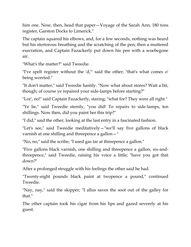him one. Now, then, head that paper—Voyage of the Sarah Ann, 180 tons register, Garston Docks to Limerick."

The captain squared his elbows, and, for a few seconds, nothing was heard but his stertorous breathing and the scratching of the pen; then a muttered execration, and Captain Fazackerly put down his pen with a woebegone air.

"What's the matter?" said Tweedie.

"I've spelt register without the 'd,'" said the other; "that's what comes o' being worried."

"It don't matter," said Tweedie hastily. "Now what about stores? Wait a bit, though; of course ye repaired your side-lamps before starting?"

"Lor', no!" said Captain Fazackerly, staring; "what for? They were all right."

"Ye lie," said Tweedie sternly, "you did! To repairs to side-lamps, ten shillings. Now then, did you paint her this trip?"

"I did," said the other, looking at the last entry in a fascinated fashion.

"Let's see," said Tweedie meditatively—"we'll say five gallons of black varnish at one shilling and threepence a gallon—"

"No, no," said the scribe; "I used gas tar at threepence a gallon."

"Five gallons black varnish, one shilling and threepence a gallon, six-andthreepence," said Tweedie, raising his voice a little; "have you got that down?"

After a prolonged struggle with his feelings the other said he had.

"Twenty-eight pounds black paint at twopence a pound," continued Tweedie.

"Nay, nay," said the skipper; "I allus saves the soot out of the galley for that."

The other captain took his cigar from his lips and gazed severely at his guest.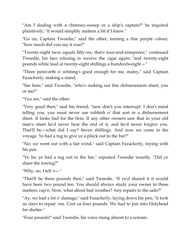"Am I dealing with a chimney-sweep or a ship's captain?" he inquired plaintively; "it would simplify matters a bit if I knew."

"Go on, Captain Tweedie," said the other, turning a fine purple colour; "how much did you say it was?"

"Twenty-eight twos equals fifty-six; that's four-and-ninepence," continued Tweedie, his face relaxing to receive the cigar again; "and twenty-eight pounds white lead at twenty-eight shillings a hundredweight—"

"Three penn'orth o' whiting's good enough for me, matey," said Captain Fazackerly, making a stand.

"See here," said Tweedie, "who's making out this disbursement sheet, you or me?"

"You are," said the other.

"Very good then," said his friend; "now don't you interrupt. I don't mind telling you, you must never use rubbish o' that sort in a disbursement sheet. It looks bad for the firm. If any other owners saw that in your old man's sheet he'd never hear the end of it, and he'd never forgive you. That'll be—what did I say? Seven shillings. And now we come to the voyage. Ye had a tug to give ye a pluck out to the bar?"

"No; we went out with a fair wind," said Captain Fazackerly, toying with his pen.

"Ye lie; ye had a tug out to the bar," repeated Tweedie wearily. "Did ye share the towing?"

"Why, no, I tell 'e $-$ "

"That'll be three pounds then," said Tweedie. "If ye'd shared it it would have been two pound ten. You should always study your owner in these matters, cap'n. Now, what about bad weather? Any repairs to the sails?"

"Ay, we had a lot o' damage," said Fazackerly, laying down his pen; "it took us days to repair 'em. Cost us four pounds. We had to put into Holyhead for shelter."

"Four pounds!" said Tweedie, his voice rising almost to a scream.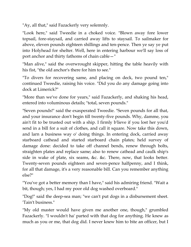"Ay, all that," said Fazackerly very solemnly.

"Look here," said Tweedie in a choked voice. "Blown away fore lower topsail, fore-staysail, and carried away lifts to staysail. To sailmaker for above, eleven pounds eighteen shillings and ten-pence. Then ye say ye put into Holyhead for shelter. Well, here in entering harbour we'll say loss of port anchor and thirty fathoms of chain cable—"

"Man alive," said the overwrought skipper, hitting the table heavily with his fist, "the old anchor's there for him to see."

"To divers for recovering same, and placing on deck, two pound ten," continued Tweedie, raising his voice. "Did you do any damage going into dock at Limerick?"

"More than we've done for years," said Fazackerly, and shaking his head, entered into voluminous details; "total, seven pounds."

"Seven pounds!" said the exasperated Tweedie. "Seven pounds for all that, and your insurance don't begin till twenty-five pounds. Why, damme, you ain't fit to be trusted out with a ship. I firmly b'lieve if you lost her you'd send in a bill for a suit of clothes, and call it square. Now take this down, and larn a business way o' doing things. In entering dock, carried away starboard cathead and started starboard chain plates; held survey of damage done: decided to take off channel bends, renew through bolts, straighten plates and replace same; also to renew cathead and caulk ship's side in wake of plate, six seams, &c. &c. There, now, that looks better. Twenty-seven pounds eighteen and seven-pence halfpenny, and I think, for all that damage, it's a very reasonable bill. Can you remember anything else?"

"You've got a better memory than I have," said his admiring friend. "Wait a bit, though; yes, I had my poor old dog washed overboard."

"Dog!" said the deep-sea man; "we can't put dogs in a disbursement sheet. 'Tain't business."

"My old master would have given me another one, though," grumbled Fazackerly. "I wouldn't ha' parted with that dog for anything. He knew as much as you or me, that dog did. I never knew him to bite an officer, but I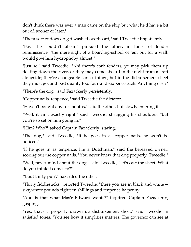don't think there was ever a man came on the ship but what he'd have a bit out of, sooner or later."

"Them sort of dogs do get washed overboard," said Tweedie impatiently.

"Boys he couldn't abear," pursued the other, in tones of tender reminiscence; "the mere sight of a boarding-school of 'em out for a walk would give him hydrophoby almost."

"Just so," said Tweedie. "Ah! there's cork fenders; ye may pick them up floating down the river, or they may come aboard in the night from a craft alongside; they're changeable sort o' things, but in the disbursement sheet they must go, and best quality too, four-and-sixpence each. Anything else?"

"There's the dog," said Fazackerly persistently.

"Copper nails, tenpence," said Tweedie the dictator.

"Haven't bought any for months," said the other, but slowly entering it.

"Well, it ain't exactly right," said Tweedie, shrugging his shoulders, "but you're so set on him going in."

"Him? Who?" asked Captain Fazackerly, staring.

"The dog," said Tweedie; "if he goes in as copper nails, he won't be noticed."

"If he goes in as tenpence, I'm a Dutchman," said the bereaved owner, scoring out the copper nails. "You never knew that dog properly, Tweedie."

"Well, never mind about the dog," said Tweedie; "let's cast the sheet. What do you think it comes to?"

"'Bout thirty pun'," hazarded the other.

"Thirty fiddlesticks," retorted Tweedie; "there you are in black and white sixty-three pounds eighteen shillings and tenpence ha'penny."

"And is that what Mas'r Edward wants?" inquired Captain Fazackerly, gasping.

"Yes; that's a properly drawn up disbursement sheet," said Tweedie in satisfied tones. "You see how it simplifies matters. The governor can see at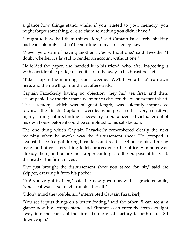a glance how things stand, while, if you trusted to your memory, you might forget something, or else claim something you didn't have."

"I ought to have had them things afore," said Captain Fazackerly, shaking his head solemnly. "I'd ha' been riding in my carriage by now."

"Never ye dream of having another v'y'ge without one," said Tweedie. "I doubt whether it's lawful to render an account without one."

He folded the paper, and handed it to his friend, who, after inspecting it with considerable pride, tucked it carefully away in his breast pocket.

"Take it up in the morning," said Tweedie. "We'll have a bit o' tea down here, and then we'll go round a bit afterwards."

Captain Fazackerly having no objection, they had tea first, and then, accompanied by the first mate, went out to christen the disbursement sheet. The ceremony, which was of great length, was solemnly impressive towards the finish. Captain Tweedie, who possessed a very sensitive, highly-strung nature, finding it necessary to put a licensed victualler out of his own house before it could be completed to his satisfaction.

The one thing which Captain Fazackerly remembered clearly the next morning when he awoke was the disbursement sheet. He propped it against the coffee-pot during breakfast, and read selections to his admiring mate, and after a refreshing toilet, proceeded to the office. Simmons was already there, and before the skipper could get to the purpose of his visit, the head of the firm arrived.

"I've just brought the disbursement sheet you asked for, sir," said the skipper, drawing it from his pocket.

"Ah! you've got it, then," said the new governor, with a gracious smile; "you see it wasn't so much trouble after all."

"I don't mind the trouble, sir," interrupted Captain Fazackerly.

"You see it puts things on a better footing," said the other. "I can see at a glance now how things stand, and Simmons can enter the items straight away into the books of the firm. It's more satisfactory to both of us. Sit down, cap'n."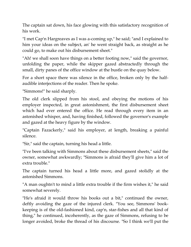The captain sat down, his face glowing with this satisfactory recognition of his work.

"I met Cap'n Hargreaves as I was a-coming up," he said; "and I explained to him your ideas on the subject, an' he went straight back, as straight as he could go, to make out his disbursement sheet."

"Ah! we shall soon have things on a better footing now," said the governor, unfolding the paper, while the skipper gazed abstractedly through the small, dirty panes of the office window at the bustle on the quay below.

For a short space there was silence in the office, broken only by the halfaudible interjections of the reader. Then he spoke.

"Simmons!" he said sharply.

The old clerk slipped from his stool, and obeying the motions of his employer inspected, in great astonishment, the first disbursement sheet which had ever entered the office. He read through every item in an astonished whisper, and, having finished, followed the governor's example and gazed at the heavy figure by the window.

"Captain Fazackerly," said his employer, at length, breaking a painful silence.

"Sir," said the captain, turning his head a little.

"I've been talking with Simmons about these disbursement sheets," said the owner, somewhat awkwardly; "Simmons is afraid they'll give him a lot of extra trouble."

The captain turned his head a little more, and gazed stolidly at the astonished Simmons.

"A man oughtn't to mind a little extra trouble if the firm wishes it," he said somewhat severely.

"He's afraid it would throw his books out a bit," continued the owner, deftly avoiding the gaze of the injured clerk. "You see, Simmons' bookkeeping is of the old-fashioned kind, cap'n, star-fishes and all that kind of thing," he continued, incoherently, as the gaze of Simmons, refusing to be longer avoided, broke the thread of his discourse. "So I think we'll put the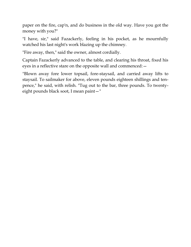paper on the fire, cap'n, and do business in the old way. Have you got the money with you?"

"I have, sir," said Fazackerly, feeling in his pocket, as he mournfully watched his last night's work blazing up the chimney.

"Fire away, then," said the owner, almost cordially.

Captain Fazackerly advanced to the table, and clearing his throat, fixed his eyes in a reflective stare on the opposite wall and commenced:—

"Blown away fore lower topsail, fore-staysail, and carried away lifts to staysail. To sailmaker for above, eleven pounds eighteen shillings and tenpence," he said, with relish. "Tug out to the bar, three pounds. To twentyeight pounds black soot, I mean paint—"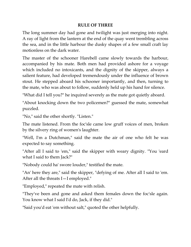## **RULE OF THREE**

The long summer day had gone and twilight was just merging into night. A ray of light from the lantern at the end of the quay went trembling across the sea, and in the little harbour the dusky shapes of a few small craft lay motionless on the dark water.

The master of the schooner Harebell came slowly towards the harbour, accompanied by his mate. Both men had provided ashore for a voyage which included no intoxicants, and the dignity of the skipper, always a salient feature, had developed tremendously under the influence of brown stout. He stepped aboard his schooner importantly, and then, turning to the mate, who was about to follow, suddenly held up his hand for silence.

"What did I tell you?" he inquired severely as the mate got quietly aboard.

"About knocking down the two policemen?" guessed the mate, somewhat puzzled.

"No," said the other shortly. "Listen."

The mate listened. From the foc'sle came low gruff voices of men, broken by the silvery ring of women's laughter.

"Well, I'm a Dutchman," said the mate the air of one who felt he was expected to say something.

"After all I said to 'em," said the skipper with weary dignity. "You 'eard what I said to them Jack?"

"Nobody could ha' swore louder," testified the mate.

"An' here they are," said the skipper, "defying of me. After all I said to 'em. After all the threats I—I employed."

"Employed," repeated the mate with relish.

"They've been and gone and asked them females down the foc'sle again. You know what I said I'd do, Jack, if they did."

"Said you'd eat 'em without salt," quoted the other helpfully.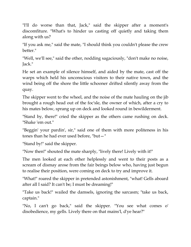"I'll do worse than that, Jack," said the skipper after a moment's discomfiture. "What's to hinder us casting off quietly and taking them along with us?

"If you ask me," said the mate, "I should think you couldn't please the crew better."

"Well, we'll see," said the other, nodding sagaciously, "don't make no noise, Jack."

He set an example of silence himself, and aided by the mate, cast off the warps which held his unconscious visitors to their native town, and the wind being off the shore the little schooner drifted silently away from the quay.

The skipper went to the wheel, and the noise of the mate hauling on the jib brought a rough head out of the foc'sle, the owner of which, after a cry to his mates below, sprang up on deck and looked round in bewilderment.

"Stand by, there!" cried the skipper as the others came rushing on deck. "Shake 'em out."

"Beggin' your pardin', sir," said one of them with more politeness in his tones than he had ever used before, "but—"

"Stand by!" said the skipper.

"Now then!" shouted the mate sharply, "lively there! Lively with it!"

The men looked at each other helplessly and went to their posts as a scream of dismay arose from the fair beings below who, having just begun to realise their position, were coming on deck to try and improve it.

"What!" roared the skipper in pretended astonishment, "what! Gells aboard after all I said? It can't be; I must be dreaming!"

"Take us back!" wailed the damsels, ignoring the sarcasm; "take us back, captain."

"No, I can't go back," said the skipper. "You see what comes o' disobedience, my gells. Lively there on that mains'l, d'ye hear?"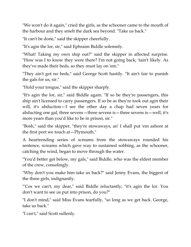"We won't do it again," cried the girls, as the schooner came to the mouth of the harbour and they smelt the dark sea beyond. "Take us back."

"It can't be done," said the skipper cheerfully.

"It's agin the lor, sir," said Ephraim Biddle solemnly.

"What! Taking my own ship out?" said the skipper in affected surprise. "How was I to know they were there? I'm not going back; 'tain't likely. As they've made their beds, so they must lay on 'em."

"They ain't got no beds," said George Scott hastily. "It ain't fair to punish the gals for us, sir."

"Hold your tongue," said the skipper sharply.

"It's agin the lor, sir," said Biddle again. "If so be they're passengers, this ship ain't licensed to carry passengers. If so be as they're took out agin their will, it's abduction—I see the other day a chap had seven years for abducting one gal, three sevens—three sevens is—three sevens is—well, it's more years than you'd like to be in prison, sir."

"Bosh," said the skipper, "they're stowaways, an' I shall put 'em ashore at the first port we touch at—Plymouth."

A heartrending series of screams from the stowaways rounded his sentence, screams which gave way to sustained sobbing, as the schooner, catching the wind, began to move through the water.

"You'd better get below, my gals," said Biddle, who was the eldest member of the crew, consolingly.

"Why don't you make him take us back?" said Jenny Evans, the biggest of the three girls, indignantly.

"'Cos we can't, my dear," said Biddle reluctantly; "it's agin the lor. You don't want to see us put into prison, do you?"

"I don't mind," said Miss Evans tearfully, "so long as we get back. George, take us back."

"I can't," said Scott sullenly.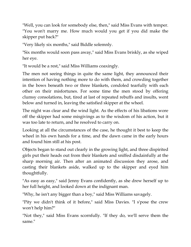"Well, you can look for somebody else, then," said Miss Evans with temper. "You won't marry me. How much would you get if you did make the skipper put back?"

"Very likely six months," said Biddle solemnly.

"Six months would soon pass away," said Miss Evans briskly, as she wiped her eye.

"It would be a rest," said Miss Williams coaxingly.

The men not seeing things in quite the same light, they announced their intention of having nothing more to do with them, and crowding together in the bows beneath two or three blankets, condoled tearfully with each other on their misfortunes. For some time the men stood by offering clumsy consolations, but, tired at last of repeated rebuffs and insults, went below and turned in, leaving the satisfied skipper at the wheel.

The night was clear and the wind light. As the effects of his libations wore off the skipper had some misgivings as to the wisdom of his action, but it was too late to return, and he resolved to carry on.

Looking at all the circumstances of the case, he thought it best to keep the wheel in his own hands for a time, and the dawn came in the early hours and found him still at his post.

Objects began to stand out clearly in the growing light, and three dispirited girls put their heads out from their blankets and sniffed disdainfully at the sharp morning air. Then after an animated discussion they arose, and casting their blankets aside, walked up to the skipper and eyed him thoughtfully.

"As easy as easy," said Jenny Evans confidently, as she drew herself up to her full height, and looked down at the indignant man.

"Why, he isn't any bigger than a boy," said Miss Williams savagely.

"Pity we didn't think of it before," said Miss Davies. "I s'pose the crew won't help him?"

"Not they," said Miss Evans scornfully. "If they do, we'll serve them the same."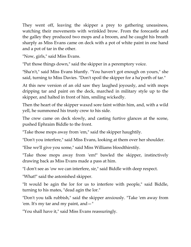They went off, leaving the skipper a prey to gathering uneasiness, watching their movements with wrinkled brow. From the forecastle and the galley they produced two mops and a broom, and he caught his breath sharply as Miss Evans came on deck with a pot of white paint in one hand and a pot of tar in the other.

"Now, girls," said Miss Evans.

"Put those things down," said the skipper in a peremptory voice.

"Sha'n't," said Miss Evans bluntly. "You haven't got enough on yours," she said, turning to Miss Davies. "Don't spoil the skipper for a ha'porth of tar."

At this new version of an old saw they laughed joyously, and with mops dripping tar and paint on the deck, marched in military style up to the skipper, and halted in front of him, smiling wickedly.

Then the heart of the skipper waxed sore faint within him, and, with a wild yell, he summoned his trusty crew to his side.

The crew came on deck slowly, and casting furtive glances at the scene, pushed Ephraim Biddle to the front.

"Take those mops away from 'em," said the skipper haughtily.

"Don't you interfere," said Miss Evans, looking at them over her shoulder.

"Else we'll give you some," said Miss Williams bloodthirstily.

"Take those mops away from 'em!" bawled the skipper, instinctively drawing back as Miss Evans made a pass at him.

"I don't see as 'ow we can interfere, sir," said Biddle with deep respect.

"What!" said the astonished skipper.

"It would be agin the lor for us to interfere with people," said Biddle, turning to his mates, "dead agin the lor."

"Don't you talk rubbish," said the skipper anxiously. "Take 'em away from 'em. It's my tar and my paint, and—"

"You shall have it," said Miss Evans reassuringly.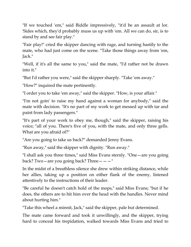"If we touched 'em," said Biddle impressively, "it'd be an assault at lor. 'Sides which, they'd probably muss us up with 'em. All we can do, sir, is to stand by and see fair play."

"Fair play!" cried the skipper dancing with rage, and turning hastily to the mate, who had just come on the scene. "Take those things away from 'em, Jack."

"Well, if it's all the same to you," said the mate, "I'd rather not be drawn into it."

"But I'd rather you were," said the skipper sharply. "Take 'em away."

"How?" inquired the mate pertinently.

"I order you to take 'em away," said the skipper. "How, is your affair."

"I'm not goin' to raise my hand against a woman for anybody," said the mate with decision. "It's no part of my work to get messed up with tar and paint from lady passengers."

"It's part of your work to obey me, though," said the skipper, raising his voice; "all of you. There's five of you, with the mate, and only three gells. What are you afraid of?"

"Are you going to take us back?" demanded Jenny Evans.

"Run away," said the skipper with dignity. "Run away."

"I shall ask you three times," said Miss Evans sternly. "One—are you going back? Two—are you going back? Three———"

In the midst of a breathless silence she drew within striking distance, while her allies, taking up a position on either flank of the enemy, listened attentively to the instructions of their leader.

"Be careful he doesn't catch hold of the mops," said Miss Evans; "but if he does, the others are to hit him over the head with the handles. Never mind about hurting him."

"Take this wheel a minnit, Jack," said the skipper, pale but determined.

The mate came forward and took it unwillingly, and the skipper, trying hard to conceal his trepidation, walked towards Miss Evans and tried to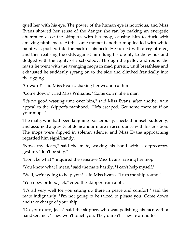quell her with his eye. The power of the human eye is notorious, and Miss Evans showed her sense of the danger she ran by making an energetic attempt to close the skipper's with her mop, causing him to duck with amazing nimbleness. At the same moment another mop loaded with white paint was pushed into the back of his neck. He turned with a cry of rage, and then realising the odds against him flung his dignity to the winds and dodged with the agility of a schoolboy. Through the galley and round the masts he went with the avenging mops in mad pursuit, until breathless and exhausted he suddenly sprang on to the side and climbed frantically into the rigging.

"Coward!" said Miss Evans, shaking her weapon at him.

"Come down," cried Miss Williams. "Come down like a man."

"It's no good wasting time over him," said Miss Evans, after another vain appeal to the skipper's manhood. "He's escaped. Get some more stuff on your mops."

The mate, who had been laughing boisterously, checked himself suddenly, and assumed a gravity of demeanour more in accordance with his position. The mops were dipped in solemn silence, and Miss Evans approaching regarded him significantly.

"Now, my dears," said the mate, waving his hand with a deprecatory gesture, "don't be silly."

"Don't be what?" inquired the sensitive Miss Evans, raising her mop.

"You know what I mean," said the mate hastily. "I can't help myself."

"Well, we're going to help you," said Miss Evans. "Turn the ship round."

"You obey orders, Jack," cried the skipper from aloft.

"It's all very well for you sitting up there in peace and comfort," said the mate indignantly. "I'm not going to be tarred to please you. Come down and take charge of your ship."

"Do your duty, Jack," said the skipper, who was polishing his face with a handkerchief. "They won't touch you. They daren't. They're afraid to."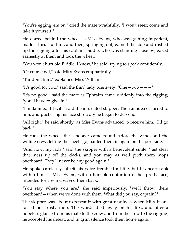"You're egging 'em on," cried the mate wrathfully. "I won't steer; come and take it yourself."

He darted behind the wheel as Miss Evans, who was getting impatient, made a thrust at him, and then, springing out, gained the side and rushed up the rigging after his captain. Biddle, who was standing close by, gazed earnestly at them and took the wheel.

"You won't hurt old Biddle, I know," he said, trying to speak confidently.

"Of course not," said Miss Evans emphatically.

"Tar don't hurt," explained Miss Williams.

"It's good for you," said the third lady positively. "One  $-$  two  $-$  "

"It's no good," said the mate as Ephraim came suddenly into the rigging; "you'll have to give in."

"I'm damned if I will," said the infuriated skipper. Then an idea occurred to him, and puckering his face shrewdly he began to descend.

"All right," he said shortly, as Miss Evans advanced to receive him. "I'll go back."

He took the wheel; the schooner came round before the wind, and the willing crew, letting the sheets go, hauled them in again on the port side.

"And now, my lads," said the skipper with a benevolent smile, "just clear that mess up off the decks, and you may as well pitch them mops overboard. They'll never be any good again."

He spoke carelessly, albeit his voice trembled a little, but his heart sank within him as Miss Evans, with a horrible contortion of her pretty face, intended for a wink, waved them back.

"You stay where you are," she said imperiously; "we'll throw them overboard—when we've done with them. What did you say, captain?"

The skipper was about to repeat it with great readiness when Miss Evans raised her trusty mop. The words died away on his lips, and after a hopeless glance from his mate to the crew and from the crew to the rigging, he accepted his defeat, and in grim silence took them home again.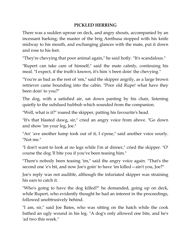## **PICKLED HERRING**

There was a sudden uproar on deck, and angry shouts, accompanied by an incessant barking; the master of the brig Arethusa stopped with his knife midway to his mouth, and exchanging glances with the mate, put it down and rose to his feet.

"They're chevying that poor animal again," he said hotly. "It's scandalous."

"Rupert can take care of himself," said the mate calmly, continuing his meal. "I expect, if the truth's known, it's him 's been doin' the chevying."

"You're as bad as the rest of 'em," said the skipper angrily, as a large brown retriever came bounding into the cabin. "Poor old Rupe! what have they been doin' to you?"

The dog, with a satisfied air, sat down panting by his chair, listening quietly to the subdued hubbub which sounded from the companion.

"Well, what is it?" roared the skipper, patting his favourite's head.

"It's that blasted dawg, sir," cried an angry voice from above. "Go down and show 'im your leg, Joe."

"An' 'ave another lump took out of it, I s'pose," said another voice sourly. "Not me."

"I don't want to look at no legs while I'm at dinner," cried the skipper. "O' course the dog 'll bite you if you've been teasing him."

"There's nobody been teasing 'im," said the angry voice again. "That's the second one 'e's bit, and now Joe's goin' to have 'im killed—ain't you, Joe?"

Joe's reply was not audible, although the infuriated skipper was straining his ears to catch it.

"Who's going to have the dog killed?" he demanded, going up on deck, while Rupert, who evidently thought he had an interest in the proceedings, followed unobtrusively behind.

"I am, sir," said Joe Bates, who was sitting on the hatch while the cook bathed an ugly wound in his leg. "A dog's only allowed one bite, and he's 'ad two this week."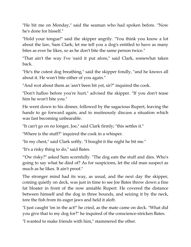"He bit me on Monday," said the seaman who had spoken before. "Now he's done for hisself."

"Hold your tongue!" said the skipper angrily. "You think you know a lot about the law, Sam Clark; let me tell you a dog's entitled to have as many bites as ever he likes, so as he don't bite the same person twice."

"That ain't the way I've 'eard it put afore," said Clark, somewhat taken back.

"He's the cutest dog breathing," said the skipper fondly, "and he knows all about it. He won't bite either of you again."

"And wot about them as 'asn't been bit yet, sir?" inquired the cook.

"Don't halloo before you're hurt," advised the skipper. "If you don't tease him he won't bite you."

He went down to his dinner, followed by the sagacious Rupert, leaving the hands to go forward again, and to mutinously discuss a situation which was fast becoming unbearable.

"It can't go on no longer, Joe," said Clark firmly; "this settles it."

"Where is the stuff?" inquired the cook in a whisper.

"In my chest," said Clark softly. "I bought it the night he bit me."

"It's a risky thing to do," said Bates.

"'Ow risky?" asked Sam scornfully. "The dog eats the stuff and dies. Who's going to say what he died of? As for suspicions, let the old man suspect as much as he likes. It ain't proof."

The stronger mind had its way, as usual, and the next day the skipper, coming quietly on deck, was just in time to see Joe Bates throw down a fine fat bloater in front of the now amiable Rupert. He covered the distance between himself and the dog in three bounds, and seizing it by the neck, tore the fish from its eager jaws and held it aloft.

"I just caught 'im in the act!" he cried, as the mate came on deck. "What did you give that to my dog for?" he inquired of the conscience-stricken Bates.

"I wanted to make friends with him," stammered the other.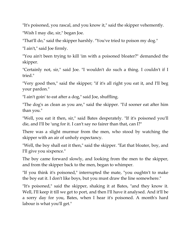"It's poisoned, you rascal, and you know it," said the skipper vehemently. "Wish I may die, sir," began Joe.

"That'll do," said the skipper harshly. "You've tried to poison my dog."

"I ain't," said Joe firmly.

"You ain't been trying to kill 'im with a poisoned bloater?" demanded the skipper.

"Certainly not, sir," said Joe. "I wouldn't do such a thing. I couldn't if I tried."

"Very good then," said the skipper; "if it's all right you eat it, and I'll beg your pardon."

"I ain't goin' to eat after a dog," said Joe, shuffling.

"The dog's as clean as you are," said the skipper. "I'd sooner eat after him than you."

"Well, you eat it then, sir," said Bates desperately. "If it's poisoned you'll die, and I'll be 'ung for it. I can't say no fairer than that, can I?"

There was a slight murmur from the men, who stood by watching the skipper with an air of unholy expectancy.

"Well, the boy shall eat it then," said the skipper. "Eat that bloater, boy, and I'll give you sixpence."

The boy came forward slowly, and looking from the men to the skipper, and from the skipper back to the men, began to whimper.

"If you think it's poisoned," interrupted the mate, "you oughtn't to make the boy eat it. I don't like boys, but you must draw the line somewhere."

"It's poisoned," said the skipper, shaking it at Bates, "and they know it. Well, I'll keep it till we get to port, and then I'll have it analysed. And it'll be a sorry day for you, Bates, when I hear it's poisoned. A month's hard labour is what you'll get."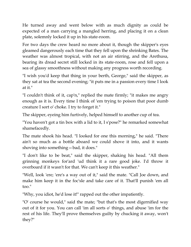He turned away and went below with as much dignity as could be expected of a man carrying a mangled herring, and placing it on a clean plate, solemnly locked it up in his state-room.

For two days the crew heard no more about it, though the skipper's eyes gleamed dangerously each time that they fell upon the shrinking Bates. The weather was almost tropical, with not an air stirring, and the Arethusa, bearing its dread secret still locked in its state-room, rose and fell upon a sea of glassy smoothness without making any progress worth recording.

"I wish you'd keep that thing in your berth, George," said the skipper, as they sat at tea the second evening; "it puts me in a passion every time I look at it."

"I couldn't think of it, cap'n," replied the mate firmly; "it makes me angry enough as it is. Every time I think of 'em trying to poison that poor dumb creature I sort o' choke. I try to forget it."

The skipper, eyeing him furtively, helped himself to another cup of tea.

"You haven't got a tin box with a lid to it, I s'pose?" he remarked somewhat shamefacedly.

The mate shook his head. "I looked for one this morning," he said. "There ain't so much as a bottle aboard we could shove it into, and it wants shoving into something—bad, it does."

"I don't like to be beat," said the skipper, shaking his head. "All them grinning monkeys for'ard 'ud think it a rare good joke. I'd throw it overboard if it wasn't for that. We can't keep it this weather."

"Well, look 'ere; 'ere's a way out of it," said the mate. "Call Joe down, and make him keep it in the foc'sle and take care of it. That'll punish 'em all too."

"Why, you idiot, he'd lose it!" rapped out the other impatiently.

"O' course he would," said the mate; "but that's the most digernified way out of it for you. You can call 'im all sorts o' things, and abuse 'im for the rest of his life. They'll prove themselves guilty by chucking it away, won't they?"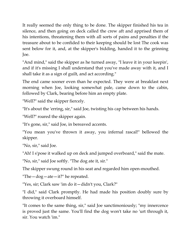It really seemed the only thing to be done. The skipper finished his tea in silence, and then going on deck called the crew aft and apprised them of his intentions, threatening them with all sorts of pains and penalties if the treasure about to be confided to their keeping should be lost The cook was sent below for it, and, at the skipper's bidding, handed it to the grinning Joe.

"And mind," said the skipper as he turned away, "I leave it in your keepin', and if it's missing I shall understand that you've made away with it, and I shall take it as a sign of guilt, and act according."

The end came sooner even than he expected. They were at breakfast next morning when Joe, looking somewhat pale, came down to the cabin, followed by Clark, bearing before him an empty plate.

"Well?" said the skipper fiercely.

"It's about the 'erring, sir," said Joe, twisting his cap between his hands.

"Well?" roared the skipper again.

"It's gone, sir," said Joe, in bereaved accents.

"You mean you've thrown it away, you infernal rascal!" bellowed the skipper.

"No, sir," said Joe.

"Ah! I s'pose it walked up on deck and jumped overboard," said the mate.

"No, sir," said Joe softly. "The dog ate it, sir."

The skipper swung round in his seat and regarded him open-mouthed.

"The  $-dog$   $-\text{ate}-\text{it}$ ?" he repeated.

"Yes, sir; Clark saw 'im do it—didn't you, Clark?"

"I did," said Clark promptly. He had made his position doubly sure by throwing it overboard himself.

"It comes to the same thing, sir," said Joe sanctimoniously; "my innercence is proved just the same. You'll find the dog won't take no 'urt through it, sir. You watch 'im."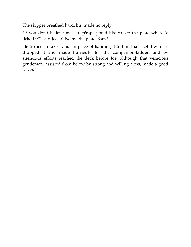The skipper breathed hard, but made no reply.

"If you don't believe me, sir, p'raps you'd like to see the plate where 'e licked it?" said Joe. "Give me the plate, Sam."

He turned to take it, but in place of handing it to him that useful witness dropped it and made hurriedly for the companion-ladder, and by strenuous efforts reached the deck before Joe, although that veracious gentleman, assisted from below by strong and willing arms, made a good second.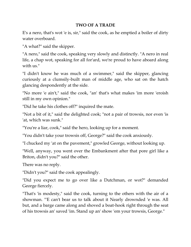## **TWO OF A TRADE**

E's a nero, that's wot 'e is, sir," said the cook, as he emptied a boiler of dirty water overboard.

"A what?" said the skipper.

"A nero," said the cook, speaking very slowly and distinctly. "A nero in real life, a chap wot, speaking for all for'ard, we're proud to have aboard along with us."

"I didn't know he was much of a swimmer," said the skipper, glancing curiously at a clumsily-built man of middle age, who sat on the hatch glancing despondently at the side.

"No more 'e ain't," said the cook, "an' that's what makes 'im more 'eroish still in my own opinion."

"Did he take his clothes off?" inquired the mate.

"Not a bit of it," said the delighted cook; "not a pair of trowsis, nor even 'is 'at, which was sunk."

"You're a liar, cook," said the hero, looking up for a moment.

"You didn't take your trowsis off, George?" said the cook anxiously.

"I chucked my 'at on the pavement," growled George, without looking up.

"Well, anyway, you went over the Embankment after that pore girl like a Briton, didn't you?" said the other.

There was no reply.

"Didn't you?" said the cook appealingly.

"Did you expect me to go over like a Dutchman, or wot?" demanded George fiercely.

"That's 'is modesty," said the cook, turning to the others with the air of a showman. "'E can't bear us to talk about it Nearly drownded 'e was. All but, and a barge came along and shoved a boat-hook right through the seat of his trowsis an' saved 'im. Stand up an' show 'em your trowsis, George."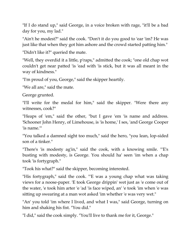"If I do stand up," said George, in a voice broken with rage, "it'll be a bad day for you, my lad."

"Ain't he modest?" said the cook. "Don't it do you good to 'ear 'im? He was just like that when they got him ashore and the crowd started patting him."

"Didn't like it?" queried the mate.

"Well, they overdid it a little, p'raps," admitted the cook; "one old chap wot couldn't get near patted 'is 'ead with 'is stick, but it was all meant in the way of kindness."

"I'm proud of you, George," said the skipper heartily.

"We all are," said the mate.

George grunted.

"I'll write for the medal for him," said the skipper. "Were there any witnesses, cook?"

"Heaps of 'em," said the other, "but I gave 'em 'is name and address. 'Schooner John Henry, of Limehouse, is 'is home,' I ses, 'and George Cooper 'is name.'"

"You talked a damned sight too much," said the hero, "you lean, lop-sided son of a tinker."

"There's 'is modesty ag'in," said the cook, with a knowing smile. "'E's busting with modesty, is George. You should ha' seen 'im when a chap took 'is fortygraph."

"Took his what?" said the skipper, becoming interested.

"His fortygraph," said the cook. "'E was a young chap what was taking views for a noose-paper. 'E took George drippin' wet just as 'e come out of the water, 'e took him arter 'e 'ad 'is face wiped, an' 'e took 'im when 'e was sitting up swearing at a man wot asked 'im whether 'e was very wet."

"An' you told 'im where I lived, and what I was," said George, turning on him and shaking his fist. "You did."

"I did," said the cook simply. "You'll live to thank me for it, George."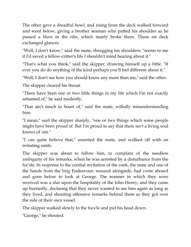The other gave a dreadful howl, and rising from the deck walked forward and went below, giving a brother seaman who patted his shoulder as he passed a blow in the ribs, which nearly broke them. Those on deck exchanged glances.

"Well, I don't know," said the mate, shrugging his shoulders; "seems to me if I'd saved a fellow-critter's life I shouldn't mind hearing about it."

"That's what you think," said the skipper, drawing himself up a little. "If ever you do do anything of the kind perhaps you'll feel different about it."

"Well, I don't see how you should know any more than me," said the other.

The skipper cleared his throat.

"There have been one or two little things in my life which I'm not exactly ashamed of," he said modestly.

"That ain't much to boast of," said the mate, wilfully misunderstanding him.

"I mean," said the skipper sharply, "one or two things which some people might have been proud of. But I'm proud to say that there isn't a living soul knows of 'em."

"I can quite believe that," assented the mate, and walked off with an irritating smile.

The skipper was about to follow him, to complain of the needless ambiguity of his remarks, when he was arrested by a disturbance from the foc'sle. In response to the cordial invitation of the cook, the mate and one of the hands from the brig Endeavour, moored alongside, had come aboard and gone below to look at George. The manner in which they were received was a slur upon the hospitality of the John Henry; and they came up hurriedly, declaring that they never wanted to see him again as long as they lived, and shouting offensive remarks behind them as they got over the side of their own vessel.

The skipper walked slowly to the focs'le and put his head down.

"George," he shouted.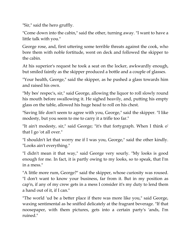"Sir," said the hero gruffly.

"Come down into the cabin," said the other, turning away. "I want to have a little talk with you."

George rose, and, first uttering some terrible threats against the cook, who bore them with noble fortitude, went on deck and followed the skipper to the cabin.

At his superior's request he took a seat on the locker, awkwardly enough, but smiled faintly as the skipper produced a bottle and a couple of glasses.

"Your health, George," said the skipper, as he pushed a glass towards him and raised his own.

"My bes' respec's, sir," said George, allowing the liquor to roll slowly round his mouth before swallowing it. He sighed heavily, and, putting his empty glass on the table, allowed his huge head to roll on his chest.

"Saving life don't seem to agree with you, George," said the skipper. "I like modesty, but you seem to me to carry it a trifle too far."

"It ain't modesty, sir," said George; "it's that fortygraph. When I think o' that I go 'ot all over."

"I shouldn't let that worry me if I was you, George," said the other kindly. "Looks ain't everything."

"I didn't mean it that way," said George very sourly. "My looks is good enough for me. In fact, it is partly owing to my looks, so to speak, that I'm in a mess."

"A little more rum, George?" said the skipper, whose curiosity was roused. "I don't want to know your business, far from it. But in my position as cap'n, if any of my crew gets in a mess I consider it's my duty to lend them a hand out of it, if I can."

"The world 'ud be a better place if there was more like you," said George, waxing sentimental as he sniffed delicately at the fragrant beverage. "If that noosepaper, with them pictures, gets into a certain party's 'ands, I'm ruined."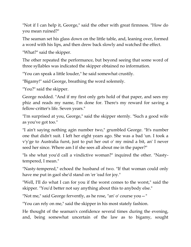"Not if I can help it, George," said the other with great firmness. "How do you mean ruined?"

The seaman set his glass down on the little table, and, leaning over, formed a word with his lips, and then drew back slowly and watched the effect.

"What?" said the skipper.

The other repeated the performance, but beyond seeing that some word of three syllables was indicated the skipper obtained no information.

"You can speak a little louder," he said somewhat crustily.

"Bigamy!" said George, breathing the word solemnly.

"You?" said the skipper.

George nodded. "And if my first only gets hold of that paper, and sees my phiz and reads my name, I'm done for. There's my reward for saving a fellow-critter's life. Seven years."

"I'm surprised at you, George," said the skipper sternly. "Such a good wife as you've got too."

"I ain't saying nothing agin number two," grumbled George. "It's number one that didn't suit. I left her eight years ago. She was a bad 'un. I took a v'y'ge to Australia furst, just to put her out o' my mind a bit, an' I never seed her since. Where am I if she sees all about me in the paper?"

"Is she what you'd call a vindictive woman?" inquired the other. "Nastytempered, I mean."

"Nasty-tempered," echoed the husband of two. "If that woman could only have me put in gaol she'd stand on 'er 'ead for joy."

"Well, I'll do what I can for you if the worst comes to the worst," said the skipper. "You'd better not say anything about this to anybody else."

"Not me," said George fervently, as he rose, "an' o' course you—"

"You can rely on me," said the skipper in his most stately fashion.

He thought of the seaman's confidence several times during the evening, and, being somewhat uncertain of the law as to bigamy, sought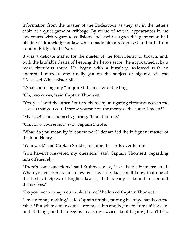information from the master of the Endeavour as they sat in the tetter's cabin at a quiet game of cribbage. By virtue of several appearances in the law courts with regard to collisions and spoilt cargoes this gentleman had obtained a knowledge of law which made him a recognised authority from London Bridge to the Nore.

It was a delicate matter for the master of the John Henry to broach, and, with the laudable desire of keeping the hero's secret, he approached it by a most circuitous route. He began with a burglary, followed with an attempted murder, and finally got on the subject of bigamy, via the "Deceased Wife's Sister Bill."

"What sort o' bigamy?" inquired the master of the brig.

"Oh, two wives," said Captain Thomsett.

"Yes, yes," said the other, "but are there any mitigating circumstances in the case, so that you could throw yourself on the mercy o' the court, I mean?"

"My case!" said Thomsett, glaring. "It ain't for me."

"Oh, no, o' course not," said Captain Stubbs.

"What do you mean by 'o' course not'?" demanded the indignant master of the John Henry.

"Your deal," said Captain Stubbs, pushing the cards over to him.

"You haven't answered my question," said Captain Thomsett, regarding him offensively.

"There's some questions," said Stubbs slowly, "as is best left unanswered. When you've seen as much law as I have, my lad, you'll know that one of the first principles of English law is, that nobody is bound to commit themselves."

"Do you mean to say you think it is me?" bellowed Captain Thomsett.

"I mean to say nothing," said Captain Stubbs, putting his huge hands on the table. "But when a man comes into my cabin and begins to hum an' haw an' hint at things, and then begins to ask my advice about bigamy, I can't help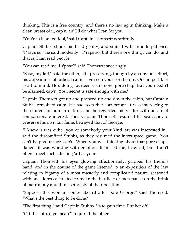thinking. This is a free country, and there's no law ag'in thinking. Make a clean breast of it, cap'n, an' I'll do what I can for you."

"You're a blanked fool," said Captain Thomsett wrathfully.

Captain Stubbs shook his head gently, and smiled with infinite patience. "P'raps so," he said modestly. "P'raps so; but there's one thing I can do, and that is, I can read people."

"You can read me, I s'pose?" said Thomsett sneeringly.

"Easy, my lad," said the other, still preserving, though by an obvious effort, his appearance of judicial calm. "I've seen your sort before. One in pertikler I call to mind. He's doing fourteen years now, pore chap. But you needn't be alarmed, cap'n. Your secret is safe enough with me."

Captain Thomsett got up and pranced up and down the cabin, but Captain Stubbs remained calm. He had seen that sort before. It was interesting to the student of human nature, and he regarded his visitor with an air of compassionate interest. Then Captain Thomsett resumed his seat, and, to preserve his own fair fame, betrayed that of George.

"I knew it was either you or somebody your kind 'art was interested in," said the discomfited Stubbs, as they resumed the interrupted game. "You can't help your face, cap'n. When you was thinking about that pore chap's danger it was working with emotion. It misled me, I own it, but it ain't often I meet such a feeling 'art as yours."

Captain Thomsett, his eyes glowing affectionately, gripped his friend's hand, and in the course of the game listened to an exposition of the law relating to bigamy of a most masterly and complicated nature, seasoned with anecdotes calculated to make the hardiest of men pause on the brink of matrimony and think seriously of their position.

"Suppose this woman comes aboard after pore George," said Thomsett. "What's the best thing to be done?"

"The first thing," said Captain Stubbs, "is to gain time. Put her off."

"Off the ship, d'ye mean?" inquired the other.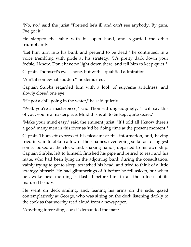"No, no," said the jurist "Pretend he's ill and can't see anybody. By gum, I've got it."

He slapped the table with his open hand, and regarded the other triumphantly.

"Let him turn into his bunk and pretend to be dead," he continued, in a voice trembling with pride at his strategy. "It's pretty dark down your foc'sle, I know. Don't have no light down there, and tell him to keep quiet."

Captain Thomsett's eyes shone, but with a qualified admiration.

"Ain't it somewhat sudden?" he demurred.

Captain Stubbs regarded him with a look of supreme artfulness, and slowly closed one eye.

"He got a chill going in the water," he said quietly.

"Well, you're a masterpiece," said Thomsett ungrudgingly. "I will say this of you, you're a masterpiece. Mind this is all to be kept quite secret."

"Make your mind easy," said the eminent jurist. "If I told all I know there's a good many men in this river as 'ud be doing time at the present moment."

Captain Thomsett expressed his pleasure at this information, and, having tried in vain to obtain a few of their names, even going so far as to suggest some, looked at the clock, and, shaking hands, departed to his own ship. Captain Stubbs, left to himself, finished his pipe and retired to rest; and his mate, who had been lying in the adjoining bunk during the consultation, vainly trying to get to sleep, scratched his head, and tried to think of a little strategy himself. He had glimmerings of it before he fell asleep, but when he awoke next morning it flashed before him in all the fulness of its matured beauty.

He went on deck smiling, and, leaning his arms on the side, gazed contemplatively at George, who was sitting on the deck listening darkly to the cook as that worthy read aloud from a newspaper.

"Anything interesting, cook?" demanded the mate.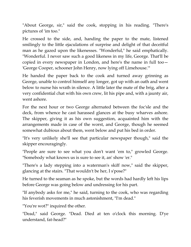"About George, sir," said the cook, stopping in his reading. "There's pictures of 'im too."

He crossed to the side, and, handing the paper to the mate, listened smilingly to the little ejaculations of surprise and delight of that deceitful man as he gazed upon the likenesses. "Wonderful," he said emphatically. "Wonderful. I never saw such a good likeness in my life, George. That'll be copied in every newspaper in London, and here's the name in full too— 'George Cooper, schooner John Henry, now lying off Limehouse.'"

He handed the paper back to the cook and turned away grinning as George, unable to control himself any longer, got up with an oath and went below to nurse his wrath in silence. A little later the mate of the brig, after a very confidential chat with his own crew, lit his pipe and, with a jaunty air, went ashore.

For the next hour or two George alternated between the foc'sle and the deck, from whence he cast harassed glances at the busy wharves ashore. The skipper, giving it as his own suggestion, acquainted him with the arrangements made in case of the worst, and George, though he seemed somewhat dubious about them, went below and put his bed in order.

"It's very unlikely she'll see that particular newspaper though," said the skipper encouragingly.

"People are sure to see what you don't want 'em to," growled George. "Somebody what knows us is sure to see it, an' show 'er."

"There's a lady stepping into a waterman's skiff now," said the skipper, glancing at the stairs. "That wouldn't be her, I s'pose?"

He turned to the seaman as he spoke, but the words had hardly left his lips before George was going below and undressing for his part.

"If anybody asks for me," he said, turning to the cook, who was regarding his feverish movements in much astonishment, "I'm dead."

"You're wot?" inquired the other.

"Dead," said George. "Dead. Died at ten o'clock this morning. D'ye understand, fat-head?"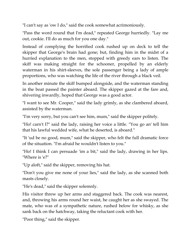"I can't say as 'ow I do," said the cook somewhat acrimoniously.

"Pass the word round that I'm dead," repeated George hurriedly. "Lay me out, cookie. I'll do as much for you one day."

Instead of complying the horrified cook rushed up on deck to tell the skipper that George's brain had gone; but, finding him in the midst of a hurried explanation to the men, stopped with greedy ears to listen. The skiff was making straight for the schooner, propelled by an elderly waterman in his shirt-sleeves, the sole passenger being a lady of ample proportions, who was watching the life of the river through a black veil.

In another minute the skiff bumped alongside, and the waterman standing in the boat passed the painter aboard. The skipper gazed at the fare and, shivering inwardly, hoped that George was a good actor.

"I want to see Mr. Cooper," said the lady grimly, as she clambered aboard, assisted by the waterman.

"I'm very sorry, but you can't see him, mum," said the skipper politely.

"Ho! carn't I?" said the lady, raising her voice a little. "You go an' tell him that his lawful wedded wife, what he deserted, is aboard."

"It 'ud be no good, mum," said the skipper, who felt the full dramatic force of the situation. "I'm afraid he wouldn't listen to you."

"Ho! I think I can persuade 'im a bit," said the lady, drawing in her lips. "Where is 'e?"

"Up aloft," said the skipper, removing his hat.

"Don't you give me none of your lies," said the lady, as she scanned both masts closely.

"He's dead," said the skipper solemnly.

His visitor threw up her arms and staggered back. The cook was nearest, and, throwing his arms round her waist, he caught her as she swayed. The mate, who was of a sympathetic nature, rushed below for whisky, as she sank back on the hatchway, taking the reluctant cook with her.

"Poor thing," said the skipper.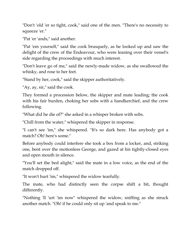"Don't 'old 'er so tight, cook," said one of the men. "There's no necessity to squeeze 'er."

"Pat 'er 'ands," said another.

"Pat 'em yourself," said the cook brusquely, as he looked up and saw the delight of the crew of the Endeavour, who were leaning over their vessel's side regarding the proceedings with much interest.

"Don't leave go of me," said the newly-made widow, as she swallowed the whisky, and rose to her feet.

"Stand by her, cook," said the skipper authoritatively.

"Ay, ay, sir," said the cook.

They formed a procession below, the skipper and mate leading; the cook with his fair burden, choking her sobs with a handkerchief, and the crew following.

"What did he die of?" she asked in a whisper broken with sobs.

"Chill from the water," whispered the skipper in response.

"I can't see 'im," she whispered. "It's so dark here. Has anybody got a match? Oh! here's some."

Before anybody could interfere she took a box from a locker, and, striking one, bent over the motionless George, and gazed at his tightly-closed eyes and open mouth in silence.

"You'll set the bed alight," said the mate in a low voice, as the end of the match dropped off.

"It won't hurt 'im," whispered the widow tearfully.

The mate, who had distinctly seen the corpse shift a bit, thought differently.

"Nothing 'll 'urt 'im now" whispered the widow, sniffing as she struck another match. "Oh! if he could only sit up 'and speak to me."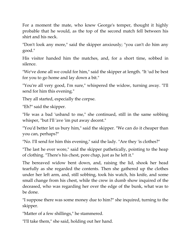For a moment the mate, who knew George's temper, thought it highly probable that he would, as the top of the second match fell between his shirt and his neck.

"Don't look any more," said the skipper anxiously; "you can't do him any good."

His visitor handed him the matches, and, for a short time, sobbed in silence.

"We've done all we could for him," said the skipper at length. "It 'ud be best for you to go home and lay down a bit."

"You're all very good, I'm sure," whispered the widow, turning away. "I'll send for him this evening."

They all started, especially the corpse.

"Eh?" said the skipper.

"He was a bad 'usband to me," she continued, still in the same sobbing whisper, "but I'll 'ave 'im put away decent."

"You'd better let us bury him," said the skipper. "We can do it cheaper than you can, perhaps?"

"No. I'll send for him this evening," said the lady. "Are they 'is clothes?"

"The last he ever wore," said the skipper pathetically, pointing to the heap of clothing. "There's his chest, pore chap, just as he left it."

The bereaved widow bent down, and, raising the lid, shook her head tearfully as she regarded the contents. Then she gathered up the clothes under her left arm, and, still sobbing, took his watch, his knife, and some small change from his chest, while the crew in dumb show inquired of the deceased, who was regarding her over the edge of the bunk, what was to be done.

"I suppose there was some money due to him?" she inquired, turning to the skipper.

"Matter of a few shillings," he stammered.

"I'll take them," she said, holding out her hand.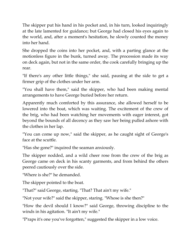The skipper put his hand in his pocket and, in his turn, looked inquiringly at the late lamented for guidance; but George had closed his eyes again to the world, and, after a moment's hesitation, he slowly counted the money into her hand.

She dropped the coins into her pocket, and, with a parting glance at the motionless figure in the bunk, turned away. The procession made its way on deck again, but not in the same order, the cook carefully bringing up the rear.

"If there's any other little things," she said, pausing at the side to get a firmer grip of the clothes under her arm.

"You shall have them," said the skipper, who had been making mental arrangements to have George buried before her return.

Apparently much comforted by this assurance, she allowed herself to be lowered into the boat, which was waiting. The excitement of the crew of the brig, who had been watching her movements with eager interest, got beyond the bounds of all decency as they saw her being pulled ashore with the clothes in her lap.

"You can come up now," said the skipper, as he caught sight of George's face at the scuttle.

"Has she gone?" inquired the seaman anxiously.

The skipper nodded, and a wild cheer rose from the crew of the brig as George came on deck in his scanty garments, and from behind the others peered cautiously over the side.

"Where is she?" he demanded.

The skipper pointed to the boat.

"That?" said George, starting. "That? That ain't my wife."

"Not your wife?" said the skipper, staring. "Whose is she then?"

"How the devil should I know?" said George, throwing discipline to the winds in his agitation. "It ain't my wife."

"P'raps it's one you've forgotten," suggested the skipper in a low voice.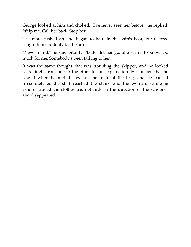George looked at him and choked. "I've never seen her before," he replied, "s'elp me. Call her back. Stop her."

The mate rushed aft and began to haul in the ship's boat, but George caught him suddenly by the arm.

"Never mind," he said bitterly; "better let her go. She seems to know too much for me. Somebody's been talking to her."

It was the same thought that was troubling the skipper, and he looked searchingly from one to the other for an explanation. He fancied that he saw it when he met the eye of the mate of the brig, and he paused irresolutely as the skiff reached the stairs, and the woman, springing ashore, waved the clothes triumphantly in the direction of the schooner and disappeared.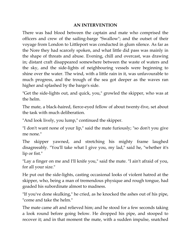## **AN INTERVENTION**

There was bad blood between the captain and mate who comprised the officers and crew of the sailing-barge "Swallow"; and the outset of their voyage from London to Littleport was conducted in glum silence. As far as the Nore they had scarcely spoken, and what little did pass was mainly in the shape of threats and abuse. Evening, chill and overcast, was drawing in; distant craft disappeared somewhere between the waste of waters and the sky, and the side-lights of neighbouring vessels were beginning to shine over the water. The wind, with a little rain in it, was unfavourable to much progress, and the trough of the sea got deeper as the waves ran higher and splashed by the barge's side.

"Get the side-lights out, and quick, you," growled the skipper, who was at the helm.

The mate, a black-haired, fierce-eyed fellow of about twenty-five, set about the task with much deliberation.

"And look lively, you lump," continued the skipper.

"I don't want none of your lip," said the mate furiously; "so don't you give me none."

The skipper yawned, and stretching his mighty frame laughed disagreeably. "You'll take what I give you, my lad," said he, "whether it's lip or fist."

"Lay a finger on me and I'll knife you," said the mate. "I ain't afraid of you, for all your size."

He put out the side-lights, casting occasional looks of violent hatred at the skipper, who, being a man of tremendous physique and rough tongue, had goaded his subordinate almost to madness.

"If you've done skulking," he cried, as he knocked the ashes out of his pipe, "come and take the helm."

The mate came aft and relieved him; and he stood for a few seconds taking a look round before going below. He dropped his pipe, and stooped to recover it; and in that moment the mate, with a sudden impulse, snatched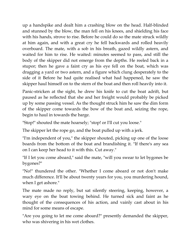up a handspike and dealt him a crashing blow on the head. Half-blinded and stunned by the blow, the man fell on his knees, and shielding his face with his hands, strove to rise. Before he could do so the mate struck wildly at him again, and with a great cry he fell backwards and rolled heavily overboard. The mate, with a sob in his breath, gazed wildly astern, and waited for him to rise. He waited: minutes seemed to pass, and still the body of the skipper did not emerge from the depths. He reeled back in a stupor; then he gave a faint cry as his eye fell on the boat, which was dragging a yard or two astern, and a figure which clung desperately to the side of it Before he had quite realised what had happened, he saw the skipper haul himself on to the stern of the boat and then roll heavily into it.

Panic-stricken at the sight, he drew his knife to cut the boat adrift, but paused as he reflected that she and her freight would probably be picked up by some passing vessel. As the thought struck him he saw the dim form of the skipper come towards the bow of the boat and, seizing the rope, begin to haul in towards the barge.

"Stop!" shouted the mate hoarsely; "stop! or I'll cut you loose."

The skipper let the rope go, and the boat pulled up with a jerk.

"I'm independent of you," the skipper shouted, picking up one of the loose boards from the bottom of the boat and brandishing it. "If there's any sea on I can keep her head to it with this. Cut away."

"If I let you come aboard," said the mate, "will you swear to let bygones be bygones?"

"No!" thundered the other. "Whether I come aboard or not don't make much difference. It'll be about twenty years for you, you murdering hound, when I get ashore."

The mate made no reply, but sat silently steering, keeping, however, a wary eye on the boat towing behind. He turned sick and faint as he thought of the consequences of his action, and vainly cast about in his mind for some means of escape.

"Are you going to let me come aboard?" presently demanded the skipper, who was shivering in his wet clothes.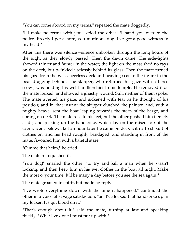"You can come aboard on my terms," repeated the mate doggedly.

"I'll make no terms with you," cried the other. "I hand you over to the police directly I get ashore, you mutinous dog. I've got a good witness in my head."

After this there was silence—silence unbroken through the long hours of the night as they slowly passed. Then the dawn came. The side-lights showed fainter and fainter in the water; the light on the mast shed no rays on the deck, but twinkled uselessly behind its glass. Then the mate turned his gaze from the wet, cheerless deck and heaving seas to the figure in the boat dragging behind. The skipper, who returned his gaze with a fierce scowl, was holding his wet handkerchief to his temple. He removed it as the mate looked, and showed a ghastly wound. Still, neither of them spoke. The mate averted his gaze, and sickened with fear as he thought of his position; and in that instant the skipper clutched the painter, and, with a mighty heave, sent the boat leaping towards the stern of the barge, and sprang on deck. The mate rose to his feet; but the other pushed him fiercely aside, and picking up the handspike, which lay on the raised top of the cabin, went below. Half an hour later he came on deck with a fresh suit of clothes on, and his head roughly bandaged, and standing in front of the mate, favoured him with a baleful stare.

"Gimme that helm," he cried.

The mate relinquished it.

"You dog!" snarled the other, "to try and kill a man when he wasn't looking, and then keep him in his wet clothes in the boat all night. Make the most o' your time. It'll be many a day before you see the sea again."

The mate groaned in spirit, but made no reply.

"I've wrote everything down with the time it happened," continued the other in a voice of savage satisfaction; "an' I've locked that handspike up in my locker. It's got blood on it."

"That's enough about it," said the mate, turning at last and speaking thickly. "What I've done I must put up with."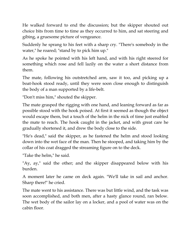He walked forward to end the discussion; but the skipper shouted out choice bits from time to time as they occurred to him, and sat steering and gibing, a gruesome picture of vengeance.

Suddenly he sprang to his feet with a sharp cry. "There's somebody in the water," he roared; "stand by to pick him up."

As he spoke he pointed with his left hand, and with his right steered for something which rose and fell lazily on the water a short distance from them.

The mate, following his outstretched arm, saw it too, and picking up a boat-hook stood ready, until they were soon close enough to distinguish the body of a man supported by a life-belt.

"Don't miss him," shouted the skipper.

The mate grasped the rigging with one hand, and leaning forward as far as possible stood with the hook poised. At first it seemed as though the object would escape them, but a touch of the helm in the nick of time just enabled the mate to reach. The hook caught in the jacket, and with great care he gradually shortened it, and drew the body close to the side.

"He's dead," said the skipper, as he fastened the helm and stood looking down into the wet face of the man. Then he stooped, and taking him by the collar of his coat dragged the streaming figure on to the deck.

"Take the helm," he said.

"Ay, ay," said the other; and the skipper disappeared below with his burden.

A moment later he came on deck again. "We'll take in sail and anchor. Sharp there!" he cried.

The mate went to his assistance. There was but little wind, and the task was soon accomplished, and both men, after a hasty glance round, ran below. The wet body of the sailor lay on a locker, and a pool of water was on the cabin floor.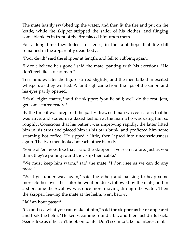The mate hastily swabbed up the water, and then lit the fire and put on the kettle; while the skipper stripped the sailor of his clothes, and flinging some blankets in front of the fire placed him upon them.

For a long time they toiled in silence, in the faint hope that life still remained in the apparently dead body.

"Poor devil!" said the skipper at length, and fell to rubbing again.

"I don't believe he's gone," said the mate, panting with his exertions. "He don't feel like a dead man."

Ten minutes later the figure stirred slightly, and the men talked in excited whispers as they worked. A faint sigh came from the lips of the sailor, and his eyes partly opened.

"It's all right, matey," said the skipper; "you lie still; we'll do the rest. Jem, get some coffee ready."

By the time it was prepared the partly drowned man was conscious that he was alive, and stared in a dazed fashion at the man who was using him so roughly. Conscious that his patient was improving rapidly, the latter lifted him in his arms and placed him in his own bunk, and proffered him some steaming hot coffee. He sipped a little, then lapsed into unconsciousness again. The two men looked at each other blankly.

"Some of 'em goes like that." said the skipper. "I've seen it afore. Just as you think they're pulling round they slip their cable."

"We must keep him warm," said the mate. "I don't see as we can do any more."

"We'll get under way again," said the other; and pausing to heap some more clothes over the sailor he went on deck, followed by the mate; and in a short time the Swallow was once more moving through the water. Then the skipper, leaving the mate at the helm, went below.

Half an hour passed.

"Go and see what you can make of him," said the skipper as he re-appeared and took the helm. "He keeps coming round a bit, and then just drifts back. Seems like as if he can't hook on to life. Don't seem to take no interest in it."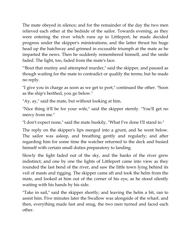The mate obeyed in silence; and for the remainder of the day the two men relieved each other at the bedside of the sailor. Towards evening, as they were entering the river which runs up to Littleport, he made decided progress under the skipper's ministrations; and the latter thrust his huge head up the hatchway and grinned in excusable triumph at the mate as he imparted the news. Then he suddenly remembered himself, and the smile faded. The light, too, faded from the mate's face.

"'Bout that mutiny and attempted murder," said the skipper, and paused as though waiting for the mate to contradict or qualify the terms; but he made no reply.

"I give you in charge as soon as we get to port," continued the other. "Soon as the ship's berthed, you go below."

"Ay, ay," said the mate, but without looking at him.

"Nice thing it'll be for your wife," said the skipper sternly. "You'll get no mercy from me."

"I don't expect none," said the mate huskily, "What I've done I'll stand to."

The reply on the skipper's lips merged into a grunt, and he went below. The sailor was asleep, and breathing gently and regularly; and after regarding him for some time the watcher returned to the deck and busied himself with certain small duties preparatory to landing.

Slowly the light faded out of the sky, and the banks of the river grew indistinct; and one by one the lights of Littleport came into view as they rounded the last bend of the river, and saw the little town lying behind its veil of masts and rigging. The skipper came aft and took the helm from the mate, and looked at him out of the corner of his eye, as he stood silently waiting with his hands by his side.

"Take in sail," said the skipper shortly; and leaving the helm a bit, ran to assist him. Five minutes later the Swallow was alongside of the wharf, and then, everything made fast and snug, the two men turned and faced each other.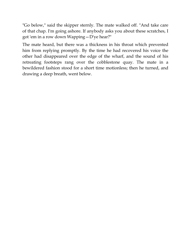"Go below," said the skipper sternly. The mate walked off. "And take care of that chap. I'm going ashore. If anybody asks you about these scratches, I got 'em in a row down Wapping—D'ye hear?"

The mate heard, but there was a thickness in his throat which prevented him from replying promptly. By the time he had recovered his voice the other had disappeared over the edge of the wharf, and the sound of his retreating footsteps rang over the cobblestone quay. The mate in a bewildered fashion stood for a short time motionless; then he turned, and drawing a deep breath, went below.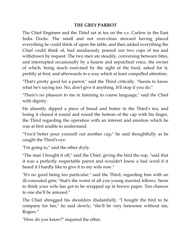## **THE GREY PARROT**

The Chief Engineer and the Third sat at tea on the s.s. Curlew in the East India Docks. The small and not over-clean steward having placed everything he could think of upon the table, and then added everything the Chief could think of, had assiduously poured out two cups of tea and withdrawn by request. The two men ate steadily, conversing between bites, and interrupted occasionally by a hoarse and sepulchral voice, the owner of which, being much exercised by the sight of the food, asked for it, prettily at first, and afterwards in a way which at least compelled attention.

"That's pretty good for a parrot," said the Third critically. "Seems to know what he's saying too. No, don't give it anything. It'll stop if you do."

"There's no pleasure to me in listening to coarse language," said the Chief with dignity.

He absently dipped a piece of bread and butter in the Third's tea, and losing it chased it round and round the bottom of the cap with his finger, the Third regarding the operation with an interest and emotion which he was at first unable to understand.

"You'd better pour yourself out another cup," he said thoughtfully as he caught the Third's eye.

"I'm going to," said the other dryly.

"The man I bought it off," said the Chief, giving the bird the sop, "said that it was a perfectly respectable parrot and wouldn't know a bad word if it heard it I hardly like to give it to my wife now."

"It's no good being too particular," said the Third, regarding him with an ill-concealed grin; "that's the worst of all you young married fellows. Seem to think your wife has got to be wrapped up in brown paper. Ten chances to one she'll be amused."

The Chief shrugged his shoulders disdainfully. "I bought the bird to be company for her," he said slowly; "she'll be very lonesome without me, Rogers."

"How do you know?" inquired the other.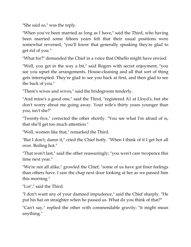"She said so," was the reply.

"When you've been married as long as I have," said the Third, who having been married some fifteen years felt that their usual positions were somewhat reversed, "you'll know that generally speaking they're glad to get rid of you."

"What for?" demanded the Chief in a voice that Othello might have envied.

"Well, you get in the way a bit," said Rogers with secret enjoyment; "you see you upset the arrangements. House-cleaning and all that sort of thing gets interrupted. They're glad to see you back at first, and then glad to see the back of you."

"There's wives and wives," said the bridegroom tenderly.

"And mine's a good one," said the Third, "registered A1 at Lloyd's, but she don't worry about me going away. Your wife's thirty years younger than you, isn't she?"

"Twenty-five," corrected the other shortly. "You see what I'm afraid of is, that she'll get too much attention."

"Well, women like that," remarked the Third.

"But I don't, damn it," cried the Chief hotly. "When I think of it I get hot all over. Boiling hot."

"That won't last," said the other reassuringly; "you won't care twopence this time next year."

"We're not all alike," growled the Chief; "some of us have got finer feelings than others have. I saw the chap next door looking at her as we passed him this morning."

"Lor'," said the Third.

"I don't want any of your damned impudence," said the Chief sharply. "He put his hat on straighter when he passed us. What do you think of that?"

"Can't say," replied the other with commendable gravity; "it might mean anything."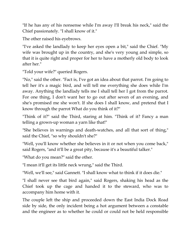"If he has any of his nonsense while I'm away I'll break his neck," said the Chief passionately. "I shall know of it."

The other raised his eyebrows.

"I've asked the landlady to keep her eyes open a bit," said the Chief. "My wife was brought up in the country, and she's very young and simple, so that it is quite right and proper for her to have a motherly old body to look after her."

"Told your wife?" queried Rogers.

"No," said the other. "Fact is, I've got an idea about that parrot. I'm going to tell her it's a magic bird, and will tell me everything she does while I'm away. Anything the landlady tells me I shall tell her I got from the parrot. For one thing, I don't want her to go out after seven of an evening, and she's promised me she won't. If she does I shall know, and pretend that I know through the parrot What do you think of it?"

"Think of it?" said the Third, staring at him. "Think of it? Fancy a man telling a grown-up woman a yarn like that!"

"She believes in warnings and death-watches, and all that sort of thing," said the Chief, "so why shouldn't she?"

"Well, you'll know whether she believes in it or not when you come back," said Rogers, "and it'll be a great pity, because it's a beautiful talker."

"What do you mean?" said the other.

"I mean it'll get its little neck wrung," said the Third.

"Well, we'll see," said Gannett. "I shall know what to think if it does die."

"I shall never see that bird again," said Rogers, shaking his head as the Chief took up the cage and handed it to the steward, who was to accompany him home with it.

The couple left the ship and proceeded down the East India Dock Road side by side, the only incident being a hot argument between a constable and the engineer as to whether he could or could not be held responsible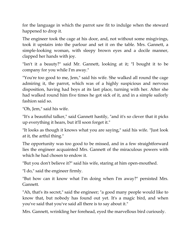for the language in which the parrot saw fit to indulge when the steward happened to drop it.

The engineer took the cage at his door, and, not without some misgivings, took it upstairs into the parlour and set it on the table. Mrs. Gannett, a simple-looking woman, with sleepy brown eyes and a docile manner, clapped her hands with joy.

"Isn't it a beauty?" said Mr. Gannett, looking at it; "I bought it to be company for you while I'm away."

"You're too good to me, Jem," said his wife. She walked all round the cage admiring it, the parrot, which was of a highly suspicious and nervous disposition, having had boys at its last place, turning with her. After she had walked round him five times he got sick of it, and in a simple sailorly fashion said so.

"Oh, Jem," said his wife.

"It's a beautiful talker," said Gannett hastily, "and it's so clever that it picks up everything it hears, but it'll soon forget it."

"It looks as though it knows what you are saying," said his wife. "Just look at it, the artful thing."

The opportunity was too good to be missed, and in a few straightforward lies the engineer acquainted Mrs. Gannett of the miraculous powers with which he had chosen to endow it.

"But you don't believe it?" said his wife, staring at him open-mouthed.

"I do," said the engineer firmly.

"But how can it know what I'm doing when I'm away?" persisted Mrs. Gannett.

"Ah, that's its secret," said the engineer; "a good many people would like to know that, but nobody has found out yet. It's a magic bird, and when you've said that you've said all there is to say about it."

Mrs. Gannett, wrinkling her forehead, eyed the marvellous bird curiously.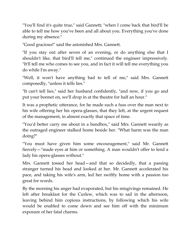"You'll find it's quite true," said Gannett; "when I come back that bird'll be able to tell me how you've been and all about you. Everything you've done during my absence."

"Good gracious!" said the astonished Mrs. Gannett.

"If you stay out after seven of an evening, or do anything else that I shouldn't like, that bird'll tell me," continued the engineer impressively. "It'll tell me who comes to see you, and in fact it will tell me everything you do while I'm away."

"Well, it won't have anything bad to tell of me," said Mrs. Gannett composedly, "unless it tells lies."

"It can't tell lies," said her husband confidently, "and now, if you go and put your bonnet on, we'll drop in at the theatre for half an hour."

It was a prophetic utterance, for he made such a fuss over the man next to his wife offering her his opera-glasses, that they left, at the urgent request of the management, in almost exactly that space of time.

"You'd better carry me about in a bandbox," said Mrs. Gannett wearily as the outraged engineer stalked home beside her. "What harm was the man doing?"

"You must have given him some encouragement," said Mr. Gannett fiercely—"made eyes at him or something. A man wouldn't offer to lend a lady his opera-glasses without."

Mrs. Gannett tossed her head—and that so decidedly, that a passing stranger turned his head and looked at her. Mr. Gannett accelerated his pace, and taking his wife's arm, led her swiftly home with a passion too great for words.

By the morning his anger had evaporated, but his misgivings remained. He left after breakfast for the Curlew, which was to sail in the afternoon, leaving behind him copious instructions, by following which his wife would be enabled to come down and see him off with the minimum exposure of her fatal charms.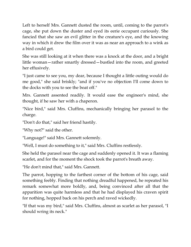Left to herself Mrs. Gannett dusted the room, until, coming to the parrot's cage, she put down the duster and eyed its eerie occupant curiously. She fancied that she saw an evil glitter in the creature's eye, and the knowing way in which it drew the film over it was as near an approach to a wink as a bird could get.

She was still looking at it when there was a knock at the door, and a bright little woman—rather smartly dressed—bustled into the room, and greeted her effusively.

"I just came to see you, my dear, because I thought a little outing would do me good," she said briskly; "and if you've no objection I'll come down to the docks with you to see the boat off."

Mrs. Gannett assented readily. It would ease the engineer's mind, she thought, if he saw her with a chaperon.

"Nice bird," said Mrs. Cluffins, mechanically bringing her parasol to the charge.

"Don't do that," said her friend hastily.

"Why not?" said the other.

"Language!" said Mrs. Gannett solemnly.

"Well, I must do something to it," said Mrs. Cluffins restlessly.

She held the parasol near the cage and suddenly opened it. It was a flaming scarlet, and for the moment the shock took the parrot's breath away.

"He don't mind that," said Mrs. Gannett.

The parrot, hopping to the farthest corner of the bottom of his cage, said something feebly. Finding that nothing dreadful happened, he repeated his remark somewhat more boldly, and, being convinced after all that the apparition was quite harmless and that he had displayed his craven spirit for nothing, hopped back on his perch and raved wickedly.

"If that was my bird," said Mrs. Cluffins, almost as scarlet as her parasol, "I should wring its neck."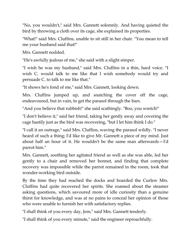"No, you wouldn't," said Mrs. Gannett solemnly. And having quieted the bird by throwing a cloth over its cage, she explained its properties.

"What!" said Mrs. Cluffins, unable to sit still in her chair. "You mean to tell me your husband said that!"

Mrs. Gannett nodded.

"He's awfully jealous of me," she said with a slight simper.

"I wish he was my husband," said Mrs. Cluffins in a thin, hard voice. "I wish C. would talk to me like that I wish somebody would try and persuade C. to talk to me like that."

"It shows he's fond of me," said Mrs. Gannett, looking down.

Mrs. Cluffins jumped up, and snatching the cover off the cage, endeavoured, but in vain, to get the parasol through the bars.

"And you believe that rubbish!" she said scathingly. "Boo, you wretch!"

"I don't believe it," said her friend, taking her gently away and covering the cage hastily just as the bird was recovering, "but I let him think I do."

"I call it an outrage," said Mrs. Cluffins, waving the parasol wildly. "I never heard of such a thing; I'd like to give Mr. Gannett a piece of my mind. Just about half an hour of it. He wouldn't be the same man afterwards—I'd parrot him."

Mrs. Gannett, soothing her agitated friend as well as she was able, led her gently to a chair and removed her bonnet, and finding that complete recovery was impossible while the parrot remained in the room, took that wonder-working bird outside.

By the time they had reached the docks and boarded the Curlew Mrs. Cluffins had quite recovered her spirits. She roamed about the steamer asking questions, which savoured more of idle curiosity than a genuine thirst for knowledge, and was at no pains to conceal her opinion of those who were unable to furnish her with satisfactory replies.

"I shall think of you every day, Jem," said Mrs. Gannett tenderly.

"I shall think of you every minute," said the engineer reproachfully.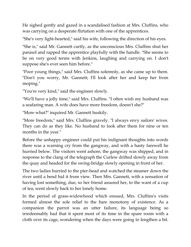He sighed gently and gazed in a scandalised fashion at Mrs. Cluffins, who was carrying on a desperate flirtation with one of the apprentices.

"She's very light-hearted," said his wife, following the direction of his eyes.

"She is," said Mr. Gannett curtly, as the unconscious Mrs. Cluffins shut her parasol and rapped the apprentice playfully with the handle. "She seems to be on very good terms with Jenkins, laughing and carrying on. I don't suppose she's ever seen him before."

"Poor young things," said Mrs. Cluffins solemnly, as she came up to them. "Don't you worry, Mr. Gannett; I'll look after her and keep her from moping."

"You're very kind," said the engineer slowly.

"We'll have a jolly time," said Mrs. Cluffins. "I often wish my husband was a seafaring man. A wife does have more freedom, doesn't she?"

"More what?" inquired Mr. Gannett huskily.

"More freedom," said Mrs. Cluffins gravely. "I always envy sailors' wives. They can do as they like. No husband to look after them for nine or ten months in the year."

Before the unhappy engineer could put his indignant thoughts into words there was a warning cry from the gangway, and with a hasty farewell he hurried below. The visitors went ashore, the gangway was shipped, and in response to the clang of the telegraph the Curlew drifted slowly away from the quay and headed for the swing-bridge slowly opening in front of her.

The two ladies hurried to the pier-head and watched the steamer down the river until a bend hid it from view. Then Mrs. Gannett, with a sensation of having lost something, due, so her friend assured her, to the want of a cup of tea, went slowly back to her lonely home.

In the period of grass-widowhood which ensued, Mrs. Cluffins's visits formed almost the sole relief to the bare monotony of existence. As a companion the parrot was an utter failure, its language being so irredeemably bad that it spent most of its time in the spare room with a cloth over its cage, wondering when the days were going to lengthen a bit.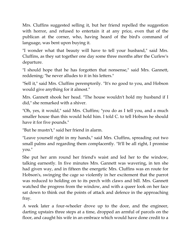Mrs. Cluffins suggested selling it, but her friend repelled the suggestion with horror, and refused to entertain it at any price, even that of the publican at the corner, who, having heard of the bird's command of language, was bent upon buying it.

"I wonder what that beauty will have to tell your husband," said Mrs. Cluffins, as they sat together one day some three months after the Curlew's departure.

"I should hope that he has forgotten that nonsense," said Mrs. Gannett, reddening; "he never alludes to it in his letters."

"Sell it," said Mrs. Cluffins peremptorily. "It's no good to you, and Hobson would give anything for it almost."

Mrs. Gannett shook her head. "The house wouldn't hold my husband if I did," she remarked with a shiver.

"Oh, yes, it would," said Mrs. Cluffins; "you do as I tell you, and a much smaller house than this would hold him. I told C. to tell Hobson he should have it for five pounds."

"But he mustn't," said her friend in alarm.

"Leave yourself right in my hands," said Mrs. Cluffins, spreading out two small palms and regarding them complacently. "It'll be all right, I promise you."

She put her arm round her friend's waist and led her to the window, talking earnestly. In five minutes Mrs. Gannett was wavering, in ten she had given way, and in fifteen the energetic Mrs. Cluffins was en route for Hobson's, swinging the cage so violently in her excitement that the parrot was reduced to holding on to its perch with claws and bill. Mrs. Gannett watched the progress from the window, and with a queer look on her face sat down to think out the points of attack and defence in the approaching fray.

A week later a four-wheeler drove up to the door, and the engineer, darting upstairs three steps at a time, dropped an armful of parcels on the floor, and caught his wife in an embrace which would have done credit to a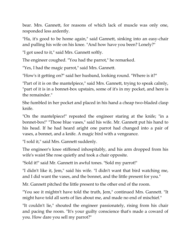bear. Mrs. Gannett, for reasons of which lack of muscle was only one, responded less ardently.

"Ha, it's good to be home again," said Gannett, sinking into an easy-chair and pulling his wife on his knee. "And how have you been? Lonely?"

"I got used to it," said Mrs. Gannett softly.

The engineer coughed. "You had the parrot," he remarked.

"Yes, I had the magic parrot," said Mrs. Gannett.

"How's it getting on?" said her husband, looking round. "Where is it?"

"Part of it is on the mantelpiece," said Mrs. Gannett, trying to speak calmly, "part of it is in a bonnet-box upstairs, some of it's in my pocket, and here is the remainder."

She fumbled in her pocket and placed in his hand a cheap two-bladed clasp knife.

"On the mantelpiece!" repeated the engineer staring at the knife; "in a bonnet-box!" "Those blue vases," said his wife. Mr. Gannett put his hand to his head. If he had heard aright one parrot had changed into a pair of vases, a bonnet, and a knife. A magic bird with a vengeance.

"I sold it," said Mrs. Gannett suddenly.

The engineer's knee stiffened inhospitably, and his arm dropped from his wife's waist She rose quietly and took a chair opposite.

"Sold it!" said Mr. Gannett in awful tones. "Sold my parrot!"

"I didn't like it, Jem," said his wife. "I didn't want that bird watching me, and I did want the vases, and the bonnet, and the little present for you."

Mr. Gannett pitched the little present to the other end of the room.

"You see it mightn't have told the truth, Jem," continued Mrs. Gannett. "It might have told all sorts of lies about me, and made no end of mischief."

"It couldn't lie," shouted the engineer passionately, rising from his chair and pacing the room. "It's your guilty conscience that's made a coward of you. How dare you sell my parrot?"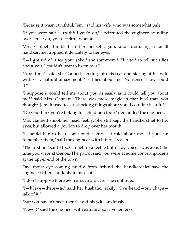"Because it wasn't truthful, Jem," said his wife, who was somewhat pale.

"If you were half as truthful you'd do," vociferated the engineer, standing over her. "You, you deceitful woman."

Mrs. Gannett fumbled in her pocket again, and producing a small handkerchief applied it delicately to her eyes.

"I—I got rid of it for your sake," she stammered. "It used to tell such lies about you. I couldn't bear to listen to it."

"About me!" said Mr. Gannett, sinking into his seat and staring at his wife with very natural amazement. "Tell lies about me! Nonsense! How could it?"

"I suppose it could tell me about you as easily as it could tell you about me?" said Mrs. Gannett. "There was more magic in that bird than you thought, Jem. It used to say shocking things about you. I couldn't bear it."

"Do you think you're talking to a child or a fool?" demanded the engineer.

Mrs. Gannett shook her head feebly. She still kept the handkerchief to her eyes, but allowed a portion to drop over her mouth.

"I should like to hear some of the stories it told about me—if you can remember them," said the engineer with bitter sarcasm.

"The first lie," said Mrs. Gannett in a feeble but ready voice, "was about the time you were at Genoa. The parrot said you were at some concert gardens at the upper end of the town."

One moist eye coming mildly from behind the handkerchief saw the engineer stiffen suddenly in his chair.

"I don't suppose there even is such a place," she continued.

"I—b'leve—there—is," said her husband jerkily. "I've heard—our chaps talk of it."

"But you haven't been there?" said his wife anxiously.

"Never!" said the engineer with extraordinary vehemence.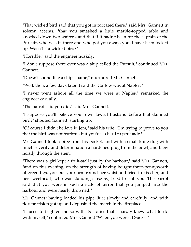"That wicked bird said that you got intoxicated there," said Mrs. Gannett in solemn accents, "that you smashed a little marble-topped table and knocked down two waiters, and that if it hadn't been for the captain of the Pursuit, who was in there and who got you away, you'd have been locked up. Wasn't it a wicked bird?"

"Horrible!" said the engineer huskily.

"I don't suppose there ever was a ship called the Pursuit," continued Mrs. Gannett.

"Doesn't sound like a ship's name," murmured Mr. Gannett.

"Well, then, a few days later it said the Curlew was at Naples."

"I never went ashore all the time we were at Naples," remarked the engineer casually.

"The parrot said you did," said Mrs. Gannett.

"I suppose you'll believe your own lawful husband before that damned bird?" shouted Gannett, starting up.

"Of course I didn't believe it, Jem," said his wife. "I'm trying to prove to you that the bird was not truthful, but you're so hard to persuade."

Mr. Gannett took a pipe from his pocket, and with a small knife dug with much severity and determination a hardened plug from the bowl, and blew noisily through the stem.

"There was a girl kept a fruit-stall just by the harbour," said Mrs. Gannett, "and on this evening, on the strength of having bought three-pennyworth of green figs, you put your arm round her waist and tried to kiss her, and her sweetheart, who was standing close by, tried to stab you. The parrot said that you were in such a state of terror that you jumped into the harbour and were nearly drowned."

Mr. Gannett having loaded his pipe lit it slowly and carefully, and with tidy precision got up and deposited the match in the fireplace.

"It used to frighten me so with its stories that I hardly knew what to do with myself," continued Mrs. Gannett "When you were at Suez—"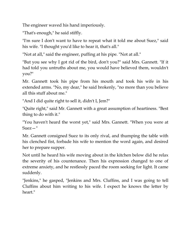The engineer waved his hand imperiously.

"That's enough," he said stiffly.

"I'm sure I don't want to have to repeat what it told me about Suez," said his wife. "I thought you'd like to hear it, that's all."

"Not at all," said the engineer, puffing at his pipe. "Not at all."

"But you see why I got rid of the bird, don't you?" said Mrs. Gannett. "If it had told you untruths about me, you would have believed them, wouldn't you?"

Mr. Gannett took his pipe from his mouth and took his wife in his extended arms. "No, my dear," he said brokenly, "no more than you believe all this stuff about me."

"And I did quite right to sell it, didn't I, Jem?"

"Quite right," said Mr. Gannett with a great assumption of heartiness. "Best thing to do with it."

"You haven't heard the worst yet," said Mrs. Gannett. "When you were at Suez—"

Mr. Gannett consigned Suez to its only rival, and thumping the table with his clenched fist, forbade his wife to mention the word again, and desired her to prepare supper.

Not until he heard his wife moving about in the kitchen below did he relax the severity of his countenance. Then his expression changed to one of extreme anxiety, and he restlessly paced the room seeking for light. It came suddenly.

"Jenkins," he gasped, "Jenkins and Mrs. Cluffins, and I was going to tell Cluffins about him writing to his wife. I expect he knows the letter by heart."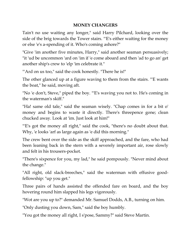## **MONEY CHANGERS**

Tain't no use waiting any longer," said Harry Pilchard, looking over the side of the brig towards the Tower stairs. "'E's either waiting for the money or else 'e's a-spending of it. Who's coming ashore?"

"Give 'im another five minutes, Harry," said another seaman persuasively; "it 'ud be uncommon 'ard on 'im if 'e come aboard and then 'ad to go an' get another ship's crew to 'elp 'im celebrate it."

"'Ard on us too," said the cook honestly. "There he is!"

The other glanced up at a figure waving to them from the stairs. "'E wants the boat," he said, moving aft.

"No 'e don't, Steve," piped the boy. "'E's waving you not to. He's coming in the waterman's skiff."

"Ha! same old tale," said the seaman wisely. "Chap comes in for a bit o' money and begins to waste it directly. There's threepence gone; clean chucked away. Look at 'im. Just look at him!"

"E's got the money all right," said the cook, "there's no doubt about that. Why, 'e looks 'arf as large again as 'e did this morning."

The crew bent over the side as the skiff approached, and the fare, who had been leaning back in the stern with a severely important air, rose slowly and felt in his trousers-pocket.

"There's sixpence for you, my lad," he said pompously. "Never mind about the change."

"All right, old slack-breeches," said the waterman with effusive goodfellowship: "up you get."

Three pairs of hands assisted the offended fare on board, and the boy hovering round him slapped his legs vigorously.

"Wot are you up to?" demanded Mr. Samuel Dodds, A.B., turning on him.

"Only dusting you down, Sam," said the boy humbly.

"You got the money all right, I s'pose, Sammy?" said Steve Martin.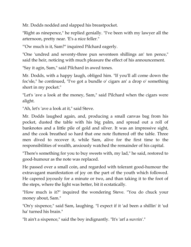Mr. Dodds nodded and slapped his breastpocket.

"Right as ninepence," he replied genially. "I've been with my lawyer all the arternoon, pretty near. 'E's a nice feller."

"'Ow much is it, Sam?" inquired Pilchard eagerly.

"One 'undred and seventy-three pun seventeen shillings an' ten pence," said the heir, noticing with much pleasure the effect of his announcement.

"Say it agin, Sam," said Pilchard in awed tones.

Mr. Dodds, with a happy laugh, obliged him. "If you'll all come down the foc'sle," he continued, "I've got a bundle o' cigars an' a drop o' something short in my pocket."

"Let's 'ave a look at the money, Sam," said Pilchard when the cigars were alight.

"Ah, let's 'ave a look at it," said Steve.

Mr. Dodds laughed again, and, producing a small canvas bag from his pocket, dusted the table with his big palm, and spread out a roll of banknotes and a little pile of gold and silver. It was an impressive sight, and the cook breathed so hard that one note fluttered off the table. Three men dived to recover it, while Sam, alive for the first time to the responsibilities of wealth, anxiously watched the remainder of his capital.

"There's something for you to buy sweets with, my lad," he said, restored to good-humour as the note was replaced.

He passed over a small coin, and regarded with tolerant good-humour the extravagant manifestation of joy on the part of the youth which followed. He capered joyously for a minute or two, and than taking it to the foot of the steps, where the light was better, bit it ecstatically.

"How much is it?" inquired the wondering Steve. "You do chuck your money about, Sam."

"On'y sixpence," said Sam, laughing. "I expect if it 'ad been a shillin' it 'ud ha' turned his brain."

"It ain't a sixpence," said the boy indignantly. "It's 'arf a suvrin'."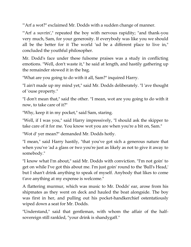"'Arf a wot?" exclaimed Mr. Dodds with a sudden change of manner.

""Arf a suvrin'," repeated the boy with nervous rapidity; "and thank-you very much, Sam, for your generosity. If everybody was like you we should all be the better for it The world 'ud be a different place to live in," concluded the youthful philosopher.

Mr. Dodd's face under these fulsome praises was a study in conflicting emotions. "Well, don't waste it," he said at length, and hastily gathering up the remainder stowed it in the bag.

"What are you going to do with it all, Sam?" inquired Harry.

"I ain't made up my mind yet," said Mr. Dodds deliberately. "I 'ave thought of 'ouse property."

"I don't mean that," said the other. "I mean, wot are you going to do with it now, to take care of it?"

"Why, keep it in my pocket," said Sam, staring.

"Well, if I was you," said Harry impressively, "I should ask the skipper to take care of it for me. You know wot you are when you're a bit on, Sam."

"Wot d' yer mean?" demanded Mr. Dodds hotly.

"I mean," said Harry hastily, "that you've got sich a generous nature that when you've 'ad a glass or two you're just as likely as not to give it away to somebody."

"I know what I'm about," said Mr. Dodds with conviction. "I'm not goin' to get on while I've got this about me. I'm just goin' round to the 'Bull's Head,' but I shan't drink anything to speak of myself. Anybody that likes to come t'ave anything at my expense is welcome."

A flattering murmur, which was music to Mr. Dodds' ear, arose from his shipmates as they went on deck and hauled the boat alongside. The boy was first in her, and pulling out his pocket-handkerchief ostentatiously wiped down a seat for Mr. Dodds.

"Understand," said that gentleman, with whom the affair of the halfsovereign still rankled, "your drink is shandygaff."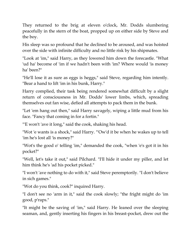They returned to the brig at eleven o'clock, Mr. Dodds slumbering peacefully in the stern of the boat, propped up on either side by Steve and the boy.

His sleep was so profound that he declined to be aroused, and was hoisted over the side with infinite difficulty and no little risk by his shipmates.

"Look at 'im," said Harry, as they lowered him down the forecastle. "What 'ud ha' become of 'im if we hadn't been with 'im? Where would 'is money ha' been?"

"He'll lose it as sure as eggs is heggs," said Steve, regarding him intently. "Bear a hand to lift 'im in his bunk, Harry."

Harry complied, their task being rendered somewhat difficult by a slight return of consciousness in Mr. Dodds' lower limbs, which, spreading themselves out fan wise, defied all attempts to pack them in the bunk.

"Let 'em hang out then," said Harry savagely, wiping a little mud from his face. "Fancy that coming in for a fortin."

"'E won't 'ave it long," said the cook, shaking his head.

"Wot 'e wants is a shock," said Harry. "'Ow'd it be when he wakes up to tell 'im he's lost all 'is money?"

"Wot's the good o' telling 'im," demanded the cook, "when 'e's got it in his pocket?"

"Well, let's take it out," said Pilchard. "I'll hide it under my piller, and let him think he's 'ad his pocket picked."

"I won't 'ave nothing to do with it," said Steve peremptorily. "I don't believe in sich games."

"Wot do you think, cook?" inquired Harry.

"I don't see no 'arm in it," said the cook slowly; "the fright might do 'im good, p'raps."

"It might be the saving of 'im," said Harry. He leaned over the sleeping seaman, and, gently inserting his fingers in his breast-pocket, drew out the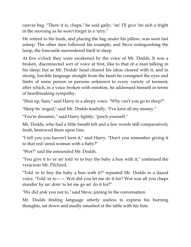canvas bag. "There it is, chaps," he said gaily; "an' I'll give 'im sich a fright in the morning as he won't forget in a 'urry."

He retired to his bunk, and placing the bag under his pillow, was soon fast asleep. The other men followed his example, and Steve extinguishing the lamp, the forecastle surrendered itself to sleep.

At five o'clock they were awakened by the voice of Mr. Dodds. It was a broken, disconnected sort of voice at first, like to that of a man talking in his sleep; but as Mr. Dodds' head cleared his ideas cleared with it, and in strong, forcible language straight from the heart he consigned the eyes and limbs of some person or persons unknown to every variety of torment; after which, in a voice broken with emotion, he addressed himself in terms of heartbreaking sympathy.

"Shut up, Sam," said Harry in a sleepy voice. "Why can't you go to sleep?"

"Sleep be 'anged," said Mr. Dodds tearfully. "I've lorst all my money."

"You're dreamin'," said Harry lightly; "pinch yourself."

Mr. Dodds, who had a little breath left and a few words still comparatively fresh, bestowed them upon him.

"I tell you you haven't lorst it," said Harry. "Don't you remember giving it to that red-'aired woman with a baby?"

"Wot?" said the astounded Mr. Dodds.

"You give it to 'er an' told 'er to buy the baby a bun with it," continued the veracious Mr. Pilchard.

"Told 'er to buy the baby a bun with it?" repeated Mr. Dodds in a dazed voice. "Told 'er to—— Wot did you let me do it for? Wot was all you chaps standin' by an' doin' to let me go an' do it for?"

"We did arsk you not to," said Steve, joining in the conversation.

Mr. Dodds finding language utterly useless to express his burning thoughts, sat down and madly smashed at the table with his fists.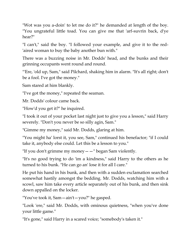"Wot was you a-doin' to let me do it?" he demanded at length of the boy. "You ungrateful little toad. You can give me that 'arf-suvrin back, d'ye hear?"

"I can't," said the boy. "I followed your example, and give it to the red- 'aired woman to buy the baby another bun with."

There was a buzzing noise in Mr. Dodds' head, and the bunks and their grinning occupants went round and round.

"'Ere, 'old up, Sam," said Pilchard, shaking him in alarm. "It's all right; don't be a fool. I've got the money."

Sam stared at him blankly.

"I've got the money," repeated the seaman.

Mr. Dodds' colour came back.

"How'd you get it?" he inquired.

"I took it out of your pocket last night just to give you a lesson," said Harry severely. "Don't you never be so silly agin, Sam."

"Gimme my money," said Mr. Dodds, glaring at him.

"You might ha' lorst it, you see, Sam," continued his benefactor; "if I could take it, anybody else could. Let this be a lesson to you."

"If you don't grimme my money——" began Sam violently.

"It's no good trying to do 'im a kindness," said Harry to the others as he turned to his bunk. "He can go an' lose it for all I care."

He put his hand in his bunk, and then with a sudden exclamation searched somewhat hastily amongst the bedding. Mr. Dodds, watching him with a scowl, saw him take every article separately out of his bunk, and then sink down appalled on the locker.

"You've took it, Sam—ain't—you?" he gasped.

"Look 'ere," said Mr. Dodds, with ominous quietness, "when you've done your little game."

"It's gone," said Harry in a scared voice; "somebody's taken it."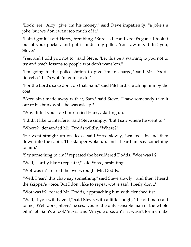"Look 'ere, 'Arry, give 'im his money," said Steve impatiently; "a joke's a joke, but we don't want too much of it."

"I ain't got it," said Harry, trembling. "Sure as I stand 'ere it's gone. I took it out of your pocket, and put it under my piller. You saw me, didn't you, Steve?"

"Yes, and I told you not to," said Steve. "Let this be a warning to you not to try and teach lessons to people wot don't want 'em."

"I'm going to the police-station to give 'im in charge," said Mr. Dodds fiercely; "that's wot I'm goin' to do."

"For the Lord's sake don't do that, Sam," said Pilchard, clutching him by the coat.

"'Arry ain't made away with it, Sam," said Steve. "I saw somebody take it out of his bunk while he was asleep."

"Why didn't you stop him?" cried Harry, starting up.

"I didn't like to interfere," said Steve simply; "but I saw where he went to."

"Where?" demanded Mr. Dodds wildly. "Where?"

"He went straight up on deck," said Steve slowly, "walked aft, and then down into the cabin. The skipper woke up, and I heard 'im say something to him."

"Say something to 'im?" repeated the bewildered Dodds. "Wot was it?"

"Well, I 'ardly like to repeat it," said Steve, hesitating.

"Wot was it?" roared the overwrought Mr. Dodds.

"Well, I 'eard this chap say something," said Steve slowly, "and then I heard the skipper's voice. But I don't like to repeat wot 'e said, I reely don't."

"Wot was it?" roared Mr. Dodds, approaching him with clenched fist.

"Well, if you will have it," said Steve, with a little cough, "the old man said to me, 'Well done, Steve,' he ses, 'you're the only sensible man of the whole bilin' lot. Sam's a fool,' 'e ses, 'and 'Arrys worse, an' if it wasn't for men like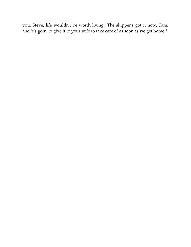you, Steve, life wouldn't be worth living.' The skipper's got it now, Sam, and 'e's goin' to give it to your wife to take care of as soon as we get home."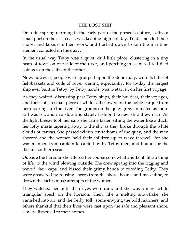## **THE LOST SHIP**

On a fine spring morning in the early part of the present century, Tetby, a small port on the east coast, was keeping high holiday. Tradesmen left their shops, and labourers their work, and flocked down to join the maritime element collected on the quay.

In the usual way Tetby was a quiet, dull little place, clustering in a tiny heap of town on one side of the river, and perching in scattered red-tiled cottages on the cliffs of the other.

Now, however, people were grouped upon the stone quay, with its litter of fish-baskets and coils of rope, waiting expectantly, for to-day the largest ship ever built in Tetby, by Tetby hands, was to start upon her first voyage.

As they waited, discussing past Tetby ships, their builders, their voyages, and their fate, a small piece of white sail showed on the noble barque from her moorings up the river. The groups on the quay grew animated as more sail was set, and in a slow and stately fashion the new ship drew near. As the light breeze took her sails she came faster, sitting the water like a duck, her lofty masts tapering away to the sky as they broke through the white clouds of canvas. She passed within ten fathoms of the quay, and the men cheered and the women held their children up to wave farewell, for she was manned from captain to cabin boy by Tetby men, and bound for the distant southern seas.

Outside the harbour she altered her course somewhat and bent, like a thing of life, to the wind blowing outside. The crew sprang into the rigging and waved their caps, and kissed their grimy hands to receding Tetby. They were answered by rousing cheers from the shore, hoarse and masculine, to drown the lachrymose attempts of the women.

They watched her until their eyes were dim, and she was a mere white triangular speck on the horizon. Then, like a melting snowflake, she vanished into air, and the Tetby folk, some envying the bold mariners, and others thankful that their lives were cast upon the safe and pleasant shore, slowly dispersed to their homes.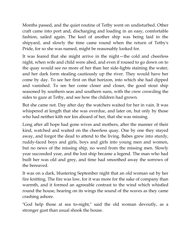Months passed, and the quiet routine of Tetby went on undisturbed. Other craft came into port and, discharging and loading in an easy, comfortable fashion, sailed again. The keel of another ship was being laid in the shipyard, and slowly the time came round when the return of Tetby's Pride, for so she was named, might be reasonably looked for.

It was feared that she might arrive in the night—the cold and cheerless night, when wife and child were abed, and even if roused to go down on to the quay would see no more of her than her side-lights staining the water, and her dark form stealing cautiously up the river. They would have her come by day. To see her first on that horizon, into which she had dipped and vanished. To see her come closer and closer, the good stout ship seasoned by southern seas and southern suns, with the crew crowding the sides to gaze at Tetby, and see how the children had grown.

But she came not. Day after day the watchers waited for her in vain. It was whispered at length that she was overdue, and later on, but only by those who had neither kith nor kin aboard of her, that she was missing.

Long after all hope had gone wives and mothers, after the manner of their kind, watched and waited on the cheerless quay. One by one they stayed away, and forgot the dead to attend to the living. Babes grew into sturdy, ruddy-faced boys and girls, boys and girls into young men and women, but no news of the missing ship, no word from the missing men. Slowly year succeeded year, and the lost ship became a legend. The man who had built her was old and grey, and time had smoothed away the sorrows of the bereaved.

It was on a dark, blustering September night that an old woman sat by her fire knitting. The fire was low, for it was more for the sake of company than warmth, and it formed an agreeable contrast to the wind which whistled round the house, bearing on its wings the sound of the waves as they came crashing ashore.

"God help those at sea to-night," said the old woman devoutly, as a stronger gust than usual shook the house.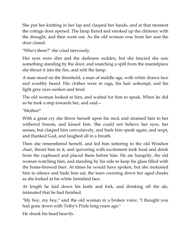She put her knitting in her lap and clasped her hands, and at that moment the cottage door opened. The lamp flared and smoked up the chimney with the draught, and then went out. As the old woman rose from her seat the door closed.

"Who's there?" she cried nervously.

Her eyes were dim and the darkness sudden, but she fancied she saw something standing by the door, and snatching a spill from the mantelpiece she thrust it into the fire, and relit the lamp.

A man stood on the threshold, a man of middle age, with white drawn face and scrubby beard. His clothes were in rags, his hair unkempt, and his light grey eyes sunken and tired.

The old woman looked at him, and waited for him to speak. When he did so he took a step towards her, and said—

"Mother!"

With a great cry she threw herself upon his neck and strained him to her withered bosom, and kissed him. She could not believe her eyes, her senses, but clasped him convulsively, and bade him speak again, and wept, and thanked God, and laughed all in a breath.

Then she remembered herself, and led him tottering to the old Windsor chair, thrust him in it, and quivering with excitement took food and drink from the cupboard and placed them before him. He ate hungrily, the old woman watching him, and standing by his side to keep his glass filled with the home-brewed beer. At times he would have spoken, but she motioned him to silence and bade him eat, the tears coursing down her aged cheeks as she looked at his white famished face.

At length he laid down his knife and fork, and drinking off the ale, intimated that he had finished.

"My boy, my boy," said the old woman in a broken voice, "I thought you had gone down with Tetby's Pride long years ago."

He shook his head heavily.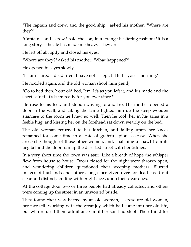"The captain and crew, and the good ship," asked his mother. "Where are they?"

"Captain—and—crew," said the son, in a strange hesitating fashion; "it is a long story—the ale has made me heavy. They are—"

He left off abruptly and closed his eyes.

"Where are they?" asked his mother. "What happened?"

He opened his eyes slowly.

"I—am—tired—dead tired. I have not—slept. I'll tell—you—morning."

He nodded again, and the old woman shook him gently.

"Go to bed then. Your old bed, Jem. It's as you left it, and it's made and the sheets aired. It's been ready for you ever since."

He rose to his feet, and stood swaying to and fro. His mother opened a door in the wall, and taking the lamp lighted him up the steep wooden staircase to the room he knew so well. Then he took her in his arms in a feeble hug, and kissing her on the forehead sat down wearily on the bed.

The old woman returned to her kitchen, and falling upon her knees remained for some time in a state of grateful, pious ecstasy. When she arose she thought of those other women, and, snatching a shawl from its peg behind the door, ran up the deserted street with her tidings.

In a very short time the town was astir. Like a breath of hope the whisper flew from house to house. Doors closed for the night were thrown open, and wondering children questioned their weeping mothers. Blurred images of husbands and fathers long since given over for dead stood out clear and distinct, smiling with bright faces upon their dear ones.

At the cottage door two or three people had already collected, and others were coming up the street in an unwonted bustle.

They found their way barred by an old woman,—a resolute old woman, her face still working with the great joy which had come into her old life, but who refused them admittance until her son had slept. Their thirst for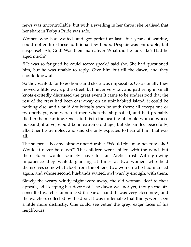news was uncontrollable, but with a swelling in her throat she realised that her share in Tetby's Pride was safe.

Women who had waited, and got patient at last after years of waiting, could not endure these additional few hours. Despair was endurable, but suspense! "Ah, God! Was their man alive? What did he look like? Had he aged much?"

"He was so fatigued he could scarce speak," said she. She had questioned him, but he was unable to reply. Give him but till the dawn, and they should know all.

So they waited, for to go home and sleep was impossible. Occasionally they moved a little way up the street, but never very far, and gathering in small knots excitedly discussed the great event It came to be understood that the rest of the crew had been cast away on an uninhabited island, it could be nothing else, and would doubtlessly soon be with them; all except one or two perhaps, who were old men when the ship sailed, and had probably died in the meantime. One said this in the hearing of an old woman whose husband, if alive, would be in extreme old age, but she smiled peacefully, albeit her lip trembled, and said she only expected to hear of him, that was all.

The suspense became almost unendurable. "Would this man never awake? Would it never be dawn?" The children were chilled with the wind, but their elders would scarcely have felt an Arctic frost With growing impatience they waited, glancing at times at two women who held themselves somewhat aloof from the others; two women who had married again, and whose second husbands waited, awkwardly enough, with them.

Slowly the weary windy night wore away, the old woman, deaf to their appeals, still keeping her door fast. The dawn was not yet, though the oftconsulted watches announced it near at hand. It was very close now, and the watchers collected by the door. It was undeniable that things were seen a little more distinctly. One could see better the grey, eager faces of his neighbours.